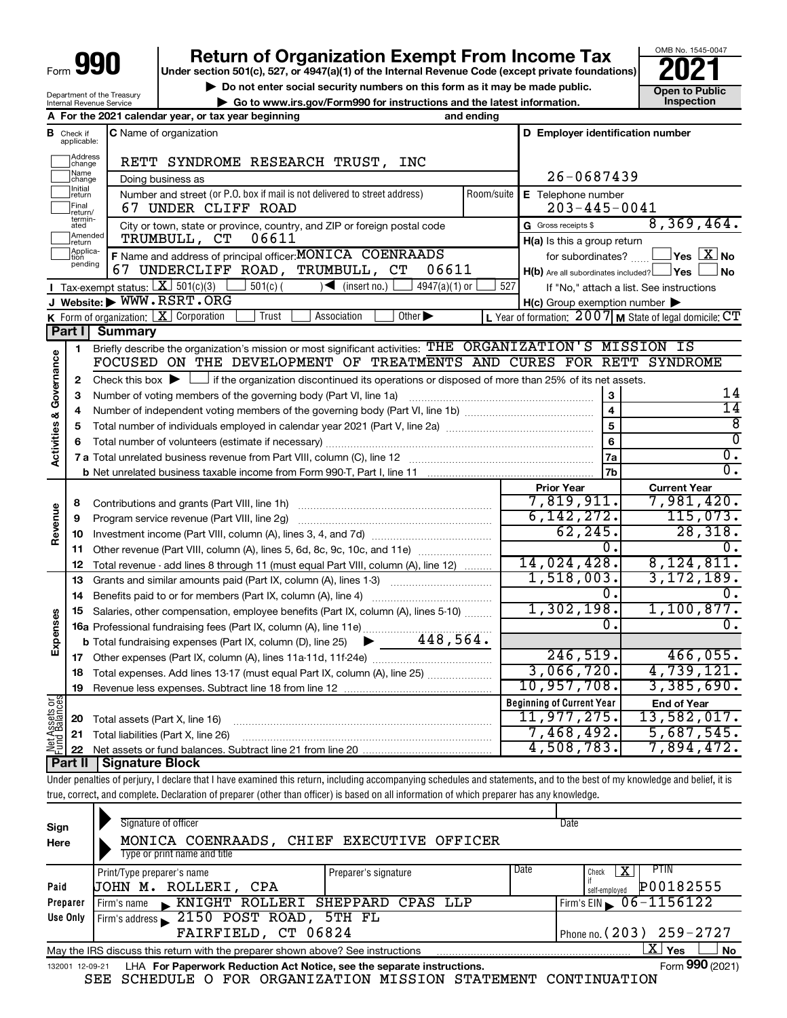| Form | $\Box$ |
|------|--------|
|      |        |

Department of the Treasury Internal Revenue Service

# **Return of Organization Exempt From Income Tax**<br>r section 501(c), 527, or 4947(a)(1) of the Internal Revenue Code (except private foundations)<br>**202**

**Under section 501(c), 527, or 4947(a)(1) of the Internal Revenue Code (except private foundations)**

**b** Do not enter social security numbers on this form as it may be made public.<br> **Go to www.irs.gov/Form990 for instructions and the latest information. This impection** 

**| Go to www.irs.gov/Form990 for instructions and the latest information. Inspection**



|                         |                               | A For the 2021 calendar year, or tax year beginning                                                                                         | and ending |                                                     |                                                                       |
|-------------------------|-------------------------------|---------------------------------------------------------------------------------------------------------------------------------------------|------------|-----------------------------------------------------|-----------------------------------------------------------------------|
|                         | <b>B</b> Check if applicable: | <b>C</b> Name of organization                                                                                                               |            | D Employer identification number                    |                                                                       |
|                         | Address<br>change             | RETT SYNDROME RESEARCH TRUST,<br>INC                                                                                                        |            |                                                     |                                                                       |
|                         | Name<br>change                | Doing business as                                                                                                                           |            | 26-0687439                                          |                                                                       |
|                         | Initial<br> return            | Number and street (or P.O. box if mail is not delivered to street address)                                                                  | Room/suite | E Telephone number                                  |                                                                       |
|                         | Final<br>return/              | 67 UNDER CLIFF ROAD                                                                                                                         |            | $203 - 445 - 0041$                                  |                                                                       |
|                         | termin-<br>ated               | City or town, state or province, country, and ZIP or foreign postal code                                                                    |            | G Gross receipts \$                                 | 8,369,464.                                                            |
|                         | Amended<br>return             | 06611<br>TRUMBULL, CT                                                                                                                       |            | H(a) Is this a group return                         |                                                                       |
|                         | Applica-<br>Ition<br>pending  | F Name and address of principal officer: MONICA COENRAADS                                                                                   |            | for subordinates?                                   | $\mathsf{\lvert}$ Yes $\mathsf{\lvert} \mathsf{X} \mathsf{\rvert}$ No |
|                         |                               | 67 UNDERCLIFF ROAD, TRUMBULL, CT<br>06611                                                                                                   |            | H(b) Are all subordinates included? Ves             | l No                                                                  |
|                         |                               | <b>I</b> Tax-exempt status: $X \mid 501(c)(3)$<br>$501(c)$ (<br>$\sqrt{\frac{1}{1}}$ (insert no.)<br>$4947(a)(1)$ or                        | 527        |                                                     | If "No," attach a list. See instructions                              |
|                         |                               | J Website: WWW.RSRT.ORG<br>Other $\blacktriangleright$<br>Trust<br>Association                                                              |            | $H(c)$ Group exemption number $\blacktriangleright$ |                                                                       |
|                         | Part II                       | K Form of organization: $X$ Corporation<br>Summary                                                                                          |            |                                                     | L Year of formation: 2007 M State of legal domicile: CT               |
|                         | 1                             | Briefly describe the organization's mission or most significant activities: THE ORGANIZATION'S MISSION IS                                   |            |                                                     |                                                                       |
|                         |                               | FOCUSED ON THE DEVELOPMENT OF TREATMENTS AND CURES FOR RETT SYNDROME                                                                        |            |                                                     |                                                                       |
| Activities & Governance | 2                             | Check this box $\blacktriangleright$ $\Box$ if the organization discontinued its operations or disposed of more than 25% of its net assets. |            |                                                     |                                                                       |
|                         | 3                             | Number of voting members of the governing body (Part VI, line 1a)                                                                           |            | 3                                                   | 14                                                                    |
|                         | 4                             |                                                                                                                                             |            | $\overline{\mathbf{4}}$                             | $\overline{14}$                                                       |
|                         | 5                             |                                                                                                                                             |            | 5                                                   | $\overline{8}$                                                        |
|                         | 6                             |                                                                                                                                             |            | 6                                                   | $\overline{0}$                                                        |
|                         |                               |                                                                                                                                             |            | 7a                                                  | $\overline{0}$ .                                                      |
|                         |                               |                                                                                                                                             |            | 7b                                                  | $\overline{0}$ .                                                      |
|                         |                               |                                                                                                                                             |            | <b>Prior Year</b>                                   | <b>Current Year</b>                                                   |
|                         | 8                             | Contributions and grants (Part VIII, line 1h)                                                                                               |            | 7,819,911.                                          | 7,981,420.                                                            |
|                         | 9                             | Program service revenue (Part VIII, line 2g)                                                                                                |            | 6, 142, 272.                                        | 115,073.                                                              |
| Revenue                 | 10                            |                                                                                                                                             |            | 62, 245.                                            | 28,318.                                                               |
|                         | 11                            | Other revenue (Part VIII, column (A), lines 5, 6d, 8c, 9c, 10c, and 11e)                                                                    |            | 0.                                                  | $\overline{0}$ .                                                      |
|                         | 12                            | Total revenue - add lines 8 through 11 (must equal Part VIII, column (A), line 12)                                                          |            | 14,024,428.                                         | 8,124,811.                                                            |
|                         | 13                            | Grants and similar amounts paid (Part IX, column (A), lines 1-3)                                                                            |            | 1,518,003.                                          | 3,172,189.                                                            |
|                         | 14                            | Benefits paid to or for members (Part IX, column (A), line 4)                                                                               |            | 0.                                                  | 0.<br>1,100,877.                                                      |
|                         | 15                            | Salaries, other compensation, employee benefits (Part IX, column (A), lines 5-10)                                                           |            | 1,302,198.<br>Ω.                                    | 0.                                                                    |
| Expenses                |                               | 16a Professional fundraising fees (Part IX, column (A), line 11e)<br>448,564.                                                               |            |                                                     |                                                                       |
|                         |                               | <b>b</b> Total fundraising expenses (Part IX, column (D), line 25)                                                                          |            | 246,519.                                            | 466,055.                                                              |
|                         | 17<br>18                      | Total expenses. Add lines 13-17 (must equal Part IX, column (A), line 25)                                                                   |            | 3,066,720.                                          | 4,739,121.                                                            |
|                         | 19                            |                                                                                                                                             |            | 10,957,708.                                         | 3,385,690.                                                            |
|                         |                               |                                                                                                                                             |            | <b>Beginning of Current Year</b>                    | <b>End of Year</b>                                                    |
|                         | 20                            | Total assets (Part X, line 16)                                                                                                              |            | 11,977,275.                                         | 13,582,017.                                                           |
|                         | 21                            | Total liabilities (Part X, line 26)                                                                                                         |            | 7,468,492.                                          | 5,687,545.                                                            |
| Net Assets or           | 22                            |                                                                                                                                             |            | 4,508,783.                                          | 7,894,472.                                                            |
|                         |                               |                                                                                                                                             |            |                                                     |                                                                       |

**Part II Signature Block**

┯

Under penalties of perjury, I declare that I have examined this return, including accompanying schedules and statements, and to the best of my knowledge and belief, it is true, correct, and complete. Declaration of preparer (other than officer) is based on all information of which preparer has any knowledge.

| Sign<br>Here | Signature of officer<br>MONICA COENRAADS, CHIEF EXECUTIVE OFFICER<br>Type or print name and title                                                                                                                                                                                                                                                                           |                      |      | Date                                        |  |  |  |
|--------------|-----------------------------------------------------------------------------------------------------------------------------------------------------------------------------------------------------------------------------------------------------------------------------------------------------------------------------------------------------------------------------|----------------------|------|---------------------------------------------|--|--|--|
| Paid         | Print/Type preparer's name<br>ROLLERI, CPA<br>JOHN M.                                                                                                                                                                                                                                                                                                                       | Preparer's signature | Date | PIIN<br>Check<br>P00182555<br>self-employed |  |  |  |
| Preparer     | KNIGHT ROLLERI SHEPPARD CPAS LLP<br>Firm's name                                                                                                                                                                                                                                                                                                                             |                      |      | Firm's EIN $\, 06 - 1156122$                |  |  |  |
| Use Only     | Firm's address 2150 POST ROAD, 5TH FL<br>FAIRFIELD, CT 06824                                                                                                                                                                                                                                                                                                                |                      |      | Phone no. $(203)$ $259 - 2727$              |  |  |  |
|              | $X \mid$<br>∣ Yes<br><b>No</b><br>May the IRS discuss this return with the preparer shown above? See instructions                                                                                                                                                                                                                                                           |                      |      |                                             |  |  |  |
| 132001       | Form 990 (2021)<br>LHA For Paperwork Reduction Act Notice, see the separate instructions.<br>12-09-21<br>$A$ and $A$ is a finite of $A$ and $A$ and $A$ and $A$ and $A$ and $A$ and $A$ and $A$ and $A$ and $A$ and $A$ and $A$ and $A$ and $A$ and $A$ and $A$ and $A$ and $A$ and $A$ and $A$ and $A$ and $A$ and $A$ and $A$ and $A$<br>$\sim$ $\sim$ $\sim$<br>$\alpha$ |                      |      |                                             |  |  |  |

SEE SCHEDULE O FOR ORGANIZATION MISSION STATEMENT CONTINUATION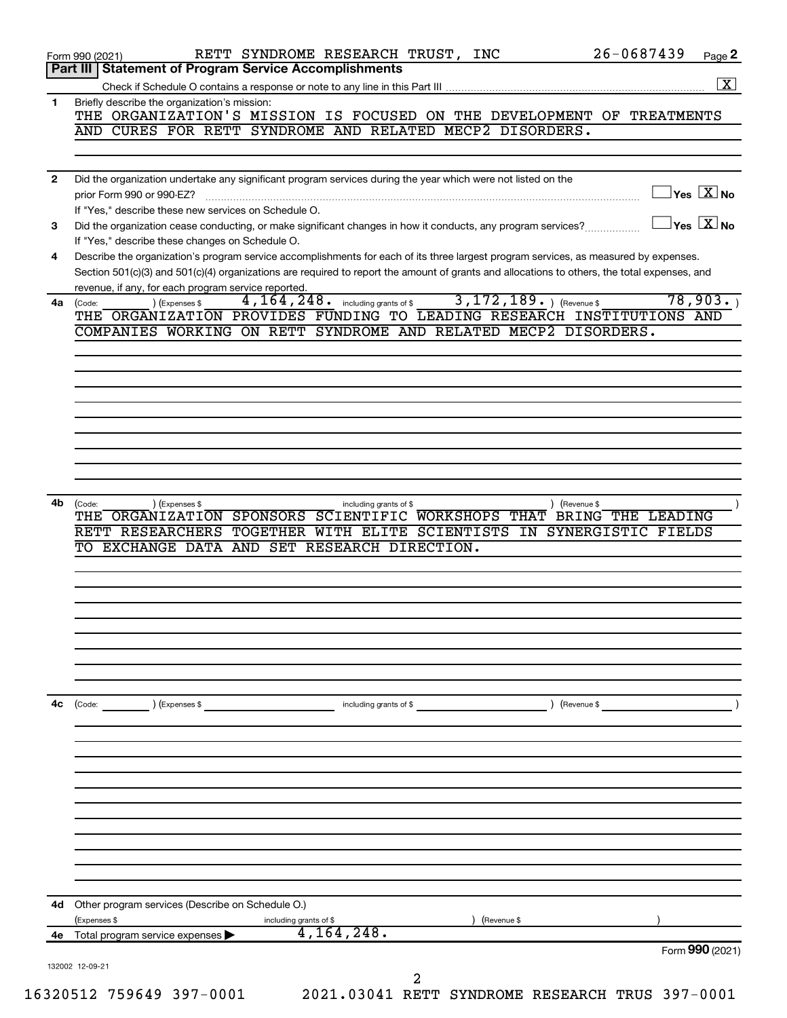|              | 26-0687439<br>RETT SYNDROME RESEARCH TRUST, INC<br>Page 2<br>Form 990 (2021)                                                                                                                                      |
|--------------|-------------------------------------------------------------------------------------------------------------------------------------------------------------------------------------------------------------------|
|              | <b>Statement of Program Service Accomplishments</b><br>Part III<br>$\overline{\mathbf{X}}$                                                                                                                        |
| 1            | Briefly describe the organization's mission:                                                                                                                                                                      |
|              | THE ORGANIZATION'S MISSION IS FOCUSED ON THE DEVELOPMENT OF TREATMENTS                                                                                                                                            |
|              | AND CURES FOR RETT SYNDROME AND RELATED MECP2 DISORDERS.                                                                                                                                                          |
|              |                                                                                                                                                                                                                   |
| $\mathbf{2}$ | Did the organization undertake any significant program services during the year which were not listed on the                                                                                                      |
|              | $\vert$ Yes $\vert$ $\overline{\rm X}$ No<br>prior Form 990 or 990-EZ?                                                                                                                                            |
| 3            | If "Yes," describe these new services on Schedule O.<br>$\overline{\ }$ Yes $\overline{\rm X}$ No<br>Did the organization cease conducting, or make significant changes in how it conducts, any program services? |
|              | If "Yes," describe these changes on Schedule O.                                                                                                                                                                   |
| 4            | Describe the organization's program service accomplishments for each of its three largest program services, as measured by expenses.                                                                              |
|              | Section 501(c)(3) and 501(c)(4) organizations are required to report the amount of grants and allocations to others, the total expenses, and                                                                      |
| 4a           | revenue, if any, for each program service reported.<br>78,903.<br>$3,172,189.$ (Revenue \$<br>$\overline{4,164,248}$ including grants of \$<br>) (Expenses \$<br>(Code:                                           |
|              | THE ORGANIZATION PROVIDES FUNDING TO LEADING RESEARCH INSTITUTIONS AND                                                                                                                                            |
|              | COMPANIES WORKING ON RETT SYNDROME AND RELATED MECP2 DISORDERS.                                                                                                                                                   |
|              |                                                                                                                                                                                                                   |
|              |                                                                                                                                                                                                                   |
|              |                                                                                                                                                                                                                   |
|              |                                                                                                                                                                                                                   |
|              |                                                                                                                                                                                                                   |
|              |                                                                                                                                                                                                                   |
|              |                                                                                                                                                                                                                   |
|              |                                                                                                                                                                                                                   |
| 4b           | ) (Expenses \$<br>) (Revenue \$<br>(Code:<br>including grants of \$                                                                                                                                               |
|              | THE ORGANIZATION SPONSORS SCIENTIFIC WORKSHOPS THAT BRING THE LEADING                                                                                                                                             |
|              | TOGETHER WITH ELITE SCIENTISTS IN SYNERGISTIC FIELDS<br>RETT RESEARCHERS                                                                                                                                          |
|              | TO EXCHANGE DATA AND SET RESEARCH DIRECTION.                                                                                                                                                                      |
|              |                                                                                                                                                                                                                   |
|              |                                                                                                                                                                                                                   |
|              |                                                                                                                                                                                                                   |
|              |                                                                                                                                                                                                                   |
|              |                                                                                                                                                                                                                   |
|              |                                                                                                                                                                                                                   |
|              |                                                                                                                                                                                                                   |
| 4с           | ) (Revenue \$<br>(Code:<br>) (Expenses \$<br>including grants of \$                                                                                                                                               |
|              |                                                                                                                                                                                                                   |
|              |                                                                                                                                                                                                                   |
|              |                                                                                                                                                                                                                   |
|              |                                                                                                                                                                                                                   |
|              |                                                                                                                                                                                                                   |
|              |                                                                                                                                                                                                                   |
|              |                                                                                                                                                                                                                   |
|              |                                                                                                                                                                                                                   |
|              |                                                                                                                                                                                                                   |
|              | Other program services (Describe on Schedule O.)                                                                                                                                                                  |
|              |                                                                                                                                                                                                                   |
| 4d           |                                                                                                                                                                                                                   |
| 4e           | (Expenses \$<br>(Revenue \$<br>including grants of \$<br>4,164,248.<br>Total program service expenses                                                                                                             |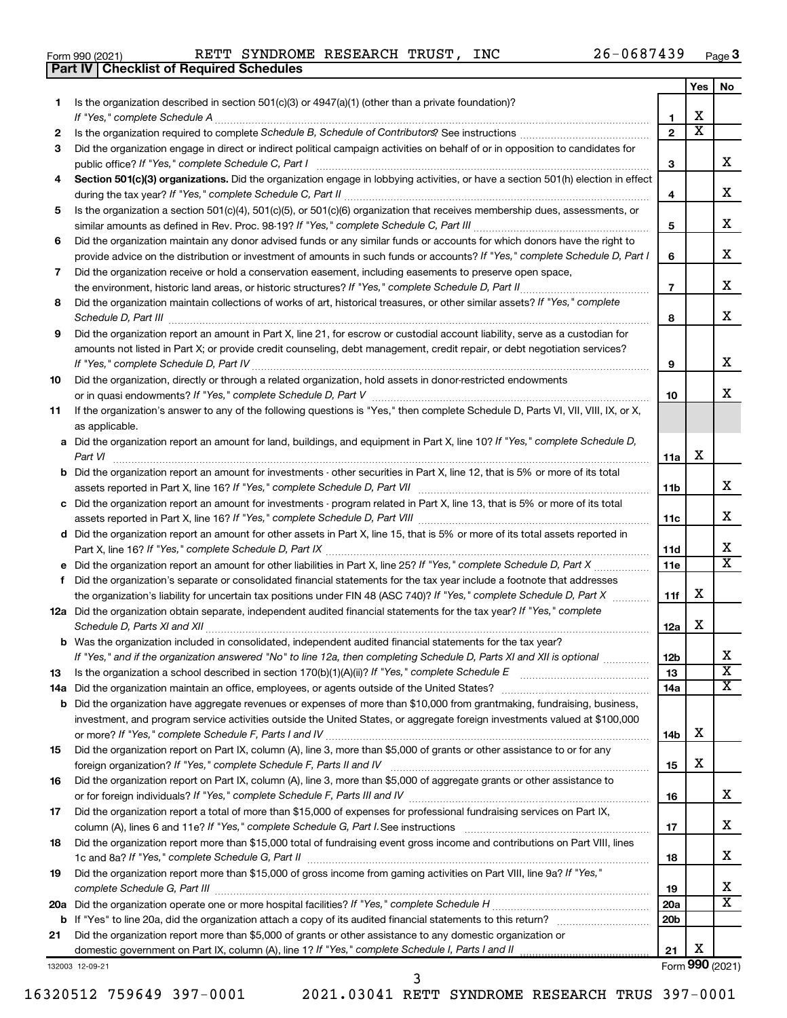|  | Form 990 (2021) |
|--|-----------------|

**Part IV Checklist of Required Schedules**

Form 990 (2021) RETT SYNDROME RESEARCH TRUST , INC 26-0687439 <sub>Page</sub>

|     |                                                                                                                                                         |                 | Yes                     | No                           |
|-----|---------------------------------------------------------------------------------------------------------------------------------------------------------|-----------------|-------------------------|------------------------------|
| 1   | Is the organization described in section 501(c)(3) or $4947(a)(1)$ (other than a private foundation)?                                                   |                 |                         |                              |
|     | If "Yes." complete Schedule A                                                                                                                           | 1               | х                       |                              |
| 2   |                                                                                                                                                         | $\overline{2}$  | $\overline{\textbf{x}}$ |                              |
| 3   | Did the organization engage in direct or indirect political campaign activities on behalf of or in opposition to candidates for                         |                 |                         |                              |
|     | public office? If "Yes," complete Schedule C, Part I                                                                                                    | 3               |                         | x.                           |
| 4   | Section 501(c)(3) organizations. Did the organization engage in lobbying activities, or have a section 501(h) election in effect                        |                 |                         |                              |
|     |                                                                                                                                                         | 4               |                         | х                            |
| 5   | Is the organization a section 501(c)(4), 501(c)(5), or 501(c)(6) organization that receives membership dues, assessments, or                            | 5               |                         | x                            |
| 6   | Did the organization maintain any donor advised funds or any similar funds or accounts for which donors have the right to                               |                 |                         |                              |
|     | provide advice on the distribution or investment of amounts in such funds or accounts? If "Yes," complete Schedule D, Part I                            | 6               |                         | x                            |
| 7   | Did the organization receive or hold a conservation easement, including easements to preserve open space,                                               |                 |                         |                              |
|     | the environment, historic land areas, or historic structures? If "Yes," complete Schedule D, Part II                                                    | $\overline{7}$  |                         | x                            |
| 8   | Did the organization maintain collections of works of art, historical treasures, or other similar assets? If "Yes," complete                            |                 |                         | x                            |
| 9   | Did the organization report an amount in Part X, line 21, for escrow or custodial account liability, serve as a custodian for                           | 8               |                         |                              |
|     | amounts not listed in Part X; or provide credit counseling, debt management, credit repair, or debt negotiation services?                               |                 |                         |                              |
|     |                                                                                                                                                         | 9               |                         | x                            |
| 10  | Did the organization, directly or through a related organization, hold assets in donor-restricted endowments                                            |                 |                         |                              |
|     |                                                                                                                                                         | 10              |                         | x                            |
| 11  | If the organization's answer to any of the following questions is "Yes," then complete Schedule D, Parts VI, VII, VIII, IX, or X,                       |                 |                         |                              |
|     | as applicable.                                                                                                                                          |                 |                         |                              |
|     | a Did the organization report an amount for land, buildings, and equipment in Part X, line 10? If "Yes," complete Schedule D,                           |                 |                         |                              |
|     | Part VI                                                                                                                                                 | 11a             | х                       |                              |
|     | <b>b</b> Did the organization report an amount for investments - other securities in Part X, line 12, that is 5% or more of its total                   |                 |                         |                              |
|     |                                                                                                                                                         | 11b             |                         | х                            |
|     | c Did the organization report an amount for investments - program related in Part X, line 13, that is 5% or more of its total                           |                 |                         |                              |
|     | 11c                                                                                                                                                     |                 |                         | х                            |
|     | d Did the organization report an amount for other assets in Part X, line 15, that is 5% or more of its total assets reported in                         |                 |                         |                              |
|     |                                                                                                                                                         | 11d<br>11e      |                         | x<br>$\overline{\textbf{x}}$ |
|     |                                                                                                                                                         |                 |                         |                              |
| f   | Did the organization's separate or consolidated financial statements for the tax year include a footnote that addresses                                 |                 | х                       |                              |
|     | the organization's liability for uncertain tax positions under FIN 48 (ASC 740)? If "Yes," complete Schedule D, Part X                                  | 11f             |                         |                              |
|     | 12a Did the organization obtain separate, independent audited financial statements for the tax year? If "Yes," complete<br>Schedule D, Parts XI and XII | 12a             | х                       |                              |
|     | <b>b</b> Was the organization included in consolidated, independent audited financial statements for the tax year?                                      |                 |                         |                              |
|     | If "Yes," and if the organization answered "No" to line 12a, then completing Schedule D, Parts XI and XII is optional                                   | 12 <sub>b</sub> |                         | ▵                            |
| 13  |                                                                                                                                                         | 13              |                         | $\overline{\mathbf{X}}$      |
| 14a | Did the organization maintain an office, employees, or agents outside of the United States?                                                             | 14a             |                         | х                            |
| b   | Did the organization have aggregate revenues or expenses of more than \$10,000 from grantmaking, fundraising, business,                                 |                 |                         |                              |
|     | investment, and program service activities outside the United States, or aggregate foreign investments valued at \$100,000                              |                 |                         |                              |
|     |                                                                                                                                                         | 14b             | х                       |                              |
| 15  | Did the organization report on Part IX, column (A), line 3, more than \$5,000 of grants or other assistance to or for any                               |                 |                         |                              |
|     | foreign organization? If "Yes," complete Schedule F, Parts II and IV                                                                                    | 15              | х                       |                              |
| 16  | Did the organization report on Part IX, column (A), line 3, more than \$5,000 of aggregate grants or other assistance to                                |                 |                         |                              |
|     |                                                                                                                                                         | 16              |                         | x                            |
| 17  | Did the organization report a total of more than \$15,000 of expenses for professional fundraising services on Part IX,                                 |                 |                         |                              |
|     |                                                                                                                                                         | 17              |                         | x                            |
| 18  | Did the organization report more than \$15,000 total of fundraising event gross income and contributions on Part VIII, lines                            | 18              |                         | x                            |
| 19  | Did the organization report more than \$15,000 of gross income from gaming activities on Part VIII, line 9a? If "Yes,"                                  |                 |                         |                              |
|     | complete Schedule G, Part III                                                                                                                           | 19              |                         | х                            |
| 20a |                                                                                                                                                         | 20a             |                         | $\overline{\text{X}}$        |
|     |                                                                                                                                                         | 20 <sub>b</sub> |                         |                              |
| 21  | Did the organization report more than \$5,000 of grants or other assistance to any domestic organization or                                             |                 |                         |                              |
|     |                                                                                                                                                         | 21              | х                       |                              |
|     |                                                                                                                                                         |                 |                         |                              |

132003 12-09-21

Form (2021) **990**

3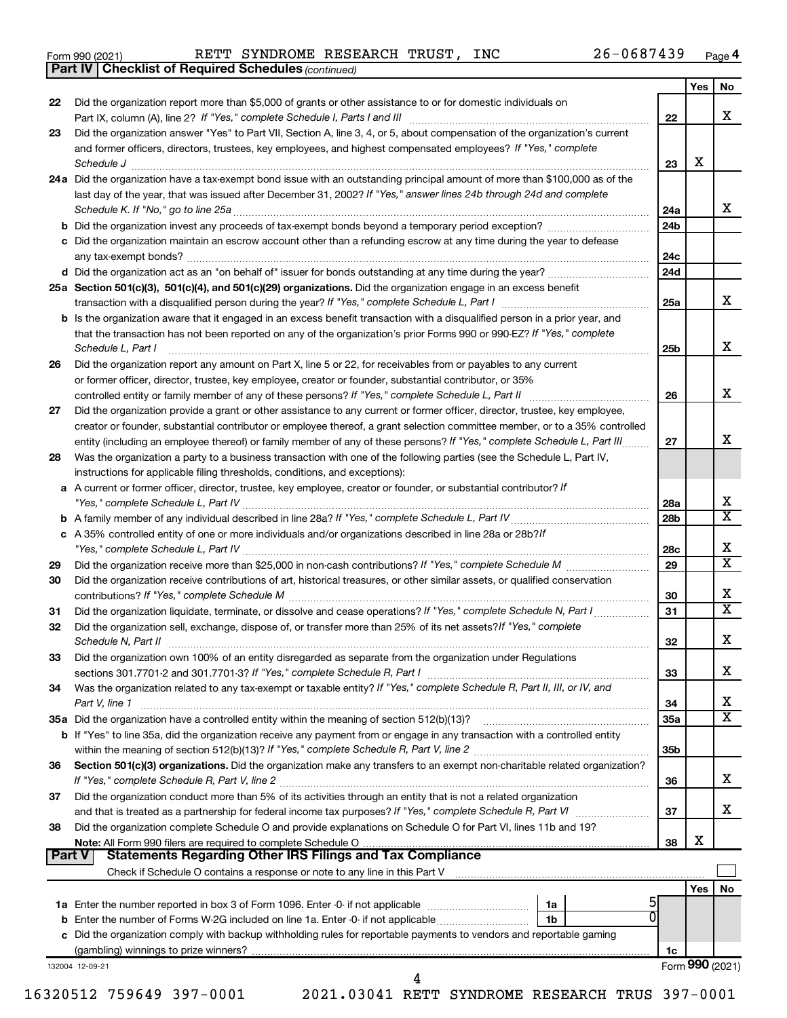*(continued)* **Part IV Checklist of Required Schedules**

|        |                                                                                                                              |                 | Yes | No                      |
|--------|------------------------------------------------------------------------------------------------------------------------------|-----------------|-----|-------------------------|
| 22     | Did the organization report more than \$5,000 of grants or other assistance to or for domestic individuals on                |                 |     |                         |
|        | Part IX, column (A), line 2? If "Yes," complete Schedule I, Parts I and III                                                  | 22              |     | x                       |
| 23     | Did the organization answer "Yes" to Part VII, Section A, line 3, 4, or 5, about compensation of the organization's current  |                 |     |                         |
|        | and former officers, directors, trustees, key employees, and highest compensated employees? If "Yes," complete               |                 |     |                         |
|        |                                                                                                                              | 23              | х   |                         |
|        | 24a Did the organization have a tax-exempt bond issue with an outstanding principal amount of more than \$100,000 as of the  |                 |     |                         |
|        | last day of the year, that was issued after December 31, 2002? If "Yes," answer lines 24b through 24d and complete           |                 |     |                         |
|        | Schedule K. If "No," go to line 25a                                                                                          | 24a             |     | x                       |
|        |                                                                                                                              | 24 <sub>b</sub> |     |                         |
|        | c Did the organization maintain an escrow account other than a refunding escrow at any time during the year to defease       |                 |     |                         |
|        |                                                                                                                              | 24c             |     |                         |
|        |                                                                                                                              | 24d             |     |                         |
|        | 25a Section 501(c)(3), 501(c)(4), and 501(c)(29) organizations. Did the organization engage in an excess benefit             |                 |     | x                       |
|        |                                                                                                                              | 25a             |     |                         |
|        | b Is the organization aware that it engaged in an excess benefit transaction with a disqualified person in a prior year, and |                 |     |                         |
|        | that the transaction has not been reported on any of the organization's prior Forms 990 or 990-EZ? If "Yes," complete        |                 |     | х                       |
|        | Schedule L, Part I                                                                                                           | 25b             |     |                         |
| 26     | Did the organization report any amount on Part X, line 5 or 22, for receivables from or payables to any current              |                 |     |                         |
|        | or former officer, director, trustee, key employee, creator or founder, substantial contributor, or 35%                      |                 |     | х                       |
| 27     | Did the organization provide a grant or other assistance to any current or former officer, director, trustee, key employee,  | 26              |     |                         |
|        | creator or founder, substantial contributor or employee thereof, a grant selection committee member, or to a 35% controlled  |                 |     |                         |
|        | entity (including an employee thereof) or family member of any of these persons? If "Yes," complete Schedule L, Part III     | 27              |     | х                       |
| 28     | Was the organization a party to a business transaction with one of the following parties (see the Schedule L, Part IV,       |                 |     |                         |
|        | instructions for applicable filing thresholds, conditions, and exceptions):                                                  |                 |     |                         |
|        | a A current or former officer, director, trustee, key employee, creator or founder, or substantial contributor? If           |                 |     |                         |
|        |                                                                                                                              | 28a             |     | х                       |
|        |                                                                                                                              | 28 <sub>b</sub> |     | $\overline{\textbf{X}}$ |
|        | c A 35% controlled entity of one or more individuals and/or organizations described in line 28a or 28b?If                    |                 |     |                         |
|        |                                                                                                                              | 28c             |     | х                       |
| 29     |                                                                                                                              | 29              |     | $\overline{\text{x}}$   |
| 30     | Did the organization receive contributions of art, historical treasures, or other similar assets, or qualified conservation  |                 |     |                         |
|        |                                                                                                                              | 30              |     | х                       |
| 31     | Did the organization liquidate, terminate, or dissolve and cease operations? If "Yes," complete Schedule N, Part I           | 31              |     | $\overline{\textbf{X}}$ |
| 32     | Did the organization sell, exchange, dispose of, or transfer more than 25% of its net assets? If "Yes," complete             |                 |     |                         |
|        | Schedule N, Part II                                                                                                          | 32              |     | х                       |
| 33     | Did the organization own 100% of an entity disregarded as separate from the organization under Regulations                   |                 |     |                         |
|        |                                                                                                                              | 33              |     | х                       |
| 34     | Was the organization related to any tax-exempt or taxable entity? If "Yes," complete Schedule R, Part II, III, or IV, and    |                 |     |                         |
|        | Part V, line 1                                                                                                               | 34              |     | х                       |
|        |                                                                                                                              | 35a             |     | $\overline{\text{X}}$   |
|        | b If "Yes" to line 35a, did the organization receive any payment from or engage in any transaction with a controlled entity  |                 |     |                         |
|        |                                                                                                                              | 35 <sub>b</sub> |     |                         |
| 36     | Section 501(c)(3) organizations. Did the organization make any transfers to an exempt non-charitable related organization?   |                 |     | х                       |
| 37     | Did the organization conduct more than 5% of its activities through an entity that is not a related organization             | 36              |     |                         |
|        | and that is treated as a partnership for federal income tax purposes? If "Yes," complete Schedule R, Part VI                 | 37              |     | x                       |
| 38     | Did the organization complete Schedule O and provide explanations on Schedule O for Part VI, lines 11b and 19?               |                 |     |                         |
|        |                                                                                                                              | 38              | х   |                         |
| Part V | Statements Regarding Other IRS Filings and Tax Compliance                                                                    |                 |     |                         |
|        |                                                                                                                              |                 |     |                         |
|        |                                                                                                                              |                 | Yes | No                      |
|        | 1a                                                                                                                           |                 |     |                         |
|        | b Enter the number of Forms W-2G included on line 1a. Enter -0- if not applicable<br>1b                                      |                 |     |                         |
|        | c Did the organization comply with backup withholding rules for reportable payments to vendors and reportable gaming         |                 |     |                         |
|        |                                                                                                                              | 1c              |     |                         |
|        | 132004 12-09-21                                                                                                              |                 |     | Form 990 (2021)         |
|        | 4                                                                                                                            |                 |     |                         |

16320512 759649 397-0001 2021.03041 RETT SYNDROME RESEARCH TRUS 397-0001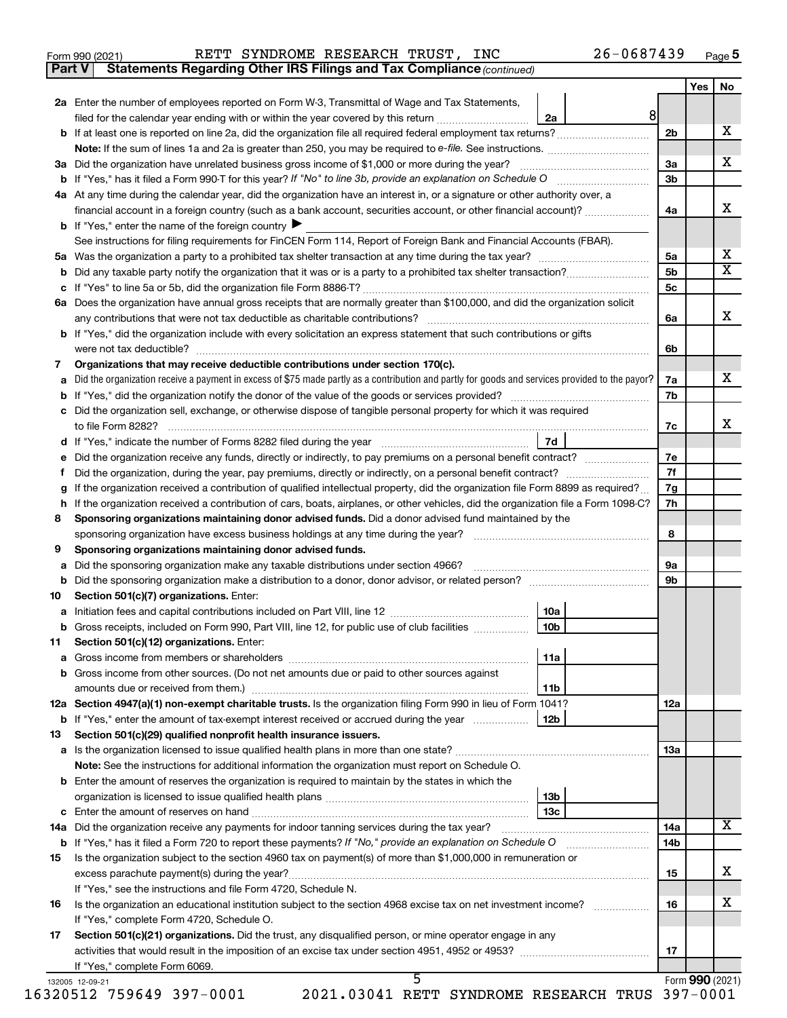|  | Form 990 (2021) |
|--|-----------------|
|  |                 |

Form 990 (2021) RETT SYNDROME RESEARCH TRUST , INC 26-0687439 <sub>Page</sub>

**Part V** Statements Regarding Other IRS Filings and Tax Compliance (continued)

|     |                                                                                                                                                 |                 |   |                      | Yes | No |
|-----|-------------------------------------------------------------------------------------------------------------------------------------------------|-----------------|---|----------------------|-----|----|
|     | 2a Enter the number of employees reported on Form W-3, Transmittal of Wage and Tax Statements,                                                  |                 |   |                      |     |    |
|     | filed for the calendar year ending with or within the year covered by this return <i></i>                                                       | 2a              | 8 |                      |     |    |
|     |                                                                                                                                                 |                 |   | 2b                   |     | х  |
|     |                                                                                                                                                 |                 |   |                      |     |    |
|     | 3a Did the organization have unrelated business gross income of \$1,000 or more during the year?                                                |                 |   | 3a                   |     | х  |
|     |                                                                                                                                                 |                 |   | 3 <sub>b</sub>       |     |    |
|     | 4a At any time during the calendar year, did the organization have an interest in, or a signature or other authority over, a                    |                 |   |                      |     | x  |
|     | financial account in a foreign country (such as a bank account, securities account, or other financial account)?                                |                 |   | 4a                   |     |    |
|     | <b>b</b> If "Yes," enter the name of the foreign country $\blacktriangleright$                                                                  |                 |   |                      |     |    |
|     | See instructions for filing requirements for FinCEN Form 114, Report of Foreign Bank and Financial Accounts (FBAR).                             |                 |   |                      |     | х  |
|     |                                                                                                                                                 |                 |   | 5a<br>5 <sub>b</sub> |     | х  |
| b   |                                                                                                                                                 |                 |   |                      |     |    |
|     |                                                                                                                                                 |                 |   | 5c                   |     |    |
|     | 6a Does the organization have annual gross receipts that are normally greater than \$100,000, and did the organization solicit                  |                 |   |                      |     | х  |
|     |                                                                                                                                                 |                 |   | 6a                   |     |    |
|     | <b>b</b> If "Yes," did the organization include with every solicitation an express statement that such contributions or gifts                   |                 |   | 6b                   |     |    |
| 7   | Organizations that may receive deductible contributions under section 170(c).                                                                   |                 |   |                      |     |    |
| а   | Did the organization receive a payment in excess of \$75 made partly as a contribution and partly for goods and services provided to the payor? |                 |   | 7a                   |     | х  |
|     |                                                                                                                                                 |                 |   | 7b                   |     |    |
|     | c Did the organization sell, exchange, or otherwise dispose of tangible personal property for which it was required                             |                 |   |                      |     |    |
|     |                                                                                                                                                 |                 |   | 7c                   |     | X  |
|     |                                                                                                                                                 | 7d              |   |                      |     |    |
| е   |                                                                                                                                                 |                 |   | 7e                   |     |    |
| f.  |                                                                                                                                                 |                 |   | 7f                   |     |    |
| g   | If the organization received a contribution of qualified intellectual property, did the organization file Form 8899 as required?                |                 |   | 7g                   |     |    |
|     | h If the organization received a contribution of cars, boats, airplanes, or other vehicles, did the organization file a Form 1098-C?            |                 |   | 7h                   |     |    |
| 8   | Sponsoring organizations maintaining donor advised funds. Did a donor advised fund maintained by the                                            |                 |   |                      |     |    |
|     |                                                                                                                                                 |                 |   | 8                    |     |    |
| 9   | Sponsoring organizations maintaining donor advised funds.                                                                                       |                 |   |                      |     |    |
| а   | Did the sponsoring organization make any taxable distributions under section 4966?                                                              |                 |   | 9а                   |     |    |
| b   |                                                                                                                                                 |                 |   | 9 <sub>b</sub>       |     |    |
| 10  | Section 501(c)(7) organizations. Enter:                                                                                                         |                 |   |                      |     |    |
| а   |                                                                                                                                                 | 10a             |   |                      |     |    |
| b   | Gross receipts, included on Form 990, Part VIII, line 12, for public use of club facilities                                                     | 10 <sub>b</sub> |   |                      |     |    |
| 11  | Section 501(c)(12) organizations. Enter:                                                                                                        |                 |   |                      |     |    |
| а   | Gross income from members or shareholders                                                                                                       | 11a             |   |                      |     |    |
|     | <b>b</b> Gross income from other sources. (Do not net amounts due or paid to other sources against                                              |                 |   |                      |     |    |
|     |                                                                                                                                                 | 11b             |   |                      |     |    |
|     | 12a Section 4947(a)(1) non-exempt charitable trusts. Is the organization filing Form 990 in lieu of Form 1041?                                  |                 |   | 12a                  |     |    |
|     | <b>b</b> If "Yes," enter the amount of tax-exempt interest received or accrued during the year                                                  | 12b             |   |                      |     |    |
| 13  | Section 501(c)(29) qualified nonprofit health insurance issuers.                                                                                |                 |   |                      |     |    |
|     |                                                                                                                                                 |                 |   | 1За                  |     |    |
|     | Note: See the instructions for additional information the organization must report on Schedule O.                                               |                 |   |                      |     |    |
|     | <b>b</b> Enter the amount of reserves the organization is required to maintain by the states in which the                                       |                 |   |                      |     |    |
|     |                                                                                                                                                 | 13b             |   |                      |     |    |
|     |                                                                                                                                                 | 13c             |   |                      |     |    |
|     |                                                                                                                                                 |                 |   | 14a                  |     | X  |
| 14a |                                                                                                                                                 |                 |   |                      |     |    |
|     | <b>b</b> If "Yes," has it filed a Form 720 to report these payments? If "No," provide an explanation on Schedule O                              |                 |   | 14b                  |     |    |
| 15  | Is the organization subject to the section 4960 tax on payment(s) of more than \$1,000,000 in remuneration or                                   |                 |   |                      |     | х  |
|     |                                                                                                                                                 |                 |   | 15                   |     |    |
|     | If "Yes," see the instructions and file Form 4720, Schedule N.                                                                                  |                 |   |                      |     | х  |
| 16  |                                                                                                                                                 |                 |   | 16                   |     |    |
|     | If "Yes," complete Form 4720, Schedule O.                                                                                                       |                 |   |                      |     |    |
| 17  | Section 501(c)(21) organizations. Did the trust, any disqualified person, or mine operator engage in any                                        |                 |   |                      |     |    |
|     |                                                                                                                                                 |                 |   | 17                   |     |    |
|     | If "Yes," complete Form 6069.                                                                                                                   |                 |   |                      |     |    |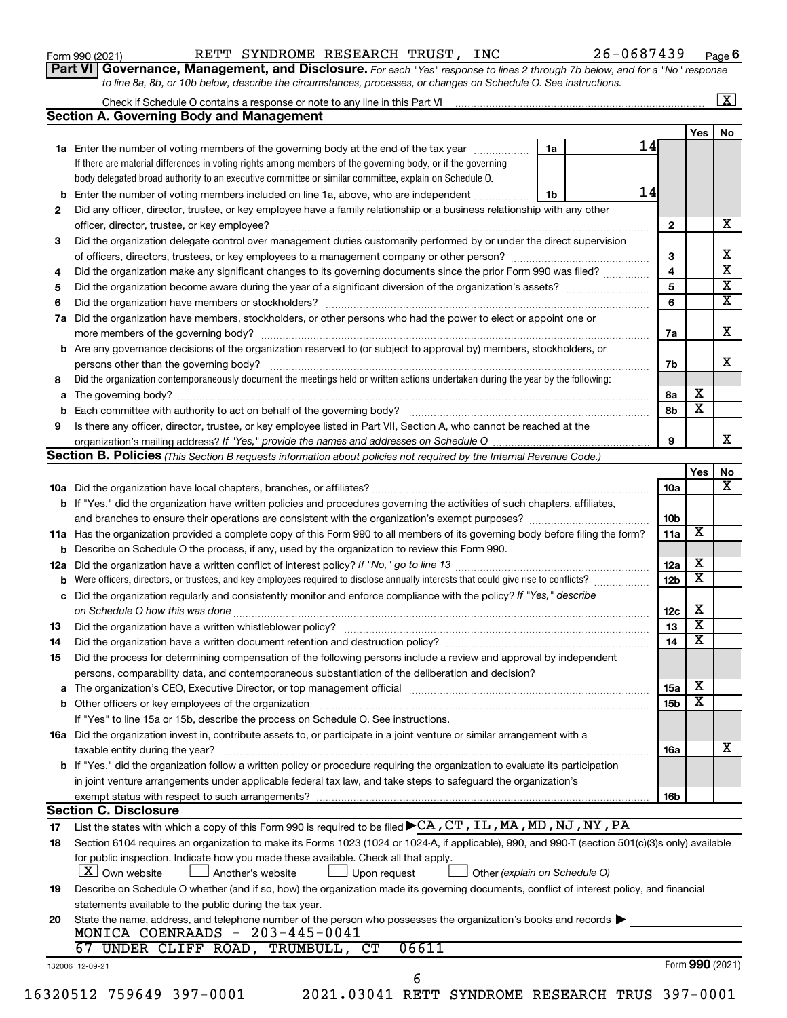| Form 990 (2021) |
|-----------------|
|-----------------|

Form 990 (2021) RETT SYNDROME RESEARCH TRUST , INC 26-0687439 <sub>Page</sub>

**Part VI** Governance, Management, and Disclosure. For each "Yes" response to lines 2 through 7b below, and for a "No" response *to line 8a, 8b, or 10b below, describe the circumstances, processes, or changes on Schedule O. See instructions.*

| Yes $ $<br>14<br><b>1a</b> Enter the number of voting members of the governing body at the end of the tax year<br>1a<br>If there are material differences in voting rights among members of the governing body, or if the governing<br>body delegated broad authority to an executive committee or similar committee, explain on Schedule O.<br>14<br>Enter the number of voting members included on line 1a, above, who are independent<br>1b<br>b<br>Did any officer, director, trustee, or key employee have a family relationship or a business relationship with any other<br>$\mathbf{2}$<br>Did the organization delegate control over management duties customarily performed by or under the direct supervision<br>3<br>4<br>Did the organization make any significant changes to its governing documents since the prior Form 990 was filed?<br>5<br>6<br>Did the organization have members, stockholders, or other persons who had the power to elect or appoint one or<br>7a<br>Are any governance decisions of the organization reserved to (or subject to approval by) members, stockholders, or<br>b<br>7b<br>Did the organization contemporaneously document the meetings held or written actions undertaken during the year by the following:<br>X<br>8а<br>а<br>$\overline{\mathbf{x}}$<br>8b<br>b<br>Is there any officer, director, trustee, or key employee listed in Part VII, Section A, who cannot be reached at the<br>9<br><b>Section B. Policies</b> (This Section B requests information about policies not required by the Internal Revenue Code.)<br>Yes<br>10a<br><b>b</b> If "Yes," did the organization have written policies and procedures governing the activities of such chapters, affiliates,<br>10 <sub>b</sub><br>X<br>11a<br>11a Has the organization provided a complete copy of this Form 990 to all members of its governing body before filing the form?<br><b>b</b> Describe on Schedule O the process, if any, used by the organization to review this Form 990.<br>Х<br>12a<br>$\overline{\mathbf{X}}$<br>Were officers, directors, or trustees, and key employees required to disclose annually interests that could give rise to conflicts?<br>12 <sub>b</sub><br>b<br>Did the organization regularly and consistently monitor and enforce compliance with the policy? If "Yes," describe<br>с<br>Х<br>12c<br>$\overline{\mathbf{X}}$<br>13<br>$\overline{\mathbf{X}}$<br>14<br>Did the process for determining compensation of the following persons include a review and approval by independent<br>persons, comparability data, and contemporaneous substantiation of the deliberation and decision?<br>X<br>15a<br>а<br>х<br>15 <sub>b</sub><br>If "Yes" to line 15a or 15b, describe the process on Schedule O. See instructions.<br>16a Did the organization invest in, contribute assets to, or participate in a joint venture or similar arrangement with a<br>taxable entity during the year?<br>16a<br>b If "Yes," did the organization follow a written policy or procedure requiring the organization to evaluate its participation<br>in joint venture arrangements under applicable federal tax law, and take steps to safeguard the organization's<br>exempt status with respect to such arrangements?<br>16b<br><b>Section C. Disclosure</b><br>List the states with which a copy of this Form 990 is required to be filed $\blacktriangleright$ CA, CT, IL, MA, MD, NJ, NY, PA<br>Section 6104 requires an organization to make its Forms 1023 (1024 or 1024 A, if applicable), 990, and 990 T (section 501(c)(3)s only) available<br>for public inspection. Indicate how you made these available. Check all that apply.<br>  X   Own website<br>Another's website<br>Upon request<br>Other (explain on Schedule O)<br>Describe on Schedule O whether (and if so, how) the organization made its governing documents, conflict of interest policy, and financial<br>statements available to the public during the tax year.<br>State the name, address, and telephone number of the person who possesses the organization's books and records<br>MONICA COENRAADS - 203-445-0041<br>06611<br>67 UNDER CLIFF ROAD, TRUMBULL, CT<br>Form 990 (2021)<br>132006 12-09-21<br>6<br>16320512 759649 397-0001<br>2021.03041 RETT SYNDROME RESEARCH TRUS 397-0001 |    | Check if Schedule O contains a response or note to any line in this Part VI [11] [12] Check if Schedule O contains a response or note to any line in this Part VI |  |  | $\mathbf{X}$            |
|-------------------------------------------------------------------------------------------------------------------------------------------------------------------------------------------------------------------------------------------------------------------------------------------------------------------------------------------------------------------------------------------------------------------------------------------------------------------------------------------------------------------------------------------------------------------------------------------------------------------------------------------------------------------------------------------------------------------------------------------------------------------------------------------------------------------------------------------------------------------------------------------------------------------------------------------------------------------------------------------------------------------------------------------------------------------------------------------------------------------------------------------------------------------------------------------------------------------------------------------------------------------------------------------------------------------------------------------------------------------------------------------------------------------------------------------------------------------------------------------------------------------------------------------------------------------------------------------------------------------------------------------------------------------------------------------------------------------------------------------------------------------------------------------------------------------------------------------------------------------------------------------------------------------------------------------------------------------------------------------------------------------------------------------------------------------------------------------------------------------------------------------------------------------------------------------------------------------------------------------------------------------------------------------------------------------------------------------------------------------------------------------------------------------------------------------------------------------------------------------------------------------------------------------------------------------------------------------------------------------------------------------------------------------------------------------------------------------------------------------------------------------------------------------------------------------------------------------------------------------------------------------------------------------------------------------------------------------------------------------------------------------------------------------------------------------------------------------------------------------------------------------------------------------------------------------------------------------------------------------------------------------------------------------------------------------------------------------------------------------------------------------------------------------------------------------------------------------------------------------------------------------------------------------------------------------------------------------------------------------------------------------------------------------------------------------------------------------------------------------------------------------------------------------------------------------------------------------------------------------------------------------------------------------------------------------------------------------------------------------------------------------------------------------------------------------------------------------------------------------------------------------------------------------------------------------------------------------------------------------------------------------------------------------------------------------------------|----|-------------------------------------------------------------------------------------------------------------------------------------------------------------------|--|--|-------------------------|
|                                                                                                                                                                                                                                                                                                                                                                                                                                                                                                                                                                                                                                                                                                                                                                                                                                                                                                                                                                                                                                                                                                                                                                                                                                                                                                                                                                                                                                                                                                                                                                                                                                                                                                                                                                                                                                                                                                                                                                                                                                                                                                                                                                                                                                                                                                                                                                                                                                                                                                                                                                                                                                                                                                                                                                                                                                                                                                                                                                                                                                                                                                                                                                                                                                                                                                                                                                                                                                                                                                                                                                                                                                                                                                                                                                                                                                                                                                                                                                                                                                                                                                                                                                                                                                                                                                                               |    | <b>Section A. Governing Body and Management</b>                                                                                                                   |  |  |                         |
|                                                                                                                                                                                                                                                                                                                                                                                                                                                                                                                                                                                                                                                                                                                                                                                                                                                                                                                                                                                                                                                                                                                                                                                                                                                                                                                                                                                                                                                                                                                                                                                                                                                                                                                                                                                                                                                                                                                                                                                                                                                                                                                                                                                                                                                                                                                                                                                                                                                                                                                                                                                                                                                                                                                                                                                                                                                                                                                                                                                                                                                                                                                                                                                                                                                                                                                                                                                                                                                                                                                                                                                                                                                                                                                                                                                                                                                                                                                                                                                                                                                                                                                                                                                                                                                                                                                               |    |                                                                                                                                                                   |  |  | No                      |
|                                                                                                                                                                                                                                                                                                                                                                                                                                                                                                                                                                                                                                                                                                                                                                                                                                                                                                                                                                                                                                                                                                                                                                                                                                                                                                                                                                                                                                                                                                                                                                                                                                                                                                                                                                                                                                                                                                                                                                                                                                                                                                                                                                                                                                                                                                                                                                                                                                                                                                                                                                                                                                                                                                                                                                                                                                                                                                                                                                                                                                                                                                                                                                                                                                                                                                                                                                                                                                                                                                                                                                                                                                                                                                                                                                                                                                                                                                                                                                                                                                                                                                                                                                                                                                                                                                                               |    |                                                                                                                                                                   |  |  |                         |
|                                                                                                                                                                                                                                                                                                                                                                                                                                                                                                                                                                                                                                                                                                                                                                                                                                                                                                                                                                                                                                                                                                                                                                                                                                                                                                                                                                                                                                                                                                                                                                                                                                                                                                                                                                                                                                                                                                                                                                                                                                                                                                                                                                                                                                                                                                                                                                                                                                                                                                                                                                                                                                                                                                                                                                                                                                                                                                                                                                                                                                                                                                                                                                                                                                                                                                                                                                                                                                                                                                                                                                                                                                                                                                                                                                                                                                                                                                                                                                                                                                                                                                                                                                                                                                                                                                                               |    |                                                                                                                                                                   |  |  |                         |
|                                                                                                                                                                                                                                                                                                                                                                                                                                                                                                                                                                                                                                                                                                                                                                                                                                                                                                                                                                                                                                                                                                                                                                                                                                                                                                                                                                                                                                                                                                                                                                                                                                                                                                                                                                                                                                                                                                                                                                                                                                                                                                                                                                                                                                                                                                                                                                                                                                                                                                                                                                                                                                                                                                                                                                                                                                                                                                                                                                                                                                                                                                                                                                                                                                                                                                                                                                                                                                                                                                                                                                                                                                                                                                                                                                                                                                                                                                                                                                                                                                                                                                                                                                                                                                                                                                                               |    |                                                                                                                                                                   |  |  |                         |
|                                                                                                                                                                                                                                                                                                                                                                                                                                                                                                                                                                                                                                                                                                                                                                                                                                                                                                                                                                                                                                                                                                                                                                                                                                                                                                                                                                                                                                                                                                                                                                                                                                                                                                                                                                                                                                                                                                                                                                                                                                                                                                                                                                                                                                                                                                                                                                                                                                                                                                                                                                                                                                                                                                                                                                                                                                                                                                                                                                                                                                                                                                                                                                                                                                                                                                                                                                                                                                                                                                                                                                                                                                                                                                                                                                                                                                                                                                                                                                                                                                                                                                                                                                                                                                                                                                                               |    |                                                                                                                                                                   |  |  |                         |
|                                                                                                                                                                                                                                                                                                                                                                                                                                                                                                                                                                                                                                                                                                                                                                                                                                                                                                                                                                                                                                                                                                                                                                                                                                                                                                                                                                                                                                                                                                                                                                                                                                                                                                                                                                                                                                                                                                                                                                                                                                                                                                                                                                                                                                                                                                                                                                                                                                                                                                                                                                                                                                                                                                                                                                                                                                                                                                                                                                                                                                                                                                                                                                                                                                                                                                                                                                                                                                                                                                                                                                                                                                                                                                                                                                                                                                                                                                                                                                                                                                                                                                                                                                                                                                                                                                                               | 2  |                                                                                                                                                                   |  |  |                         |
|                                                                                                                                                                                                                                                                                                                                                                                                                                                                                                                                                                                                                                                                                                                                                                                                                                                                                                                                                                                                                                                                                                                                                                                                                                                                                                                                                                                                                                                                                                                                                                                                                                                                                                                                                                                                                                                                                                                                                                                                                                                                                                                                                                                                                                                                                                                                                                                                                                                                                                                                                                                                                                                                                                                                                                                                                                                                                                                                                                                                                                                                                                                                                                                                                                                                                                                                                                                                                                                                                                                                                                                                                                                                                                                                                                                                                                                                                                                                                                                                                                                                                                                                                                                                                                                                                                                               |    |                                                                                                                                                                   |  |  | х                       |
|                                                                                                                                                                                                                                                                                                                                                                                                                                                                                                                                                                                                                                                                                                                                                                                                                                                                                                                                                                                                                                                                                                                                                                                                                                                                                                                                                                                                                                                                                                                                                                                                                                                                                                                                                                                                                                                                                                                                                                                                                                                                                                                                                                                                                                                                                                                                                                                                                                                                                                                                                                                                                                                                                                                                                                                                                                                                                                                                                                                                                                                                                                                                                                                                                                                                                                                                                                                                                                                                                                                                                                                                                                                                                                                                                                                                                                                                                                                                                                                                                                                                                                                                                                                                                                                                                                                               | 3  |                                                                                                                                                                   |  |  |                         |
|                                                                                                                                                                                                                                                                                                                                                                                                                                                                                                                                                                                                                                                                                                                                                                                                                                                                                                                                                                                                                                                                                                                                                                                                                                                                                                                                                                                                                                                                                                                                                                                                                                                                                                                                                                                                                                                                                                                                                                                                                                                                                                                                                                                                                                                                                                                                                                                                                                                                                                                                                                                                                                                                                                                                                                                                                                                                                                                                                                                                                                                                                                                                                                                                                                                                                                                                                                                                                                                                                                                                                                                                                                                                                                                                                                                                                                                                                                                                                                                                                                                                                                                                                                                                                                                                                                                               |    |                                                                                                                                                                   |  |  | х                       |
|                                                                                                                                                                                                                                                                                                                                                                                                                                                                                                                                                                                                                                                                                                                                                                                                                                                                                                                                                                                                                                                                                                                                                                                                                                                                                                                                                                                                                                                                                                                                                                                                                                                                                                                                                                                                                                                                                                                                                                                                                                                                                                                                                                                                                                                                                                                                                                                                                                                                                                                                                                                                                                                                                                                                                                                                                                                                                                                                                                                                                                                                                                                                                                                                                                                                                                                                                                                                                                                                                                                                                                                                                                                                                                                                                                                                                                                                                                                                                                                                                                                                                                                                                                                                                                                                                                                               | 4  |                                                                                                                                                                   |  |  | $\overline{\mathbf{x}}$ |
|                                                                                                                                                                                                                                                                                                                                                                                                                                                                                                                                                                                                                                                                                                                                                                                                                                                                                                                                                                                                                                                                                                                                                                                                                                                                                                                                                                                                                                                                                                                                                                                                                                                                                                                                                                                                                                                                                                                                                                                                                                                                                                                                                                                                                                                                                                                                                                                                                                                                                                                                                                                                                                                                                                                                                                                                                                                                                                                                                                                                                                                                                                                                                                                                                                                                                                                                                                                                                                                                                                                                                                                                                                                                                                                                                                                                                                                                                                                                                                                                                                                                                                                                                                                                                                                                                                                               | 5  |                                                                                                                                                                   |  |  | $\overline{\textbf{x}}$ |
|                                                                                                                                                                                                                                                                                                                                                                                                                                                                                                                                                                                                                                                                                                                                                                                                                                                                                                                                                                                                                                                                                                                                                                                                                                                                                                                                                                                                                                                                                                                                                                                                                                                                                                                                                                                                                                                                                                                                                                                                                                                                                                                                                                                                                                                                                                                                                                                                                                                                                                                                                                                                                                                                                                                                                                                                                                                                                                                                                                                                                                                                                                                                                                                                                                                                                                                                                                                                                                                                                                                                                                                                                                                                                                                                                                                                                                                                                                                                                                                                                                                                                                                                                                                                                                                                                                                               | 6  |                                                                                                                                                                   |  |  | $\overline{\textbf{x}}$ |
|                                                                                                                                                                                                                                                                                                                                                                                                                                                                                                                                                                                                                                                                                                                                                                                                                                                                                                                                                                                                                                                                                                                                                                                                                                                                                                                                                                                                                                                                                                                                                                                                                                                                                                                                                                                                                                                                                                                                                                                                                                                                                                                                                                                                                                                                                                                                                                                                                                                                                                                                                                                                                                                                                                                                                                                                                                                                                                                                                                                                                                                                                                                                                                                                                                                                                                                                                                                                                                                                                                                                                                                                                                                                                                                                                                                                                                                                                                                                                                                                                                                                                                                                                                                                                                                                                                                               | 7a |                                                                                                                                                                   |  |  |                         |
|                                                                                                                                                                                                                                                                                                                                                                                                                                                                                                                                                                                                                                                                                                                                                                                                                                                                                                                                                                                                                                                                                                                                                                                                                                                                                                                                                                                                                                                                                                                                                                                                                                                                                                                                                                                                                                                                                                                                                                                                                                                                                                                                                                                                                                                                                                                                                                                                                                                                                                                                                                                                                                                                                                                                                                                                                                                                                                                                                                                                                                                                                                                                                                                                                                                                                                                                                                                                                                                                                                                                                                                                                                                                                                                                                                                                                                                                                                                                                                                                                                                                                                                                                                                                                                                                                                                               |    |                                                                                                                                                                   |  |  | х                       |
|                                                                                                                                                                                                                                                                                                                                                                                                                                                                                                                                                                                                                                                                                                                                                                                                                                                                                                                                                                                                                                                                                                                                                                                                                                                                                                                                                                                                                                                                                                                                                                                                                                                                                                                                                                                                                                                                                                                                                                                                                                                                                                                                                                                                                                                                                                                                                                                                                                                                                                                                                                                                                                                                                                                                                                                                                                                                                                                                                                                                                                                                                                                                                                                                                                                                                                                                                                                                                                                                                                                                                                                                                                                                                                                                                                                                                                                                                                                                                                                                                                                                                                                                                                                                                                                                                                                               |    |                                                                                                                                                                   |  |  |                         |
|                                                                                                                                                                                                                                                                                                                                                                                                                                                                                                                                                                                                                                                                                                                                                                                                                                                                                                                                                                                                                                                                                                                                                                                                                                                                                                                                                                                                                                                                                                                                                                                                                                                                                                                                                                                                                                                                                                                                                                                                                                                                                                                                                                                                                                                                                                                                                                                                                                                                                                                                                                                                                                                                                                                                                                                                                                                                                                                                                                                                                                                                                                                                                                                                                                                                                                                                                                                                                                                                                                                                                                                                                                                                                                                                                                                                                                                                                                                                                                                                                                                                                                                                                                                                                                                                                                                               |    |                                                                                                                                                                   |  |  | x                       |
|                                                                                                                                                                                                                                                                                                                                                                                                                                                                                                                                                                                                                                                                                                                                                                                                                                                                                                                                                                                                                                                                                                                                                                                                                                                                                                                                                                                                                                                                                                                                                                                                                                                                                                                                                                                                                                                                                                                                                                                                                                                                                                                                                                                                                                                                                                                                                                                                                                                                                                                                                                                                                                                                                                                                                                                                                                                                                                                                                                                                                                                                                                                                                                                                                                                                                                                                                                                                                                                                                                                                                                                                                                                                                                                                                                                                                                                                                                                                                                                                                                                                                                                                                                                                                                                                                                                               | 8  |                                                                                                                                                                   |  |  |                         |
|                                                                                                                                                                                                                                                                                                                                                                                                                                                                                                                                                                                                                                                                                                                                                                                                                                                                                                                                                                                                                                                                                                                                                                                                                                                                                                                                                                                                                                                                                                                                                                                                                                                                                                                                                                                                                                                                                                                                                                                                                                                                                                                                                                                                                                                                                                                                                                                                                                                                                                                                                                                                                                                                                                                                                                                                                                                                                                                                                                                                                                                                                                                                                                                                                                                                                                                                                                                                                                                                                                                                                                                                                                                                                                                                                                                                                                                                                                                                                                                                                                                                                                                                                                                                                                                                                                                               |    |                                                                                                                                                                   |  |  |                         |
|                                                                                                                                                                                                                                                                                                                                                                                                                                                                                                                                                                                                                                                                                                                                                                                                                                                                                                                                                                                                                                                                                                                                                                                                                                                                                                                                                                                                                                                                                                                                                                                                                                                                                                                                                                                                                                                                                                                                                                                                                                                                                                                                                                                                                                                                                                                                                                                                                                                                                                                                                                                                                                                                                                                                                                                                                                                                                                                                                                                                                                                                                                                                                                                                                                                                                                                                                                                                                                                                                                                                                                                                                                                                                                                                                                                                                                                                                                                                                                                                                                                                                                                                                                                                                                                                                                                               |    |                                                                                                                                                                   |  |  |                         |
|                                                                                                                                                                                                                                                                                                                                                                                                                                                                                                                                                                                                                                                                                                                                                                                                                                                                                                                                                                                                                                                                                                                                                                                                                                                                                                                                                                                                                                                                                                                                                                                                                                                                                                                                                                                                                                                                                                                                                                                                                                                                                                                                                                                                                                                                                                                                                                                                                                                                                                                                                                                                                                                                                                                                                                                                                                                                                                                                                                                                                                                                                                                                                                                                                                                                                                                                                                                                                                                                                                                                                                                                                                                                                                                                                                                                                                                                                                                                                                                                                                                                                                                                                                                                                                                                                                                               | 9  |                                                                                                                                                                   |  |  |                         |
|                                                                                                                                                                                                                                                                                                                                                                                                                                                                                                                                                                                                                                                                                                                                                                                                                                                                                                                                                                                                                                                                                                                                                                                                                                                                                                                                                                                                                                                                                                                                                                                                                                                                                                                                                                                                                                                                                                                                                                                                                                                                                                                                                                                                                                                                                                                                                                                                                                                                                                                                                                                                                                                                                                                                                                                                                                                                                                                                                                                                                                                                                                                                                                                                                                                                                                                                                                                                                                                                                                                                                                                                                                                                                                                                                                                                                                                                                                                                                                                                                                                                                                                                                                                                                                                                                                                               |    |                                                                                                                                                                   |  |  |                         |
|                                                                                                                                                                                                                                                                                                                                                                                                                                                                                                                                                                                                                                                                                                                                                                                                                                                                                                                                                                                                                                                                                                                                                                                                                                                                                                                                                                                                                                                                                                                                                                                                                                                                                                                                                                                                                                                                                                                                                                                                                                                                                                                                                                                                                                                                                                                                                                                                                                                                                                                                                                                                                                                                                                                                                                                                                                                                                                                                                                                                                                                                                                                                                                                                                                                                                                                                                                                                                                                                                                                                                                                                                                                                                                                                                                                                                                                                                                                                                                                                                                                                                                                                                                                                                                                                                                                               |    |                                                                                                                                                                   |  |  |                         |
|                                                                                                                                                                                                                                                                                                                                                                                                                                                                                                                                                                                                                                                                                                                                                                                                                                                                                                                                                                                                                                                                                                                                                                                                                                                                                                                                                                                                                                                                                                                                                                                                                                                                                                                                                                                                                                                                                                                                                                                                                                                                                                                                                                                                                                                                                                                                                                                                                                                                                                                                                                                                                                                                                                                                                                                                                                                                                                                                                                                                                                                                                                                                                                                                                                                                                                                                                                                                                                                                                                                                                                                                                                                                                                                                                                                                                                                                                                                                                                                                                                                                                                                                                                                                                                                                                                                               |    |                                                                                                                                                                   |  |  | No                      |
|                                                                                                                                                                                                                                                                                                                                                                                                                                                                                                                                                                                                                                                                                                                                                                                                                                                                                                                                                                                                                                                                                                                                                                                                                                                                                                                                                                                                                                                                                                                                                                                                                                                                                                                                                                                                                                                                                                                                                                                                                                                                                                                                                                                                                                                                                                                                                                                                                                                                                                                                                                                                                                                                                                                                                                                                                                                                                                                                                                                                                                                                                                                                                                                                                                                                                                                                                                                                                                                                                                                                                                                                                                                                                                                                                                                                                                                                                                                                                                                                                                                                                                                                                                                                                                                                                                                               |    |                                                                                                                                                                   |  |  |                         |
|                                                                                                                                                                                                                                                                                                                                                                                                                                                                                                                                                                                                                                                                                                                                                                                                                                                                                                                                                                                                                                                                                                                                                                                                                                                                                                                                                                                                                                                                                                                                                                                                                                                                                                                                                                                                                                                                                                                                                                                                                                                                                                                                                                                                                                                                                                                                                                                                                                                                                                                                                                                                                                                                                                                                                                                                                                                                                                                                                                                                                                                                                                                                                                                                                                                                                                                                                                                                                                                                                                                                                                                                                                                                                                                                                                                                                                                                                                                                                                                                                                                                                                                                                                                                                                                                                                                               |    |                                                                                                                                                                   |  |  |                         |
|                                                                                                                                                                                                                                                                                                                                                                                                                                                                                                                                                                                                                                                                                                                                                                                                                                                                                                                                                                                                                                                                                                                                                                                                                                                                                                                                                                                                                                                                                                                                                                                                                                                                                                                                                                                                                                                                                                                                                                                                                                                                                                                                                                                                                                                                                                                                                                                                                                                                                                                                                                                                                                                                                                                                                                                                                                                                                                                                                                                                                                                                                                                                                                                                                                                                                                                                                                                                                                                                                                                                                                                                                                                                                                                                                                                                                                                                                                                                                                                                                                                                                                                                                                                                                                                                                                                               |    |                                                                                                                                                                   |  |  |                         |
|                                                                                                                                                                                                                                                                                                                                                                                                                                                                                                                                                                                                                                                                                                                                                                                                                                                                                                                                                                                                                                                                                                                                                                                                                                                                                                                                                                                                                                                                                                                                                                                                                                                                                                                                                                                                                                                                                                                                                                                                                                                                                                                                                                                                                                                                                                                                                                                                                                                                                                                                                                                                                                                                                                                                                                                                                                                                                                                                                                                                                                                                                                                                                                                                                                                                                                                                                                                                                                                                                                                                                                                                                                                                                                                                                                                                                                                                                                                                                                                                                                                                                                                                                                                                                                                                                                                               |    |                                                                                                                                                                   |  |  |                         |
|                                                                                                                                                                                                                                                                                                                                                                                                                                                                                                                                                                                                                                                                                                                                                                                                                                                                                                                                                                                                                                                                                                                                                                                                                                                                                                                                                                                                                                                                                                                                                                                                                                                                                                                                                                                                                                                                                                                                                                                                                                                                                                                                                                                                                                                                                                                                                                                                                                                                                                                                                                                                                                                                                                                                                                                                                                                                                                                                                                                                                                                                                                                                                                                                                                                                                                                                                                                                                                                                                                                                                                                                                                                                                                                                                                                                                                                                                                                                                                                                                                                                                                                                                                                                                                                                                                                               |    |                                                                                                                                                                   |  |  |                         |
|                                                                                                                                                                                                                                                                                                                                                                                                                                                                                                                                                                                                                                                                                                                                                                                                                                                                                                                                                                                                                                                                                                                                                                                                                                                                                                                                                                                                                                                                                                                                                                                                                                                                                                                                                                                                                                                                                                                                                                                                                                                                                                                                                                                                                                                                                                                                                                                                                                                                                                                                                                                                                                                                                                                                                                                                                                                                                                                                                                                                                                                                                                                                                                                                                                                                                                                                                                                                                                                                                                                                                                                                                                                                                                                                                                                                                                                                                                                                                                                                                                                                                                                                                                                                                                                                                                                               |    |                                                                                                                                                                   |  |  |                         |
|                                                                                                                                                                                                                                                                                                                                                                                                                                                                                                                                                                                                                                                                                                                                                                                                                                                                                                                                                                                                                                                                                                                                                                                                                                                                                                                                                                                                                                                                                                                                                                                                                                                                                                                                                                                                                                                                                                                                                                                                                                                                                                                                                                                                                                                                                                                                                                                                                                                                                                                                                                                                                                                                                                                                                                                                                                                                                                                                                                                                                                                                                                                                                                                                                                                                                                                                                                                                                                                                                                                                                                                                                                                                                                                                                                                                                                                                                                                                                                                                                                                                                                                                                                                                                                                                                                                               |    |                                                                                                                                                                   |  |  |                         |
|                                                                                                                                                                                                                                                                                                                                                                                                                                                                                                                                                                                                                                                                                                                                                                                                                                                                                                                                                                                                                                                                                                                                                                                                                                                                                                                                                                                                                                                                                                                                                                                                                                                                                                                                                                                                                                                                                                                                                                                                                                                                                                                                                                                                                                                                                                                                                                                                                                                                                                                                                                                                                                                                                                                                                                                                                                                                                                                                                                                                                                                                                                                                                                                                                                                                                                                                                                                                                                                                                                                                                                                                                                                                                                                                                                                                                                                                                                                                                                                                                                                                                                                                                                                                                                                                                                                               |    |                                                                                                                                                                   |  |  |                         |
|                                                                                                                                                                                                                                                                                                                                                                                                                                                                                                                                                                                                                                                                                                                                                                                                                                                                                                                                                                                                                                                                                                                                                                                                                                                                                                                                                                                                                                                                                                                                                                                                                                                                                                                                                                                                                                                                                                                                                                                                                                                                                                                                                                                                                                                                                                                                                                                                                                                                                                                                                                                                                                                                                                                                                                                                                                                                                                                                                                                                                                                                                                                                                                                                                                                                                                                                                                                                                                                                                                                                                                                                                                                                                                                                                                                                                                                                                                                                                                                                                                                                                                                                                                                                                                                                                                                               |    |                                                                                                                                                                   |  |  |                         |
|                                                                                                                                                                                                                                                                                                                                                                                                                                                                                                                                                                                                                                                                                                                                                                                                                                                                                                                                                                                                                                                                                                                                                                                                                                                                                                                                                                                                                                                                                                                                                                                                                                                                                                                                                                                                                                                                                                                                                                                                                                                                                                                                                                                                                                                                                                                                                                                                                                                                                                                                                                                                                                                                                                                                                                                                                                                                                                                                                                                                                                                                                                                                                                                                                                                                                                                                                                                                                                                                                                                                                                                                                                                                                                                                                                                                                                                                                                                                                                                                                                                                                                                                                                                                                                                                                                                               | 13 |                                                                                                                                                                   |  |  |                         |
|                                                                                                                                                                                                                                                                                                                                                                                                                                                                                                                                                                                                                                                                                                                                                                                                                                                                                                                                                                                                                                                                                                                                                                                                                                                                                                                                                                                                                                                                                                                                                                                                                                                                                                                                                                                                                                                                                                                                                                                                                                                                                                                                                                                                                                                                                                                                                                                                                                                                                                                                                                                                                                                                                                                                                                                                                                                                                                                                                                                                                                                                                                                                                                                                                                                                                                                                                                                                                                                                                                                                                                                                                                                                                                                                                                                                                                                                                                                                                                                                                                                                                                                                                                                                                                                                                                                               | 14 |                                                                                                                                                                   |  |  |                         |
|                                                                                                                                                                                                                                                                                                                                                                                                                                                                                                                                                                                                                                                                                                                                                                                                                                                                                                                                                                                                                                                                                                                                                                                                                                                                                                                                                                                                                                                                                                                                                                                                                                                                                                                                                                                                                                                                                                                                                                                                                                                                                                                                                                                                                                                                                                                                                                                                                                                                                                                                                                                                                                                                                                                                                                                                                                                                                                                                                                                                                                                                                                                                                                                                                                                                                                                                                                                                                                                                                                                                                                                                                                                                                                                                                                                                                                                                                                                                                                                                                                                                                                                                                                                                                                                                                                                               | 15 |                                                                                                                                                                   |  |  |                         |
|                                                                                                                                                                                                                                                                                                                                                                                                                                                                                                                                                                                                                                                                                                                                                                                                                                                                                                                                                                                                                                                                                                                                                                                                                                                                                                                                                                                                                                                                                                                                                                                                                                                                                                                                                                                                                                                                                                                                                                                                                                                                                                                                                                                                                                                                                                                                                                                                                                                                                                                                                                                                                                                                                                                                                                                                                                                                                                                                                                                                                                                                                                                                                                                                                                                                                                                                                                                                                                                                                                                                                                                                                                                                                                                                                                                                                                                                                                                                                                                                                                                                                                                                                                                                                                                                                                                               |    |                                                                                                                                                                   |  |  |                         |
|                                                                                                                                                                                                                                                                                                                                                                                                                                                                                                                                                                                                                                                                                                                                                                                                                                                                                                                                                                                                                                                                                                                                                                                                                                                                                                                                                                                                                                                                                                                                                                                                                                                                                                                                                                                                                                                                                                                                                                                                                                                                                                                                                                                                                                                                                                                                                                                                                                                                                                                                                                                                                                                                                                                                                                                                                                                                                                                                                                                                                                                                                                                                                                                                                                                                                                                                                                                                                                                                                                                                                                                                                                                                                                                                                                                                                                                                                                                                                                                                                                                                                                                                                                                                                                                                                                                               |    |                                                                                                                                                                   |  |  |                         |
|                                                                                                                                                                                                                                                                                                                                                                                                                                                                                                                                                                                                                                                                                                                                                                                                                                                                                                                                                                                                                                                                                                                                                                                                                                                                                                                                                                                                                                                                                                                                                                                                                                                                                                                                                                                                                                                                                                                                                                                                                                                                                                                                                                                                                                                                                                                                                                                                                                                                                                                                                                                                                                                                                                                                                                                                                                                                                                                                                                                                                                                                                                                                                                                                                                                                                                                                                                                                                                                                                                                                                                                                                                                                                                                                                                                                                                                                                                                                                                                                                                                                                                                                                                                                                                                                                                                               |    |                                                                                                                                                                   |  |  |                         |
|                                                                                                                                                                                                                                                                                                                                                                                                                                                                                                                                                                                                                                                                                                                                                                                                                                                                                                                                                                                                                                                                                                                                                                                                                                                                                                                                                                                                                                                                                                                                                                                                                                                                                                                                                                                                                                                                                                                                                                                                                                                                                                                                                                                                                                                                                                                                                                                                                                                                                                                                                                                                                                                                                                                                                                                                                                                                                                                                                                                                                                                                                                                                                                                                                                                                                                                                                                                                                                                                                                                                                                                                                                                                                                                                                                                                                                                                                                                                                                                                                                                                                                                                                                                                                                                                                                                               |    |                                                                                                                                                                   |  |  |                         |
|                                                                                                                                                                                                                                                                                                                                                                                                                                                                                                                                                                                                                                                                                                                                                                                                                                                                                                                                                                                                                                                                                                                                                                                                                                                                                                                                                                                                                                                                                                                                                                                                                                                                                                                                                                                                                                                                                                                                                                                                                                                                                                                                                                                                                                                                                                                                                                                                                                                                                                                                                                                                                                                                                                                                                                                                                                                                                                                                                                                                                                                                                                                                                                                                                                                                                                                                                                                                                                                                                                                                                                                                                                                                                                                                                                                                                                                                                                                                                                                                                                                                                                                                                                                                                                                                                                                               |    |                                                                                                                                                                   |  |  |                         |
|                                                                                                                                                                                                                                                                                                                                                                                                                                                                                                                                                                                                                                                                                                                                                                                                                                                                                                                                                                                                                                                                                                                                                                                                                                                                                                                                                                                                                                                                                                                                                                                                                                                                                                                                                                                                                                                                                                                                                                                                                                                                                                                                                                                                                                                                                                                                                                                                                                                                                                                                                                                                                                                                                                                                                                                                                                                                                                                                                                                                                                                                                                                                                                                                                                                                                                                                                                                                                                                                                                                                                                                                                                                                                                                                                                                                                                                                                                                                                                                                                                                                                                                                                                                                                                                                                                                               |    |                                                                                                                                                                   |  |  |                         |
|                                                                                                                                                                                                                                                                                                                                                                                                                                                                                                                                                                                                                                                                                                                                                                                                                                                                                                                                                                                                                                                                                                                                                                                                                                                                                                                                                                                                                                                                                                                                                                                                                                                                                                                                                                                                                                                                                                                                                                                                                                                                                                                                                                                                                                                                                                                                                                                                                                                                                                                                                                                                                                                                                                                                                                                                                                                                                                                                                                                                                                                                                                                                                                                                                                                                                                                                                                                                                                                                                                                                                                                                                                                                                                                                                                                                                                                                                                                                                                                                                                                                                                                                                                                                                                                                                                                               |    |                                                                                                                                                                   |  |  | x                       |
|                                                                                                                                                                                                                                                                                                                                                                                                                                                                                                                                                                                                                                                                                                                                                                                                                                                                                                                                                                                                                                                                                                                                                                                                                                                                                                                                                                                                                                                                                                                                                                                                                                                                                                                                                                                                                                                                                                                                                                                                                                                                                                                                                                                                                                                                                                                                                                                                                                                                                                                                                                                                                                                                                                                                                                                                                                                                                                                                                                                                                                                                                                                                                                                                                                                                                                                                                                                                                                                                                                                                                                                                                                                                                                                                                                                                                                                                                                                                                                                                                                                                                                                                                                                                                                                                                                                               |    |                                                                                                                                                                   |  |  |                         |
|                                                                                                                                                                                                                                                                                                                                                                                                                                                                                                                                                                                                                                                                                                                                                                                                                                                                                                                                                                                                                                                                                                                                                                                                                                                                                                                                                                                                                                                                                                                                                                                                                                                                                                                                                                                                                                                                                                                                                                                                                                                                                                                                                                                                                                                                                                                                                                                                                                                                                                                                                                                                                                                                                                                                                                                                                                                                                                                                                                                                                                                                                                                                                                                                                                                                                                                                                                                                                                                                                                                                                                                                                                                                                                                                                                                                                                                                                                                                                                                                                                                                                                                                                                                                                                                                                                                               |    |                                                                                                                                                                   |  |  |                         |
|                                                                                                                                                                                                                                                                                                                                                                                                                                                                                                                                                                                                                                                                                                                                                                                                                                                                                                                                                                                                                                                                                                                                                                                                                                                                                                                                                                                                                                                                                                                                                                                                                                                                                                                                                                                                                                                                                                                                                                                                                                                                                                                                                                                                                                                                                                                                                                                                                                                                                                                                                                                                                                                                                                                                                                                                                                                                                                                                                                                                                                                                                                                                                                                                                                                                                                                                                                                                                                                                                                                                                                                                                                                                                                                                                                                                                                                                                                                                                                                                                                                                                                                                                                                                                                                                                                                               |    |                                                                                                                                                                   |  |  |                         |
|                                                                                                                                                                                                                                                                                                                                                                                                                                                                                                                                                                                                                                                                                                                                                                                                                                                                                                                                                                                                                                                                                                                                                                                                                                                                                                                                                                                                                                                                                                                                                                                                                                                                                                                                                                                                                                                                                                                                                                                                                                                                                                                                                                                                                                                                                                                                                                                                                                                                                                                                                                                                                                                                                                                                                                                                                                                                                                                                                                                                                                                                                                                                                                                                                                                                                                                                                                                                                                                                                                                                                                                                                                                                                                                                                                                                                                                                                                                                                                                                                                                                                                                                                                                                                                                                                                                               |    |                                                                                                                                                                   |  |  |                         |
|                                                                                                                                                                                                                                                                                                                                                                                                                                                                                                                                                                                                                                                                                                                                                                                                                                                                                                                                                                                                                                                                                                                                                                                                                                                                                                                                                                                                                                                                                                                                                                                                                                                                                                                                                                                                                                                                                                                                                                                                                                                                                                                                                                                                                                                                                                                                                                                                                                                                                                                                                                                                                                                                                                                                                                                                                                                                                                                                                                                                                                                                                                                                                                                                                                                                                                                                                                                                                                                                                                                                                                                                                                                                                                                                                                                                                                                                                                                                                                                                                                                                                                                                                                                                                                                                                                                               | 17 |                                                                                                                                                                   |  |  |                         |
|                                                                                                                                                                                                                                                                                                                                                                                                                                                                                                                                                                                                                                                                                                                                                                                                                                                                                                                                                                                                                                                                                                                                                                                                                                                                                                                                                                                                                                                                                                                                                                                                                                                                                                                                                                                                                                                                                                                                                                                                                                                                                                                                                                                                                                                                                                                                                                                                                                                                                                                                                                                                                                                                                                                                                                                                                                                                                                                                                                                                                                                                                                                                                                                                                                                                                                                                                                                                                                                                                                                                                                                                                                                                                                                                                                                                                                                                                                                                                                                                                                                                                                                                                                                                                                                                                                                               | 18 |                                                                                                                                                                   |  |  |                         |
|                                                                                                                                                                                                                                                                                                                                                                                                                                                                                                                                                                                                                                                                                                                                                                                                                                                                                                                                                                                                                                                                                                                                                                                                                                                                                                                                                                                                                                                                                                                                                                                                                                                                                                                                                                                                                                                                                                                                                                                                                                                                                                                                                                                                                                                                                                                                                                                                                                                                                                                                                                                                                                                                                                                                                                                                                                                                                                                                                                                                                                                                                                                                                                                                                                                                                                                                                                                                                                                                                                                                                                                                                                                                                                                                                                                                                                                                                                                                                                                                                                                                                                                                                                                                                                                                                                                               |    |                                                                                                                                                                   |  |  |                         |
|                                                                                                                                                                                                                                                                                                                                                                                                                                                                                                                                                                                                                                                                                                                                                                                                                                                                                                                                                                                                                                                                                                                                                                                                                                                                                                                                                                                                                                                                                                                                                                                                                                                                                                                                                                                                                                                                                                                                                                                                                                                                                                                                                                                                                                                                                                                                                                                                                                                                                                                                                                                                                                                                                                                                                                                                                                                                                                                                                                                                                                                                                                                                                                                                                                                                                                                                                                                                                                                                                                                                                                                                                                                                                                                                                                                                                                                                                                                                                                                                                                                                                                                                                                                                                                                                                                                               |    |                                                                                                                                                                   |  |  |                         |
|                                                                                                                                                                                                                                                                                                                                                                                                                                                                                                                                                                                                                                                                                                                                                                                                                                                                                                                                                                                                                                                                                                                                                                                                                                                                                                                                                                                                                                                                                                                                                                                                                                                                                                                                                                                                                                                                                                                                                                                                                                                                                                                                                                                                                                                                                                                                                                                                                                                                                                                                                                                                                                                                                                                                                                                                                                                                                                                                                                                                                                                                                                                                                                                                                                                                                                                                                                                                                                                                                                                                                                                                                                                                                                                                                                                                                                                                                                                                                                                                                                                                                                                                                                                                                                                                                                                               | 19 |                                                                                                                                                                   |  |  |                         |
|                                                                                                                                                                                                                                                                                                                                                                                                                                                                                                                                                                                                                                                                                                                                                                                                                                                                                                                                                                                                                                                                                                                                                                                                                                                                                                                                                                                                                                                                                                                                                                                                                                                                                                                                                                                                                                                                                                                                                                                                                                                                                                                                                                                                                                                                                                                                                                                                                                                                                                                                                                                                                                                                                                                                                                                                                                                                                                                                                                                                                                                                                                                                                                                                                                                                                                                                                                                                                                                                                                                                                                                                                                                                                                                                                                                                                                                                                                                                                                                                                                                                                                                                                                                                                                                                                                                               |    |                                                                                                                                                                   |  |  |                         |
|                                                                                                                                                                                                                                                                                                                                                                                                                                                                                                                                                                                                                                                                                                                                                                                                                                                                                                                                                                                                                                                                                                                                                                                                                                                                                                                                                                                                                                                                                                                                                                                                                                                                                                                                                                                                                                                                                                                                                                                                                                                                                                                                                                                                                                                                                                                                                                                                                                                                                                                                                                                                                                                                                                                                                                                                                                                                                                                                                                                                                                                                                                                                                                                                                                                                                                                                                                                                                                                                                                                                                                                                                                                                                                                                                                                                                                                                                                                                                                                                                                                                                                                                                                                                                                                                                                                               | 20 |                                                                                                                                                                   |  |  |                         |
|                                                                                                                                                                                                                                                                                                                                                                                                                                                                                                                                                                                                                                                                                                                                                                                                                                                                                                                                                                                                                                                                                                                                                                                                                                                                                                                                                                                                                                                                                                                                                                                                                                                                                                                                                                                                                                                                                                                                                                                                                                                                                                                                                                                                                                                                                                                                                                                                                                                                                                                                                                                                                                                                                                                                                                                                                                                                                                                                                                                                                                                                                                                                                                                                                                                                                                                                                                                                                                                                                                                                                                                                                                                                                                                                                                                                                                                                                                                                                                                                                                                                                                                                                                                                                                                                                                                               |    |                                                                                                                                                                   |  |  |                         |
|                                                                                                                                                                                                                                                                                                                                                                                                                                                                                                                                                                                                                                                                                                                                                                                                                                                                                                                                                                                                                                                                                                                                                                                                                                                                                                                                                                                                                                                                                                                                                                                                                                                                                                                                                                                                                                                                                                                                                                                                                                                                                                                                                                                                                                                                                                                                                                                                                                                                                                                                                                                                                                                                                                                                                                                                                                                                                                                                                                                                                                                                                                                                                                                                                                                                                                                                                                                                                                                                                                                                                                                                                                                                                                                                                                                                                                                                                                                                                                                                                                                                                                                                                                                                                                                                                                                               |    |                                                                                                                                                                   |  |  |                         |
|                                                                                                                                                                                                                                                                                                                                                                                                                                                                                                                                                                                                                                                                                                                                                                                                                                                                                                                                                                                                                                                                                                                                                                                                                                                                                                                                                                                                                                                                                                                                                                                                                                                                                                                                                                                                                                                                                                                                                                                                                                                                                                                                                                                                                                                                                                                                                                                                                                                                                                                                                                                                                                                                                                                                                                                                                                                                                                                                                                                                                                                                                                                                                                                                                                                                                                                                                                                                                                                                                                                                                                                                                                                                                                                                                                                                                                                                                                                                                                                                                                                                                                                                                                                                                                                                                                                               |    |                                                                                                                                                                   |  |  |                         |
|                                                                                                                                                                                                                                                                                                                                                                                                                                                                                                                                                                                                                                                                                                                                                                                                                                                                                                                                                                                                                                                                                                                                                                                                                                                                                                                                                                                                                                                                                                                                                                                                                                                                                                                                                                                                                                                                                                                                                                                                                                                                                                                                                                                                                                                                                                                                                                                                                                                                                                                                                                                                                                                                                                                                                                                                                                                                                                                                                                                                                                                                                                                                                                                                                                                                                                                                                                                                                                                                                                                                                                                                                                                                                                                                                                                                                                                                                                                                                                                                                                                                                                                                                                                                                                                                                                                               |    |                                                                                                                                                                   |  |  |                         |
|                                                                                                                                                                                                                                                                                                                                                                                                                                                                                                                                                                                                                                                                                                                                                                                                                                                                                                                                                                                                                                                                                                                                                                                                                                                                                                                                                                                                                                                                                                                                                                                                                                                                                                                                                                                                                                                                                                                                                                                                                                                                                                                                                                                                                                                                                                                                                                                                                                                                                                                                                                                                                                                                                                                                                                                                                                                                                                                                                                                                                                                                                                                                                                                                                                                                                                                                                                                                                                                                                                                                                                                                                                                                                                                                                                                                                                                                                                                                                                                                                                                                                                                                                                                                                                                                                                                               |    |                                                                                                                                                                   |  |  |                         |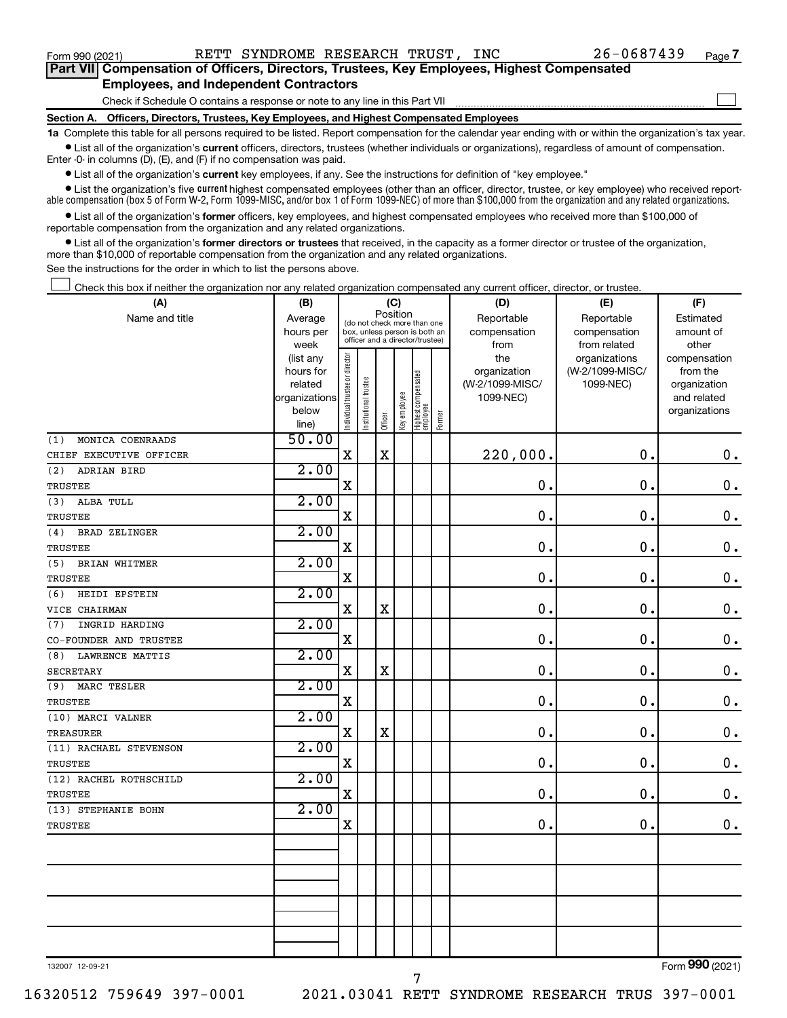$\Box$ 

| Part VII Compensation of Officers, Directors, Trustees, Key Employees, Highest Compensated |
|--------------------------------------------------------------------------------------------|
| <b>Employees, and Independent Contractors</b>                                              |

Check if Schedule O contains a response or note to any line in this Part VII

**Section A. Officers, Directors, Trustees, Key Employees, and Highest Compensated Employees**

**1a**  Complete this table for all persons required to be listed. Report compensation for the calendar year ending with or within the organization's tax year.  $\bullet$  List all of the organization's current officers, directors, trustees (whether individuals or organizations), regardless of amount of compensation.

Enter -0- in columns (D), (E), and (F) if no compensation was paid.

**•** List all of the organization's **current** key employees, if any. See the instructions for definition of "key employee."

• List the organization's five *current* highest compensated employees (other than an officer, director, trustee, or key employee) who received reportable compensation (box 5 of Form W-2, Form 1099-MISC, and/or box 1 of Form 1099-NEC) of more than \$100,000 from the organization and any related organizations.

 $\bullet$  List all of the organization's former officers, key employees, and highest compensated employees who received more than \$100,000 of reportable compensation from the organization and any related organizations.

**•** List all of the organization's former directors or trustees that received, in the capacity as a former director or trustee of the organization, more than \$10,000 of reportable compensation from the organization and any related organizations.

See the instructions for the order in which to list the persons above.

Check this box if neither the organization nor any related organization compensated any current officer, director, or trustee.  $\Box$ 

| (A)                         | (B)               |                                |                                                                  | (C)         |              |                                 |        | (D)             | (E)                           | (F)                   |  |
|-----------------------------|-------------------|--------------------------------|------------------------------------------------------------------|-------------|--------------|---------------------------------|--------|-----------------|-------------------------------|-----------------------|--|
| Name and title              | Average           |                                | (do not check more than one                                      | Position    |              |                                 |        | Reportable      | Reportable                    | Estimated             |  |
|                             | hours per         |                                | box, unless person is both an<br>officer and a director/trustee) |             |              |                                 |        | compensation    | compensation                  | amount of             |  |
|                             | week<br>(list any |                                |                                                                  |             |              |                                 |        | from<br>the     | from related<br>organizations | other<br>compensation |  |
|                             | hours for         | Individual trustee or director |                                                                  |             |              |                                 |        | organization    | (W-2/1099-MISC/               | from the              |  |
|                             | related           |                                |                                                                  |             |              |                                 |        | (W-2/1099-MISC/ | 1099-NEC)                     | organization          |  |
|                             | organizations     |                                |                                                                  |             |              |                                 |        | 1099-NEC)       |                               | and related           |  |
|                             | below             |                                | nstitutional trustee                                             |             | Key employee | Highest compensated<br>employee |        |                 |                               | organizations         |  |
|                             | line)             |                                |                                                                  | Officer     |              |                                 | Former |                 |                               |                       |  |
| MONICA COENRAADS<br>(1)     | 50.00             |                                |                                                                  |             |              |                                 |        |                 |                               |                       |  |
| CHIEF EXECUTIVE OFFICER     |                   | $\mathbf X$                    |                                                                  | $\mathbf X$ |              |                                 |        | 220,000.        | 0.                            | 0.                    |  |
| (2)<br>ADRIAN BIRD          | 2.00              |                                |                                                                  |             |              |                                 |        |                 |                               |                       |  |
| <b>TRUSTEE</b>              |                   | $\mathbf X$                    |                                                                  |             |              |                                 |        | $\mathbf 0$ .   | $\mathbf 0$ .                 | $\mathbf 0$ .         |  |
| ALBA TULL<br>(3)            | 2.00              |                                |                                                                  |             |              |                                 |        |                 |                               |                       |  |
| TRUSTEE                     |                   | $\mathbf X$                    |                                                                  |             |              |                                 |        | $\mathbf 0$     | $\mathbf 0$ .                 | $\mathbf 0$ .         |  |
| (4)<br><b>BRAD ZELINGER</b> | 2.00              |                                |                                                                  |             |              |                                 |        |                 |                               |                       |  |
| TRUSTEE                     |                   | X                              |                                                                  |             |              |                                 |        | $\mathbf 0$     | $\mathbf 0$ .                 | $\mathbf 0$ .         |  |
| (5)<br>BRIAN WHITMER        | 2.00              |                                |                                                                  |             |              |                                 |        |                 |                               |                       |  |
| <b>TRUSTEE</b>              |                   | $\mathbf X$                    |                                                                  |             |              |                                 |        | 0               | $\mathbf 0$ .                 | $\mathbf 0$ .         |  |
| HEIDI EPSTEIN<br>(6)        | 2.00              |                                |                                                                  |             |              |                                 |        |                 |                               |                       |  |
| VICE CHAIRMAN               |                   | $\mathbf X$                    |                                                                  | $\mathbf X$ |              |                                 |        | $\mathbf 0$     | $\mathbf 0$ .                 | 0.                    |  |
| INGRID HARDING<br>(7)       | 2.00              |                                |                                                                  |             |              |                                 |        |                 |                               |                       |  |
| CO-FOUNDER AND TRUSTEE      |                   | $\mathbf X$                    |                                                                  |             |              |                                 |        | 0.              | $\mathbf 0$ .                 | $\mathbf 0$ .         |  |
| (8)<br>LAWRENCE MATTIS      | 2.00              |                                |                                                                  |             |              |                                 |        |                 |                               |                       |  |
| SECRETARY                   |                   | X                              |                                                                  | $\mathbf X$ |              |                                 |        | $\mathbf 0$ .   | $\mathbf 0$ .                 | 0.                    |  |
| MARC TESLER<br>(9)          | 2.00              |                                |                                                                  |             |              |                                 |        |                 |                               |                       |  |
| <b>TRUSTEE</b>              |                   | $\mathbf X$                    |                                                                  |             |              |                                 |        | $\mathbf 0$ .   | $\mathbf 0$ .                 | $\mathbf 0$ .         |  |
| (10) MARCI VALNER           | 2.00              |                                |                                                                  |             |              |                                 |        |                 |                               |                       |  |
| <b>TREASURER</b>            |                   | $\mathbf X$                    |                                                                  | $\mathbf X$ |              |                                 |        | 0.              | 0.                            | $\mathbf 0$ .         |  |
| (11) RACHAEL STEVENSON      | 2.00              |                                |                                                                  |             |              |                                 |        |                 |                               |                       |  |
| <b>TRUSTEE</b>              |                   | $\mathbf X$                    |                                                                  |             |              |                                 |        | $\mathbf 0$     | $\mathbf 0$                   | $\mathbf 0$ .         |  |
| (12) RACHEL ROTHSCHILD      | 2.00              |                                |                                                                  |             |              |                                 |        |                 |                               |                       |  |
| <b>TRUSTEE</b>              |                   | X                              |                                                                  |             |              |                                 |        | 0               | $\mathbf 0$ .                 | $\mathbf 0$ .         |  |
| (13) STEPHANIE BOHN         | 2.00              |                                |                                                                  |             |              |                                 |        |                 |                               |                       |  |
| <b>TRUSTEE</b>              |                   | $\mathbf X$                    |                                                                  |             |              |                                 |        | 0.              | 0.                            | $0$ .                 |  |
|                             |                   |                                |                                                                  |             |              |                                 |        |                 |                               |                       |  |
|                             |                   |                                |                                                                  |             |              |                                 |        |                 |                               |                       |  |
|                             |                   |                                |                                                                  |             |              |                                 |        |                 |                               |                       |  |
|                             |                   |                                |                                                                  |             |              |                                 |        |                 |                               |                       |  |
|                             |                   |                                |                                                                  |             |              |                                 |        |                 |                               |                       |  |
|                             |                   |                                |                                                                  |             |              |                                 |        |                 |                               |                       |  |
|                             |                   |                                |                                                                  |             |              |                                 |        |                 |                               |                       |  |
|                             |                   |                                |                                                                  |             |              |                                 |        |                 |                               |                       |  |
| 132007 12-09-21             |                   |                                |                                                                  |             |              |                                 |        |                 |                               | Form 990 (2021)       |  |

7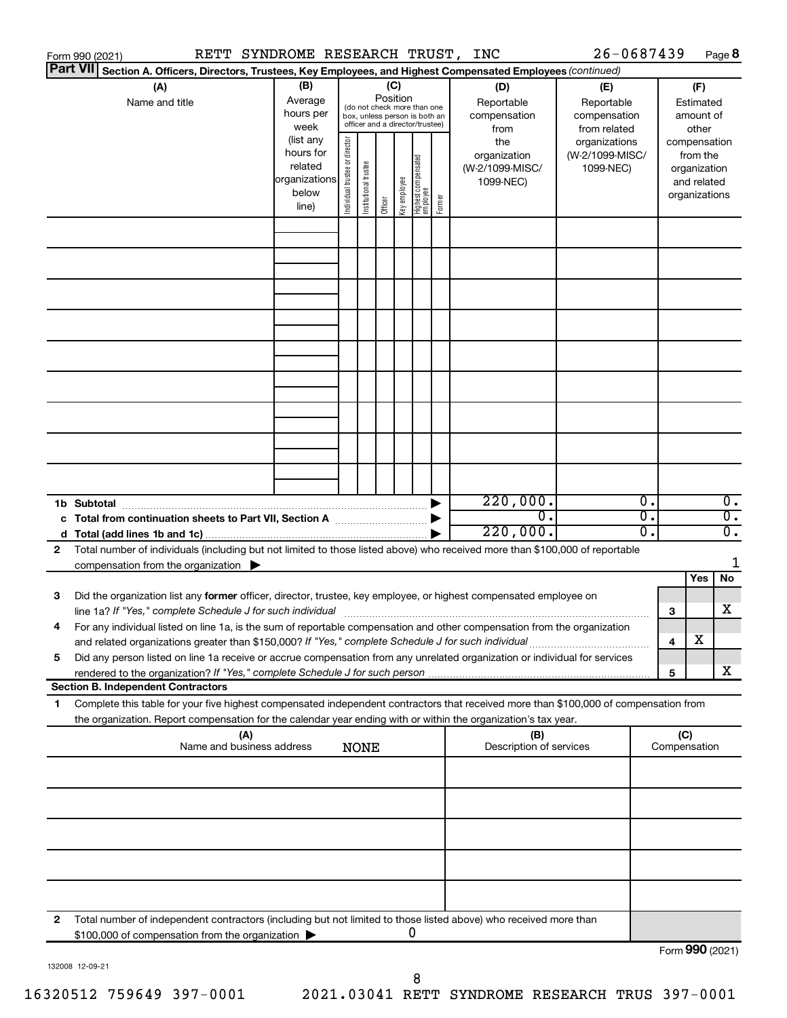|    | Form 990 (2021)                           | RETT SYNDROME RESEARCH TRUST,                                                                                                                                                                                                                          |                                                                      |                                |                       |         |                                                                                                 |                                   |                                           | INC                                                 | 26-0687439                                    |          |                                        |                                                                          | Page 8                               |
|----|-------------------------------------------|--------------------------------------------------------------------------------------------------------------------------------------------------------------------------------------------------------------------------------------------------------|----------------------------------------------------------------------|--------------------------------|-----------------------|---------|-------------------------------------------------------------------------------------------------|-----------------------------------|-------------------------------------------|-----------------------------------------------------|-----------------------------------------------|----------|----------------------------------------|--------------------------------------------------------------------------|--------------------------------------|
|    | <b>Part VII</b>                           | Section A. Officers, Directors, Trustees, Key Employees, and Highest Compensated Employees (continued)                                                                                                                                                 |                                                                      |                                |                       |         |                                                                                                 |                                   |                                           |                                                     |                                               |          |                                        |                                                                          |                                      |
|    | (A)<br>Name and title                     | (B)<br>Average<br>hours per<br>week                                                                                                                                                                                                                    |                                                                      |                                | (C)<br>Position       |         | (do not check more than one<br>box, unless person is both an<br>officer and a director/trustee) |                                   | (D)<br>Reportable<br>compensation<br>from | (E)<br>Reportable<br>compensation<br>from related   |                                               |          | (F)<br>Estimated<br>amount of<br>other |                                                                          |                                      |
|    |                                           |                                                                                                                                                                                                                                                        | (list any<br>hours for<br>related<br>organizations<br>below<br>line) | Individual trustee or director | Institutional trustee | Officer | Key employee                                                                                    | Highest compensated<br>  employee | Former                                    | the<br>organization<br>(W-2/1099-MISC/<br>1099-NEC) | organizations<br>(W-2/1099-MISC/<br>1099-NEC) |          |                                        | compensation<br>from the<br>organization<br>and related<br>organizations |                                      |
|    |                                           |                                                                                                                                                                                                                                                        |                                                                      |                                |                       |         |                                                                                                 |                                   |                                           |                                                     |                                               |          |                                        |                                                                          |                                      |
|    |                                           |                                                                                                                                                                                                                                                        |                                                                      |                                |                       |         |                                                                                                 |                                   |                                           |                                                     |                                               |          |                                        |                                                                          |                                      |
|    |                                           |                                                                                                                                                                                                                                                        |                                                                      |                                |                       |         |                                                                                                 |                                   |                                           |                                                     |                                               |          |                                        |                                                                          |                                      |
|    |                                           |                                                                                                                                                                                                                                                        |                                                                      |                                |                       |         |                                                                                                 |                                   |                                           |                                                     |                                               |          |                                        |                                                                          |                                      |
|    |                                           |                                                                                                                                                                                                                                                        |                                                                      |                                |                       |         |                                                                                                 |                                   |                                           |                                                     |                                               |          |                                        |                                                                          |                                      |
|    |                                           |                                                                                                                                                                                                                                                        |                                                                      |                                |                       |         |                                                                                                 |                                   |                                           |                                                     |                                               |          |                                        |                                                                          |                                      |
|    |                                           |                                                                                                                                                                                                                                                        |                                                                      |                                |                       |         |                                                                                                 |                                   |                                           |                                                     |                                               |          |                                        |                                                                          |                                      |
|    | 1b Subtotal                               |                                                                                                                                                                                                                                                        |                                                                      |                                |                       |         |                                                                                                 |                                   |                                           | 220,000.                                            |                                               | 0.       |                                        |                                                                          | $\overline{0}$ .                     |
|    |                                           | c Total from continuation sheets to Part VII, Section A manufactured by                                                                                                                                                                                |                                                                      |                                |                       |         |                                                                                                 |                                   |                                           | $\overline{0}$ .<br>220,000.                        |                                               | σ.<br>о. |                                        |                                                                          | $\overline{0}$ .<br>$\overline{0}$ . |
| 2  |                                           | Total number of individuals (including but not limited to those listed above) who received more than \$100,000 of reportable<br>compensation from the organization $\blacktriangleright$                                                               |                                                                      |                                |                       |         |                                                                                                 |                                   |                                           |                                                     |                                               |          |                                        |                                                                          | 1                                    |
| 3  |                                           | Did the organization list any former officer, director, trustee, key employee, or highest compensated employee on                                                                                                                                      |                                                                      |                                |                       |         |                                                                                                 |                                   |                                           |                                                     |                                               |          |                                        | Yes                                                                      | No                                   |
|    |                                           | line 1a? If "Yes," complete Schedule J for such individual manufactured content to the set of the set of the s<br>For any individual listed on line 1a, is the sum of reportable compensation and other compensation from the organization             |                                                                      |                                |                       |         |                                                                                                 |                                   |                                           |                                                     |                                               |          | 3                                      | х                                                                        | х                                    |
| 5  |                                           | and related organizations greater than \$150,000? If "Yes," complete Schedule J for such individual<br>Did any person listed on line 1a receive or accrue compensation from any unrelated organization or individual for services                      |                                                                      |                                |                       |         |                                                                                                 |                                   |                                           |                                                     |                                               |          | 4<br>5                                 |                                                                          | x                                    |
|    | <b>Section B. Independent Contractors</b> |                                                                                                                                                                                                                                                        |                                                                      |                                |                       |         |                                                                                                 |                                   |                                           |                                                     |                                               |          |                                        |                                                                          |                                      |
| 1. |                                           | Complete this table for your five highest compensated independent contractors that received more than \$100,000 of compensation from<br>the organization. Report compensation for the calendar year ending with or within the organization's tax year. |                                                                      |                                |                       |         |                                                                                                 |                                   |                                           |                                                     |                                               |          |                                        |                                                                          |                                      |
|    |                                           | (A)<br>Name and business address                                                                                                                                                                                                                       |                                                                      |                                | <b>NONE</b>           |         |                                                                                                 |                                   |                                           | (B)<br>Description of services                      |                                               |          | (C)<br>Compensation                    |                                                                          |                                      |
|    |                                           |                                                                                                                                                                                                                                                        |                                                                      |                                |                       |         |                                                                                                 |                                   |                                           |                                                     |                                               |          |                                        |                                                                          |                                      |
|    |                                           |                                                                                                                                                                                                                                                        |                                                                      |                                |                       |         |                                                                                                 |                                   |                                           |                                                     |                                               |          |                                        |                                                                          |                                      |
|    |                                           |                                                                                                                                                                                                                                                        |                                                                      |                                |                       |         |                                                                                                 |                                   |                                           |                                                     |                                               |          |                                        |                                                                          |                                      |
|    |                                           |                                                                                                                                                                                                                                                        |                                                                      |                                |                       |         |                                                                                                 |                                   |                                           |                                                     |                                               |          |                                        |                                                                          |                                      |
| 2  |                                           | Total number of independent contractors (including but not limited to those listed above) who received more than<br>\$100,000 of compensation from the organization                                                                                    |                                                                      |                                |                       |         |                                                                                                 | 0                                 |                                           |                                                     |                                               |          |                                        |                                                                          |                                      |
|    |                                           |                                                                                                                                                                                                                                                        |                                                                      |                                |                       |         |                                                                                                 |                                   |                                           |                                                     |                                               |          |                                        | Eorm $990(2021)$                                                         |                                      |

132008 12-09-21

Form (2021) **990**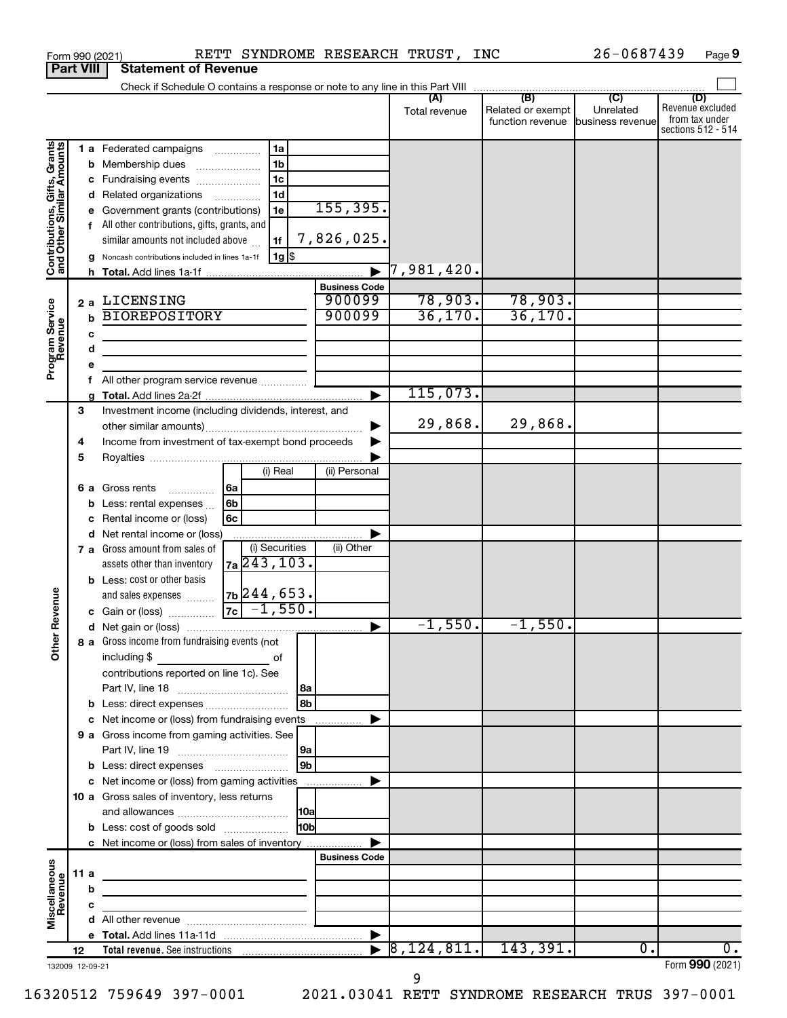|                                                           |                  |                   | RETT SYNDROME RESEARCH TRUST,<br>Form 990 (2021)                                                                      |                                |                      | <b>INC</b>                                                                    | 26-0687439                    | Page 9                                                          |
|-----------------------------------------------------------|------------------|-------------------|-----------------------------------------------------------------------------------------------------------------------|--------------------------------|----------------------|-------------------------------------------------------------------------------|-------------------------------|-----------------------------------------------------------------|
|                                                           | <b>Part VIII</b> |                   | <b>Statement of Revenue</b>                                                                                           |                                |                      |                                                                               |                               |                                                                 |
|                                                           |                  |                   | Check if Schedule O contains a response or note to any line in this Part VIII                                         |                                |                      | $\overline{(\mathsf{B})}$ $\overline{(\mathsf{C})}$ $\overline{(\mathsf{C})}$ |                               |                                                                 |
|                                                           |                  |                   |                                                                                                                       |                                | (A)<br>Total revenue | Related or exempt<br>function revenue                                         | Unrelated<br>business revenue | (D)<br>Revenue excluded<br>from tax under<br>sections 512 - 514 |
|                                                           |                  |                   | 1a<br>1 a Federated campaigns                                                                                         |                                |                      |                                                                               |                               |                                                                 |
| Contributions, Gifts, Grants<br>and Other Similar Amounts |                  | b                 | 1 <sub>b</sub><br>Membership dues                                                                                     |                                |                      |                                                                               |                               |                                                                 |
|                                                           |                  | c                 | 1 <sub>c</sub><br>Fundraising events                                                                                  |                                |                      |                                                                               |                               |                                                                 |
|                                                           |                  |                   | 1 <sub>d</sub><br>Related organizations<br>$\overline{\phantom{a}}$                                                   |                                |                      |                                                                               |                               |                                                                 |
|                                                           |                  |                   | Government grants (contributions)<br>1e                                                                               | 155, 395.                      |                      |                                                                               |                               |                                                                 |
|                                                           |                  |                   | All other contributions, gifts, grants, and                                                                           |                                |                      |                                                                               |                               |                                                                 |
|                                                           |                  |                   | similar amounts not included above<br>1f                                                                              | 7,826,025.                     |                      |                                                                               |                               |                                                                 |
|                                                           |                  |                   | $1g$ \$<br>Noncash contributions included in lines 1a-1f                                                              |                                |                      |                                                                               |                               |                                                                 |
|                                                           |                  | h.                |                                                                                                                       |                                | 7,981,420.           |                                                                               |                               |                                                                 |
|                                                           |                  |                   | LICENSING                                                                                                             | <b>Business Code</b><br>900099 | 78,903.              | 78,903.                                                                       |                               |                                                                 |
|                                                           |                  | 2a<br>$\mathbf b$ | <b>BIOREPOSITORY</b>                                                                                                  | 900099                         | 36, 170.             | 36, 170.                                                                      |                               |                                                                 |
|                                                           |                  | c                 |                                                                                                                       |                                |                      |                                                                               |                               |                                                                 |
|                                                           |                  | d                 |                                                                                                                       |                                |                      |                                                                               |                               |                                                                 |
| Program Service<br>Revenue                                |                  |                   |                                                                                                                       |                                |                      |                                                                               |                               |                                                                 |
|                                                           |                  | f                 |                                                                                                                       |                                |                      |                                                                               |                               |                                                                 |
|                                                           |                  |                   |                                                                                                                       |                                | 115,073.             |                                                                               |                               |                                                                 |
|                                                           | 3                |                   | Investment income (including dividends, interest, and                                                                 |                                |                      |                                                                               |                               |                                                                 |
|                                                           |                  |                   |                                                                                                                       |                                | 29,868.              | 29,868.                                                                       |                               |                                                                 |
|                                                           | 4                |                   | Income from investment of tax-exempt bond proceeds                                                                    |                                |                      |                                                                               |                               |                                                                 |
|                                                           | 5                |                   |                                                                                                                       |                                |                      |                                                                               |                               |                                                                 |
|                                                           |                  |                   | (i) Real                                                                                                              | (ii) Personal                  |                      |                                                                               |                               |                                                                 |
|                                                           |                  | 6а                | Gross rents<br>l 6a<br>.                                                                                              |                                |                      |                                                                               |                               |                                                                 |
|                                                           |                  | b                 | 6 <sub>b</sub><br>Less: rental expenses                                                                               |                                |                      |                                                                               |                               |                                                                 |
|                                                           |                  |                   | 6c<br>Rental income or (loss)<br>Net rental income or (loss)                                                          |                                |                      |                                                                               |                               |                                                                 |
|                                                           |                  | d                 | (i) Securities<br>7 a Gross amount from sales of                                                                      | (ii) Other                     |                      |                                                                               |                               |                                                                 |
|                                                           |                  |                   | 7a 243, 103.<br>assets other than inventory                                                                           |                                |                      |                                                                               |                               |                                                                 |
|                                                           |                  |                   | <b>b</b> Less: cost or other basis                                                                                    |                                |                      |                                                                               |                               |                                                                 |
|                                                           |                  |                   | <sub>7b</sub>  244,653.<br>and sales expenses                                                                         |                                |                      |                                                                               |                               |                                                                 |
| evenue                                                    |                  |                   | $\sqrt{-1,550}$ .<br>7c<br>c Gain or (loss)                                                                           |                                |                      |                                                                               |                               |                                                                 |
| Œ                                                         |                  |                   |                                                                                                                       |                                | $-1,550.$            | $-1,550.$                                                                     |                               |                                                                 |
| Other                                                     |                  |                   | 8 a Gross income from fundraising events (not                                                                         |                                |                      |                                                                               |                               |                                                                 |
|                                                           |                  |                   | including \$<br>of                                                                                                    |                                |                      |                                                                               |                               |                                                                 |
|                                                           |                  |                   | contributions reported on line 1c). See                                                                               |                                |                      |                                                                               |                               |                                                                 |
|                                                           |                  |                   |                                                                                                                       |                                |                      |                                                                               |                               |                                                                 |
|                                                           |                  |                   | 8b<br><b>b</b> Less: direct expenses                                                                                  |                                |                      |                                                                               |                               |                                                                 |
|                                                           |                  |                   | c Net income or (loss) from fundraising events<br>9 a Gross income from gaming activities. See                        |                                |                      |                                                                               |                               |                                                                 |
|                                                           |                  |                   |                                                                                                                       |                                |                      |                                                                               |                               |                                                                 |
|                                                           |                  |                   | 9b                                                                                                                    |                                |                      |                                                                               |                               |                                                                 |
|                                                           |                  |                   | c Net income or (loss) from gaming activities                                                                         |                                |                      |                                                                               |                               |                                                                 |
|                                                           |                  |                   | 10 a Gross sales of inventory, less returns                                                                           |                                |                      |                                                                               |                               |                                                                 |
|                                                           |                  |                   |                                                                                                                       |                                |                      |                                                                               |                               |                                                                 |
|                                                           |                  |                   | <b>HObl</b><br><b>b</b> Less: cost of goods sold                                                                      |                                |                      |                                                                               |                               |                                                                 |
|                                                           |                  |                   | c Net income or (loss) from sales of inventory                                                                        |                                |                      |                                                                               |                               |                                                                 |
|                                                           |                  |                   |                                                                                                                       | <b>Business Code</b>           |                      |                                                                               |                               |                                                                 |
|                                                           | 11 a             |                   | <u> 1989 - Johann Barbara, martin a bhann an t-Alban an t-Alban an t-Alban an t-Alban an t-Alban an t-Alban an t-</u> |                                |                      |                                                                               |                               |                                                                 |
|                                                           |                  | b                 | the control of the control of the control of the control of the control of                                            |                                |                      |                                                                               |                               |                                                                 |
| Miscellaneous<br>Revenue                                  |                  | с                 | the control of the control of the control of the                                                                      |                                |                      |                                                                               |                               |                                                                 |
|                                                           |                  |                   |                                                                                                                       |                                |                      |                                                                               |                               |                                                                 |
|                                                           | 12               |                   |                                                                                                                       |                                | 8,124,811.           | 143,391.                                                                      | $\overline{0}$ .              | $\overline{0}$ .                                                |
| 132009 12-09-21                                           |                  |                   |                                                                                                                       |                                |                      |                                                                               |                               | Form 990 (2021)                                                 |

**9**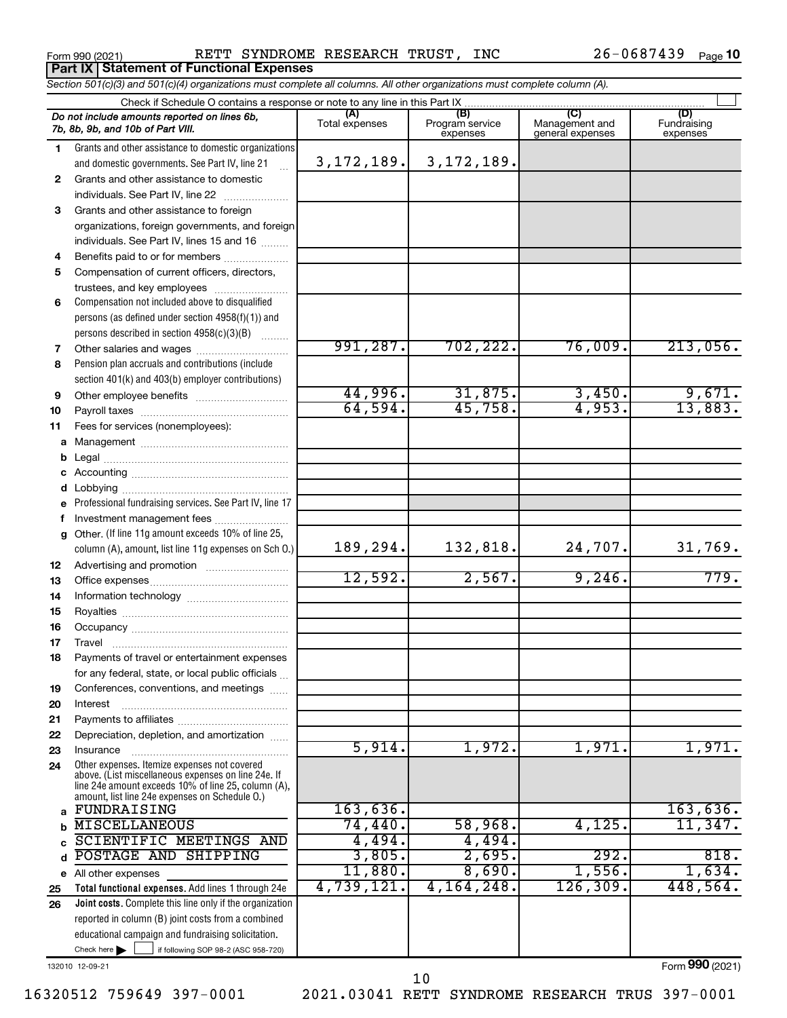Form 990 (2021) RETT SYNDROME RESEARCH TRUST , INC 26-0687439 <sub>Page</sub> **Part IX Statement of Functional Expenses**

26-0687439 Page 10

*Section 501(c)(3) and 501(c)(4) organizations must complete all columns. All other organizations must complete column (A).*

|         | Do not include amounts reported on lines 6b,<br>7b, 8b, 9b, and 10b of Part VIII.                   | (A)<br>Total expenses | (B)<br>Program service<br>expenses | (C)<br>Management and<br>general expenses | (D)<br>Fundraising<br>expenses |
|---------|-----------------------------------------------------------------------------------------------------|-----------------------|------------------------------------|-------------------------------------------|--------------------------------|
| 1.      | Grants and other assistance to domestic organizations                                               |                       |                                    |                                           |                                |
|         | and domestic governments. See Part IV, line 21                                                      | 3, 172, 189.          | 3, 172, 189.                       |                                           |                                |
| 2       | Grants and other assistance to domestic                                                             |                       |                                    |                                           |                                |
|         | individuals. See Part IV, line 22                                                                   |                       |                                    |                                           |                                |
| 3       | Grants and other assistance to foreign                                                              |                       |                                    |                                           |                                |
|         | organizations, foreign governments, and foreign                                                     |                       |                                    |                                           |                                |
|         | individuals. See Part IV, lines 15 and 16                                                           |                       |                                    |                                           |                                |
| 4       | Benefits paid to or for members                                                                     |                       |                                    |                                           |                                |
| 5       | Compensation of current officers, directors,                                                        |                       |                                    |                                           |                                |
|         | trustees, and key employees                                                                         |                       |                                    |                                           |                                |
| 6       | Compensation not included above to disqualified                                                     |                       |                                    |                                           |                                |
|         | persons (as defined under section 4958(f)(1)) and                                                   |                       |                                    |                                           |                                |
|         | persons described in section 4958(c)(3)(B)                                                          |                       |                                    |                                           |                                |
| 7       | Other salaries and wages                                                                            | 991,287.              | 702, 222.                          | 76,009.                                   | 213,056.                       |
| 8       | Pension plan accruals and contributions (include                                                    |                       |                                    |                                           |                                |
|         | section 401(k) and 403(b) employer contributions)                                                   | 44,996.               | 31,875.                            | 3,450.                                    | 9,671.                         |
| 9<br>10 | Other employee benefits                                                                             | 64,594.               | 45,758.                            | 4,953.                                    | 13,883.                        |
| 11      | Fees for services (nonemployees):                                                                   |                       |                                    |                                           |                                |
| a       |                                                                                                     |                       |                                    |                                           |                                |
| b       |                                                                                                     |                       |                                    |                                           |                                |
| с       |                                                                                                     |                       |                                    |                                           |                                |
| d       |                                                                                                     |                       |                                    |                                           |                                |
| е       | Professional fundraising services. See Part IV, line 17                                             |                       |                                    |                                           |                                |
| f       | Investment management fees                                                                          |                       |                                    |                                           |                                |
| a       | Other. (If line 11g amount exceeds 10% of line 25,                                                  |                       |                                    |                                           |                                |
|         | column (A), amount, list line 11g expenses on Sch O.)                                               | 189,294.              | 132,818.                           | 24, 707.                                  | 31,769.                        |
| 12      |                                                                                                     |                       |                                    |                                           |                                |
| 13      |                                                                                                     | 12,592.               | 2,567.                             | 9,246.                                    | 779.                           |
| 14      |                                                                                                     |                       |                                    |                                           |                                |
| 15      |                                                                                                     |                       |                                    |                                           |                                |
| 16      |                                                                                                     |                       |                                    |                                           |                                |
| 17      |                                                                                                     |                       |                                    |                                           |                                |
| 18      | Payments of travel or entertainment expenses<br>for any federal, state, or local public officials   |                       |                                    |                                           |                                |
| 19      | Conferences, conventions, and meetings                                                              |                       |                                    |                                           |                                |
| 20      | Interest                                                                                            |                       |                                    |                                           |                                |
| 21      |                                                                                                     |                       |                                    |                                           |                                |
| 22      | Depreciation, depletion, and amortization                                                           |                       |                                    |                                           |                                |
| 23      | Insurance                                                                                           | 5,914.                | 1,972.                             | 1,971.                                    | 1,971.                         |
| 24      | Other expenses. Itemize expenses not covered<br>above. (List miscellaneous expenses on line 24e. If |                       |                                    |                                           |                                |
|         | line 24e amount exceeds 10% of line 25, column (A),                                                 |                       |                                    |                                           |                                |
|         | amount, list line 24e expenses on Schedule O.)<br>FUNDRAISING                                       | 163,636.              |                                    |                                           | 163,636.                       |
| a       | <b>MISCELLANEOUS</b>                                                                                | 74,440.               | 58,968.                            | 4,125.                                    | 11,347.                        |
| b       | SCIENTIFIC MEETINGS AND                                                                             | 4,494.                | 4,494.                             |                                           |                                |
| d       | POSTAGE AND SHIPPING                                                                                | 3,805.                | 2,695.                             | 292.                                      | 818.                           |
| е       | All other expenses                                                                                  | 11,880.               | 8,690.                             | 1,556.                                    | 1,634.                         |
| 25      | Total functional expenses. Add lines 1 through 24e                                                  | 4,739,121.            | 4,164,248.                         | 126,309.                                  | 448,564.                       |
| 26      | Joint costs. Complete this line only if the organization                                            |                       |                                    |                                           |                                |
|         | reported in column (B) joint costs from a combined                                                  |                       |                                    |                                           |                                |
|         | educational campaign and fundraising solicitation.                                                  |                       |                                    |                                           |                                |
|         | Check here $\blacktriangleright$<br>if following SOP 98-2 (ASC 958-720)                             |                       |                                    |                                           |                                |

132010 12-09-21

Form (2021) **990**

16320512 759649 397-0001 2021.03041 RETT SYNDROME RESEARCH TRUS 397-0001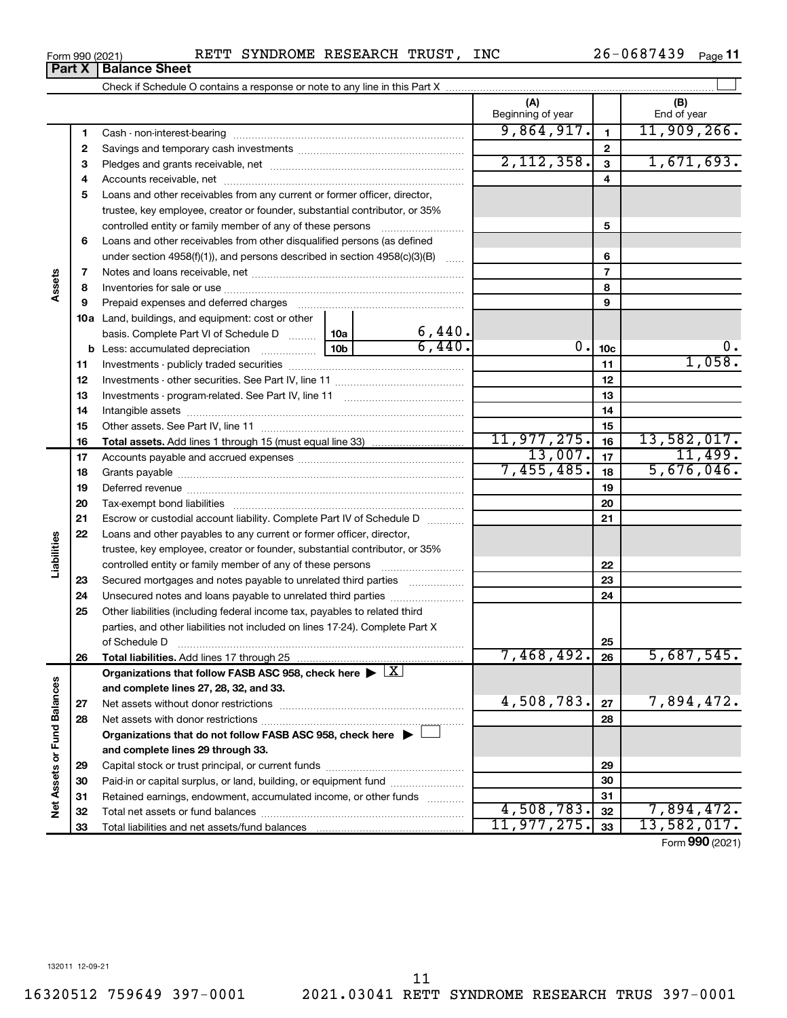26-0687439 Page 11

|                             | Part X | <b>Balance Sheet</b>                                                                       |            |                       |                          |                 |                    |
|-----------------------------|--------|--------------------------------------------------------------------------------------------|------------|-----------------------|--------------------------|-----------------|--------------------|
|                             |        |                                                                                            |            |                       |                          |                 |                    |
|                             |        |                                                                                            |            |                       | (A)<br>Beginning of year |                 | (B)<br>End of year |
|                             | 1      |                                                                                            |            |                       | 9,864,917.               | $\mathbf 1$     | 11,909,266.        |
|                             | 2      |                                                                                            |            |                       |                          | $\mathbf{2}$    |                    |
|                             | 3      |                                                                                            | 2,112,358. | 3                     | 1,671,693.               |                 |                    |
|                             | 4      |                                                                                            |            | 4                     |                          |                 |                    |
|                             | 5      | Loans and other receivables from any current or former officer, director,                  |            |                       |                          |                 |                    |
|                             |        | trustee, key employee, creator or founder, substantial contributor, or 35%                 |            |                       |                          |                 |                    |
|                             |        |                                                                                            |            |                       |                          | 5               |                    |
|                             | 6      | Loans and other receivables from other disqualified persons (as defined                    |            |                       |                          |                 |                    |
|                             |        | under section 4958(f)(1)), and persons described in section 4958(c)(3)(B)                  |            |                       |                          | 6               |                    |
|                             | 7      |                                                                                            |            |                       |                          | 7               |                    |
| Assets                      | 8      |                                                                                            |            |                       |                          | 8               |                    |
|                             | 9      |                                                                                            |            |                       |                          | 9               |                    |
|                             |        | <b>10a</b> Land, buildings, and equipment: cost or other                                   |            |                       |                          |                 |                    |
|                             |        | basis. Complete Part VI of Schedule D  10a                                                 |            |                       |                          |                 |                    |
|                             |        |                                                                                            |            | $\frac{6,440}{6,440}$ | 0.                       | 10 <sub>c</sub> | υ.                 |
|                             | 11     |                                                                                            |            |                       |                          | 11              | 1,058.             |
|                             | 12     |                                                                                            |            | 12                    |                          |                 |                    |
|                             | 13     |                                                                                            |            |                       | 13                       |                 |                    |
|                             | 14     |                                                                                            |            | 14                    |                          |                 |                    |
|                             | 15     |                                                                                            |            | 15                    |                          |                 |                    |
|                             | 16     |                                                                                            |            |                       | 11,977,275.              | 16              | 13,582,017.        |
|                             | 17     |                                                                                            | 13,007.    | 17                    | 11,499.                  |                 |                    |
|                             | 18     |                                                                                            |            |                       | 7,455,485.               | 18              | 5,676,046.         |
|                             | 19     |                                                                                            |            |                       |                          | 19              |                    |
|                             | 20     |                                                                                            |            |                       |                          | 20              |                    |
|                             | 21     | Escrow or custodial account liability. Complete Part IV of Schedule D                      |            |                       |                          | 21              |                    |
|                             | 22     | Loans and other payables to any current or former officer, director,                       |            |                       |                          |                 |                    |
| Liabilities                 |        | trustee, key employee, creator or founder, substantial contributor, or 35%                 |            |                       |                          |                 |                    |
|                             |        | controlled entity or family member of any of these persons                                 |            |                       |                          | 22              |                    |
|                             | 23     | Secured mortgages and notes payable to unrelated third parties                             |            |                       |                          | 23              |                    |
|                             | 24     | Unsecured notes and loans payable to unrelated third parties                               |            |                       |                          | 24              |                    |
|                             | 25     | Other liabilities (including federal income tax, payables to related third                 |            |                       |                          |                 |                    |
|                             |        | parties, and other liabilities not included on lines 17-24). Complete Part X               |            |                       |                          |                 |                    |
|                             |        | of Schedule D                                                                              |            |                       |                          | 25              |                    |
|                             | 26     | Total liabilities. Add lines 17 through 25                                                 |            |                       | 7,468,492.               | 26              | 5,687,545.         |
|                             |        | Organizations that follow FASB ASC 958, check here $\blacktriangleright \lfloor X \rfloor$ |            |                       |                          |                 |                    |
|                             |        | and complete lines 27, 28, 32, and 33.                                                     |            |                       |                          |                 |                    |
|                             | 27     |                                                                                            |            |                       | 4,508,783.               | 27              | 7,894,472.         |
|                             | 28     |                                                                                            |            |                       |                          | 28              |                    |
|                             |        | Organizations that do not follow FASB ASC 958, check here $\blacktriangleright$            |            |                       |                          |                 |                    |
|                             |        | and complete lines 29 through 33.                                                          |            |                       |                          |                 |                    |
|                             | 29     |                                                                                            |            |                       |                          | 29              |                    |
|                             | 30     | Paid-in or capital surplus, or land, building, or equipment fund                           |            |                       |                          | 30              |                    |
| Net Assets or Fund Balances | 31     | Retained earnings, endowment, accumulated income, or other funds                           |            |                       |                          | 31              |                    |
|                             | 32     |                                                                                            |            |                       | 4,508,783.               | 32              | 7,894,472.         |
|                             | 33     |                                                                                            |            |                       | 11, 977, 275.            | 33              | 13,582,017.        |

Form (2021) **990**

16320512 759649 397-0001 2021.03041 RETT SYNDROME RESEARCH TRUS 397-0001 11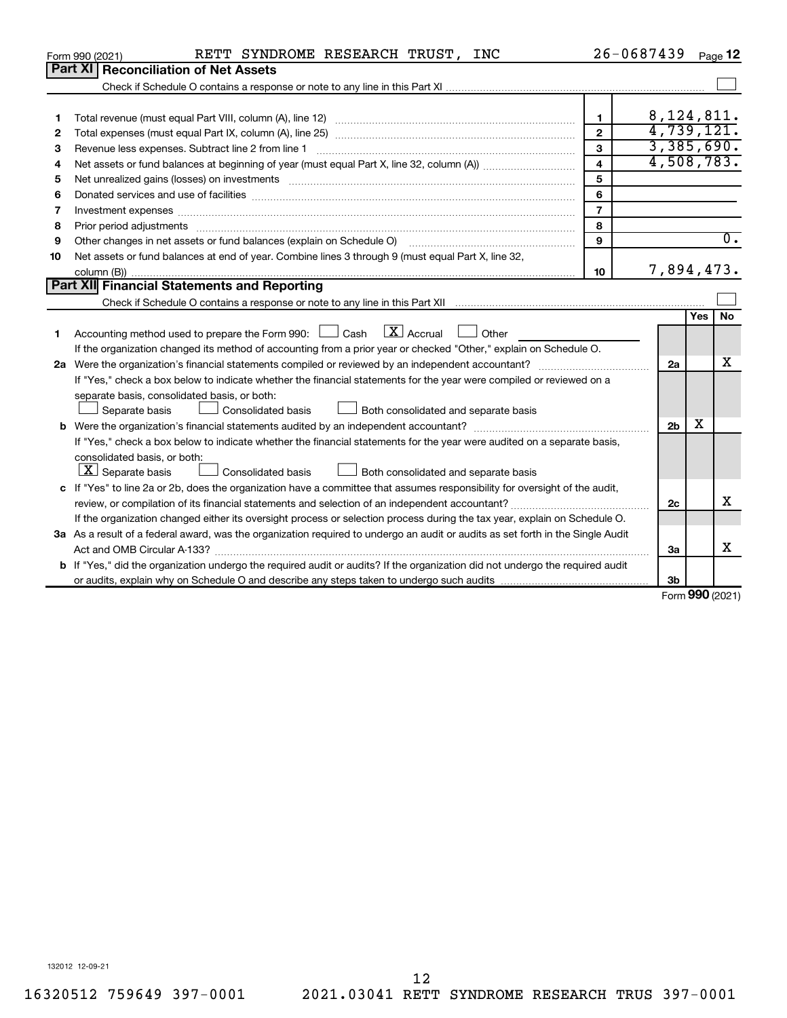|    | RETT SYNDROME RESEARCH TRUST, INC<br>Form 990 (2021)                                                                                                                                                                           |                         | 26-0687439     |                 | Page 12          |
|----|--------------------------------------------------------------------------------------------------------------------------------------------------------------------------------------------------------------------------------|-------------------------|----------------|-----------------|------------------|
|    | Part XI   Reconciliation of Net Assets                                                                                                                                                                                         |                         |                |                 |                  |
|    |                                                                                                                                                                                                                                |                         |                |                 |                  |
|    |                                                                                                                                                                                                                                |                         |                |                 |                  |
| 1  |                                                                                                                                                                                                                                | 1                       | 8, 124, 811.   |                 |                  |
| 2  |                                                                                                                                                                                                                                | $\mathbf{2}$            | 4,739,121.     |                 |                  |
| З  | Revenue less expenses. Subtract line 2 from line 1                                                                                                                                                                             | 3                       | 3,385,690.     |                 |                  |
| 4  |                                                                                                                                                                                                                                | $\overline{\mathbf{4}}$ | 4,508,783.     |                 |                  |
| 5  |                                                                                                                                                                                                                                | 5                       |                |                 |                  |
| 6  |                                                                                                                                                                                                                                | 6                       |                |                 |                  |
| 7  |                                                                                                                                                                                                                                | $\overline{7}$          |                |                 |                  |
| 8  | Prior period adjustments material contents and content and content and content and content and content and content and content and content and content and content and content and content and content and content and content | 8                       |                |                 |                  |
| 9  | Other changes in net assets or fund balances (explain on Schedule O) manufactured controller changes in net assets or fund balances (explain on Schedule O)                                                                    | 9                       |                |                 | $\overline{0}$ . |
| 10 | Net assets or fund balances at end of year. Combine lines 3 through 9 (must equal Part X, line 32,                                                                                                                             |                         |                |                 |                  |
|    |                                                                                                                                                                                                                                | 10                      | 7,894,473.     |                 |                  |
|    | Part XII Financial Statements and Reporting                                                                                                                                                                                    |                         |                |                 |                  |
|    |                                                                                                                                                                                                                                |                         |                |                 |                  |
|    |                                                                                                                                                                                                                                |                         |                | Yes             | No               |
| 1  | $\lfloor x \rfloor$ Accrual<br>Accounting method used to prepare the Form 990: [13] Cash<br>Other<br><b>Contract</b>                                                                                                           |                         |                |                 |                  |
|    | If the organization changed its method of accounting from a prior year or checked "Other," explain on Schedule O.                                                                                                              |                         |                |                 |                  |
|    |                                                                                                                                                                                                                                |                         | 2a             |                 | x                |
|    | If "Yes," check a box below to indicate whether the financial statements for the year were compiled or reviewed on a                                                                                                           |                         |                |                 |                  |
|    | separate basis, consolidated basis, or both:                                                                                                                                                                                   |                         |                |                 |                  |
|    | Both consolidated and separate basis<br>Separate basis<br>Consolidated basis                                                                                                                                                   |                         |                |                 |                  |
|    |                                                                                                                                                                                                                                |                         | 2 <sub>b</sub> | x               |                  |
|    | If "Yes," check a box below to indicate whether the financial statements for the year were audited on a separate basis,                                                                                                        |                         |                |                 |                  |
|    | consolidated basis, or both:                                                                                                                                                                                                   |                         |                |                 |                  |
|    | $ \mathbf{X} $ Separate basis<br>Consolidated basis<br>Both consolidated and separate basis                                                                                                                                    |                         |                |                 |                  |
|    | c If "Yes" to line 2a or 2b, does the organization have a committee that assumes responsibility for oversight of the audit,                                                                                                    |                         |                |                 |                  |
|    |                                                                                                                                                                                                                                |                         | 2c             |                 | x                |
|    | If the organization changed either its oversight process or selection process during the tax year, explain on Schedule O.                                                                                                      |                         |                |                 |                  |
|    | 3a As a result of a federal award, was the organization required to undergo an audit or audits as set forth in the Single Audit                                                                                                |                         |                |                 |                  |
|    |                                                                                                                                                                                                                                |                         | 3a             |                 | x                |
|    | <b>b</b> If "Yes," did the organization undergo the required audit or audits? If the organization did not undergo the required audit                                                                                           |                         |                |                 |                  |
|    |                                                                                                                                                                                                                                |                         | 3b             |                 |                  |
|    |                                                                                                                                                                                                                                |                         |                | $000 \times 22$ |                  |

Form (2021) **990**

132012 12-09-21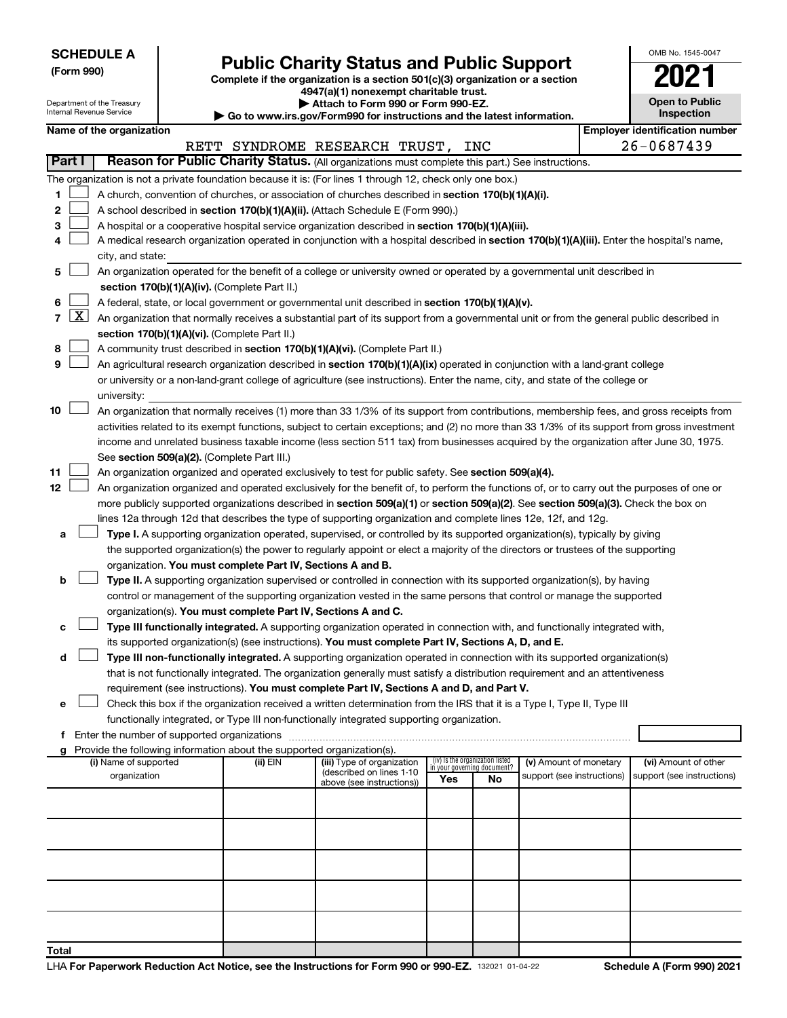| <b>SCHEDULE A</b> |
|-------------------|
|-------------------|

Department of the Treasury Internal Revenue Service

# Form 990)<br> **Complete if the organization is a section 501(c)(3) organization or a section**<br> **Public Charity Status and Public Support**

**4947(a)(1) nonexempt charitable trust.**

**| Attach to Form 990 or Form 990-EZ. | Go to www.irs.gov/Form990 for instructions and the latest information.**

| <b>Open to Public</b><br>Inspection |  |
|-------------------------------------|--|

OMB No. 1545-0047

| Name of the organization |  |
|--------------------------|--|
|--------------------------|--|

|        | Name of the organization                                                                                                                                                                                                                                        |          |                                   |                                    |    |                            |  | <b>Employer identification number</b> |
|--------|-----------------------------------------------------------------------------------------------------------------------------------------------------------------------------------------------------------------------------------------------------------------|----------|-----------------------------------|------------------------------------|----|----------------------------|--|---------------------------------------|
|        |                                                                                                                                                                                                                                                                 |          | RETT SYNDROME RESEARCH TRUST, INC |                                    |    |                            |  | $26 - 0687439$                        |
| Part I | Reason for Public Charity Status. (All organizations must complete this part.) See instructions.                                                                                                                                                                |          |                                   |                                    |    |                            |  |                                       |
|        | The organization is not a private foundation because it is: (For lines 1 through 12, check only one box.)                                                                                                                                                       |          |                                   |                                    |    |                            |  |                                       |
| 1.     | A church, convention of churches, or association of churches described in section 170(b)(1)(A)(i).                                                                                                                                                              |          |                                   |                                    |    |                            |  |                                       |
| 2      | A school described in section 170(b)(1)(A)(ii). (Attach Schedule E (Form 990).)                                                                                                                                                                                 |          |                                   |                                    |    |                            |  |                                       |
| 3.     | A hospital or a cooperative hospital service organization described in section 170(b)(1)(A)(iii).                                                                                                                                                               |          |                                   |                                    |    |                            |  |                                       |
| 4      | A medical research organization operated in conjunction with a hospital described in section 170(b)(1)(A)(iii). Enter the hospital's name,                                                                                                                      |          |                                   |                                    |    |                            |  |                                       |
|        | city, and state:                                                                                                                                                                                                                                                |          |                                   |                                    |    |                            |  |                                       |
| 5.     | An organization operated for the benefit of a college or university owned or operated by a governmental unit described in                                                                                                                                       |          |                                   |                                    |    |                            |  |                                       |
|        | section 170(b)(1)(A)(iv). (Complete Part II.)                                                                                                                                                                                                                   |          |                                   |                                    |    |                            |  |                                       |
| 6.     | A federal, state, or local government or governmental unit described in section 170(b)(1)(A)(v).                                                                                                                                                                |          |                                   |                                    |    |                            |  |                                       |
|        | 7 $ X $ An organization that normally receives a substantial part of its support from a governmental unit or from the general public described in                                                                                                               |          |                                   |                                    |    |                            |  |                                       |
|        | section 170(b)(1)(A)(vi). (Complete Part II.)                                                                                                                                                                                                                   |          |                                   |                                    |    |                            |  |                                       |
| 8<br>9 | A community trust described in section 170(b)(1)(A)(vi). (Complete Part II.)                                                                                                                                                                                    |          |                                   |                                    |    |                            |  |                                       |
|        | An agricultural research organization described in section 170(b)(1)(A)(ix) operated in conjunction with a land-grant college<br>or university or a non-land-grant college of agriculture (see instructions). Enter the name, city, and state of the college or |          |                                   |                                    |    |                            |  |                                       |
|        | university:                                                                                                                                                                                                                                                     |          |                                   |                                    |    |                            |  |                                       |
| 10     | An organization that normally receives (1) more than 33 1/3% of its support from contributions, membership fees, and gross receipts from                                                                                                                        |          |                                   |                                    |    |                            |  |                                       |
|        | activities related to its exempt functions, subject to certain exceptions; and (2) no more than 33 1/3% of its support from gross investment                                                                                                                    |          |                                   |                                    |    |                            |  |                                       |
|        | income and unrelated business taxable income (less section 511 tax) from businesses acquired by the organization after June 30, 1975.                                                                                                                           |          |                                   |                                    |    |                            |  |                                       |
|        | See section 509(a)(2). (Complete Part III.)                                                                                                                                                                                                                     |          |                                   |                                    |    |                            |  |                                       |
| 11     | An organization organized and operated exclusively to test for public safety. See section 509(a)(4).                                                                                                                                                            |          |                                   |                                    |    |                            |  |                                       |
| 12     | An organization organized and operated exclusively for the benefit of, to perform the functions of, or to carry out the purposes of one or                                                                                                                      |          |                                   |                                    |    |                            |  |                                       |
|        | more publicly supported organizations described in section 509(a)(1) or section 509(a)(2). See section 509(a)(3). Check the box on                                                                                                                              |          |                                   |                                    |    |                            |  |                                       |
|        | lines 12a through 12d that describes the type of supporting organization and complete lines 12e, 12f, and 12g.                                                                                                                                                  |          |                                   |                                    |    |                            |  |                                       |
| а      | Type I. A supporting organization operated, supervised, or controlled by its supported organization(s), typically by giving                                                                                                                                     |          |                                   |                                    |    |                            |  |                                       |
|        | the supported organization(s) the power to regularly appoint or elect a majority of the directors or trustees of the supporting                                                                                                                                 |          |                                   |                                    |    |                            |  |                                       |
|        | organization. You must complete Part IV, Sections A and B.                                                                                                                                                                                                      |          |                                   |                                    |    |                            |  |                                       |
| b      | Type II. A supporting organization supervised or controlled in connection with its supported organization(s), by having                                                                                                                                         |          |                                   |                                    |    |                            |  |                                       |
|        | control or management of the supporting organization vested in the same persons that control or manage the supported                                                                                                                                            |          |                                   |                                    |    |                            |  |                                       |
|        | organization(s). You must complete Part IV, Sections A and C.                                                                                                                                                                                                   |          |                                   |                                    |    |                            |  |                                       |
| с      | Type III functionally integrated. A supporting organization operated in connection with, and functionally integrated with,                                                                                                                                      |          |                                   |                                    |    |                            |  |                                       |
|        | its supported organization(s) (see instructions). You must complete Part IV, Sections A, D, and E.                                                                                                                                                              |          |                                   |                                    |    |                            |  |                                       |
| d      | Type III non-functionally integrated. A supporting organization operated in connection with its supported organization(s)                                                                                                                                       |          |                                   |                                    |    |                            |  |                                       |
|        | that is not functionally integrated. The organization generally must satisfy a distribution requirement and an attentiveness                                                                                                                                    |          |                                   |                                    |    |                            |  |                                       |
|        | requirement (see instructions). You must complete Part IV, Sections A and D, and Part V.                                                                                                                                                                        |          |                                   |                                    |    |                            |  |                                       |
|        | Check this box if the organization received a written determination from the IRS that it is a Type I, Type II, Type III                                                                                                                                         |          |                                   |                                    |    |                            |  |                                       |
|        | functionally integrated, or Type III non-functionally integrated supporting organization.                                                                                                                                                                       |          |                                   |                                    |    |                            |  |                                       |
|        | f Enter the number of supported organizations                                                                                                                                                                                                                   |          |                                   |                                    |    |                            |  |                                       |
|        | g Provide the following information about the supported organization(s).<br>(i) Name of supported                                                                                                                                                               | (ii) EIN | (iii) Type of organization        | (iv) Is the organization listed    |    | (v) Amount of monetary     |  | (vi) Amount of other                  |
|        | organization                                                                                                                                                                                                                                                    |          | (described on lines 1-10          | in your governing document?<br>Yes | No | support (see instructions) |  | support (see instructions)            |
|        |                                                                                                                                                                                                                                                                 |          | above (see instructions))         |                                    |    |                            |  |                                       |
|        |                                                                                                                                                                                                                                                                 |          |                                   |                                    |    |                            |  |                                       |
|        |                                                                                                                                                                                                                                                                 |          |                                   |                                    |    |                            |  |                                       |
|        |                                                                                                                                                                                                                                                                 |          |                                   |                                    |    |                            |  |                                       |
|        |                                                                                                                                                                                                                                                                 |          |                                   |                                    |    |                            |  |                                       |
|        |                                                                                                                                                                                                                                                                 |          |                                   |                                    |    |                            |  |                                       |
|        |                                                                                                                                                                                                                                                                 |          |                                   |                                    |    |                            |  |                                       |
|        |                                                                                                                                                                                                                                                                 |          |                                   |                                    |    |                            |  |                                       |
|        |                                                                                                                                                                                                                                                                 |          |                                   |                                    |    |                            |  |                                       |
|        |                                                                                                                                                                                                                                                                 |          |                                   |                                    |    |                            |  |                                       |
| Total  |                                                                                                                                                                                                                                                                 |          |                                   |                                    |    |                            |  |                                       |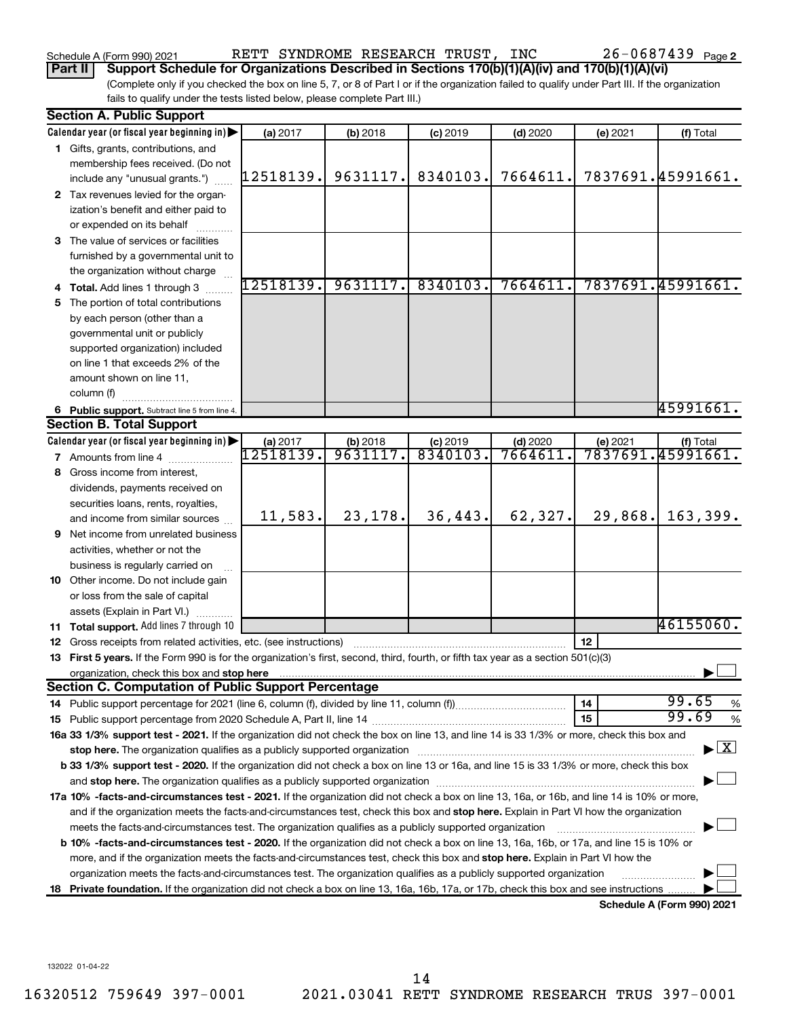| Schedule A (Form 990) 2021 |  |  |
|----------------------------|--|--|
|                            |  |  |

Schedule A (Form 990) 2021 RETT SYNDROME RESEARCH TRUST , INC 26-0687439 <sub>Page</sub>

**Part II Support Schedule for Organizations Described in Sections 170(b)(1)(A)(iv) and 170(b)(1)(A)(vi)**

(Complete only if you checked the box on line 5, 7, or 8 of Part I or if the organization failed to qualify under Part III. If the organization fails to qualify under the tests listed below, please complete Part III.)

|     | <b>Section A. Public Support</b>                                                                                                                                                                                               |                   |          |            |            |          |                                    |
|-----|--------------------------------------------------------------------------------------------------------------------------------------------------------------------------------------------------------------------------------|-------------------|----------|------------|------------|----------|------------------------------------|
|     | Calendar year (or fiscal year beginning in)                                                                                                                                                                                    | (a) 2017          | (b) 2018 | $(c)$ 2019 | $(d)$ 2020 | (e) 2021 | (f) Total                          |
|     | 1 Gifts, grants, contributions, and                                                                                                                                                                                            |                   |          |            |            |          |                                    |
|     | membership fees received. (Do not                                                                                                                                                                                              |                   |          |            |            |          |                                    |
|     | include any "unusual grants.")                                                                                                                                                                                                 | 12518139.         | 9631117. | 8340103.   | 7664611.   |          | 7837691.45991661.                  |
|     | 2 Tax revenues levied for the organ-                                                                                                                                                                                           |                   |          |            |            |          |                                    |
|     | ization's benefit and either paid to                                                                                                                                                                                           |                   |          |            |            |          |                                    |
|     | or expended on its behalf                                                                                                                                                                                                      |                   |          |            |            |          |                                    |
|     | 3 The value of services or facilities                                                                                                                                                                                          |                   |          |            |            |          |                                    |
|     | furnished by a governmental unit to                                                                                                                                                                                            |                   |          |            |            |          |                                    |
|     | the organization without charge                                                                                                                                                                                                |                   |          |            |            |          |                                    |
|     | 4 Total. Add lines 1 through 3                                                                                                                                                                                                 | 12518139.         | 9631117. | 8340103.   | 7664611.   |          | 7837691.45991661.                  |
| 5.  | The portion of total contributions                                                                                                                                                                                             |                   |          |            |            |          |                                    |
|     | by each person (other than a                                                                                                                                                                                                   |                   |          |            |            |          |                                    |
|     | governmental unit or publicly                                                                                                                                                                                                  |                   |          |            |            |          |                                    |
|     | supported organization) included                                                                                                                                                                                               |                   |          |            |            |          |                                    |
|     | on line 1 that exceeds 2% of the                                                                                                                                                                                               |                   |          |            |            |          |                                    |
|     | amount shown on line 11,                                                                                                                                                                                                       |                   |          |            |            |          |                                    |
|     | column (f)                                                                                                                                                                                                                     |                   |          |            |            |          |                                    |
|     | 6 Public support. Subtract line 5 from line 4.                                                                                                                                                                                 |                   |          |            |            |          | 45991661.                          |
|     | <b>Section B. Total Support</b>                                                                                                                                                                                                |                   |          |            |            |          |                                    |
|     | Calendar year (or fiscal year beginning in)                                                                                                                                                                                    | (a) 2017          | (b) 2018 | $(c)$ 2019 | $(d)$ 2020 | (e) 2021 | (f) Total                          |
|     | 7 Amounts from line 4                                                                                                                                                                                                          | 12518139 <b>.</b> | 9631117. | 8340103    | 7664611    |          | 7837691.45991661.                  |
| 8   | Gross income from interest.                                                                                                                                                                                                    |                   |          |            |            |          |                                    |
|     | dividends, payments received on                                                                                                                                                                                                |                   |          |            |            |          |                                    |
|     | securities loans, rents, royalties,                                                                                                                                                                                            |                   |          |            |            |          |                                    |
|     | and income from similar sources                                                                                                                                                                                                | 11,583.           | 23,178.  | 36,443.    | 62,327.    | 29,868.  | 163,399.                           |
| 9   | Net income from unrelated business                                                                                                                                                                                             |                   |          |            |            |          |                                    |
|     | activities, whether or not the                                                                                                                                                                                                 |                   |          |            |            |          |                                    |
|     | business is regularly carried on                                                                                                                                                                                               |                   |          |            |            |          |                                    |
|     | 10 Other income. Do not include gain                                                                                                                                                                                           |                   |          |            |            |          |                                    |
|     | or loss from the sale of capital                                                                                                                                                                                               |                   |          |            |            |          |                                    |
|     | assets (Explain in Part VI.)                                                                                                                                                                                                   |                   |          |            |            |          |                                    |
|     | 11 Total support. Add lines 7 through 10                                                                                                                                                                                       |                   |          |            |            |          | 46155060.                          |
|     | <b>12</b> Gross receipts from related activities, etc. (see instructions)                                                                                                                                                      |                   |          |            |            | 12       |                                    |
|     | 13 First 5 years. If the Form 990 is for the organization's first, second, third, fourth, or fifth tax year as a section 501(c)(3)                                                                                             |                   |          |            |            |          |                                    |
|     | organization, check this box and stop here                                                                                                                                                                                     |                   |          |            |            |          |                                    |
|     | <b>Section C. Computation of Public Support Percentage</b>                                                                                                                                                                     |                   |          |            |            |          |                                    |
|     |                                                                                                                                                                                                                                |                   |          |            |            | 14       | 99.65<br>%                         |
|     |                                                                                                                                                                                                                                |                   |          |            |            | 15       | 99.69<br>%                         |
|     | 16a 33 1/3% support test - 2021. If the organization did not check the box on line 13, and line 14 is 33 1/3% or more, check this box and                                                                                      |                   |          |            |            |          |                                    |
|     | stop here. The organization qualifies as a publicly supported organization manufactured content and the content of the state of the state of the state of the state of the state of the state of the state of the state of the |                   |          |            |            |          | $\blacktriangleright$ $\mathbf{X}$ |
|     | b 33 1/3% support test - 2020. If the organization did not check a box on line 13 or 16a, and line 15 is 33 1/3% or more, check this box                                                                                       |                   |          |            |            |          |                                    |
|     |                                                                                                                                                                                                                                |                   |          |            |            |          |                                    |
|     | 17a 10% -facts-and-circumstances test - 2021. If the organization did not check a box on line 13, 16a, or 16b, and line 14 is 10% or more,                                                                                     |                   |          |            |            |          |                                    |
|     | and if the organization meets the facts-and-circumstances test, check this box and stop here. Explain in Part VI how the organization                                                                                          |                   |          |            |            |          |                                    |
|     | meets the facts-and-circumstances test. The organization qualifies as a publicly supported organization                                                                                                                        |                   |          |            |            |          |                                    |
|     | <b>b 10%</b> -facts-and-circumstances test - 2020. If the organization did not check a box on line 13, 16a, 16b, or 17a, and line 15 is 10% or                                                                                 |                   |          |            |            |          |                                    |
|     | more, and if the organization meets the facts-and-circumstances test, check this box and stop here. Explain in Part VI how the                                                                                                 |                   |          |            |            |          |                                    |
|     | organization meets the facts-and-circumstances test. The organization qualifies as a publicly supported organization                                                                                                           |                   |          |            |            |          |                                    |
| 18. | Private foundation. If the organization did not check a box on line 13, 16a, 16b, 17a, or 17b, check this box and see instructions.                                                                                            |                   |          |            |            |          | Schedule A (Form 990) 2021         |
|     |                                                                                                                                                                                                                                |                   |          |            |            |          |                                    |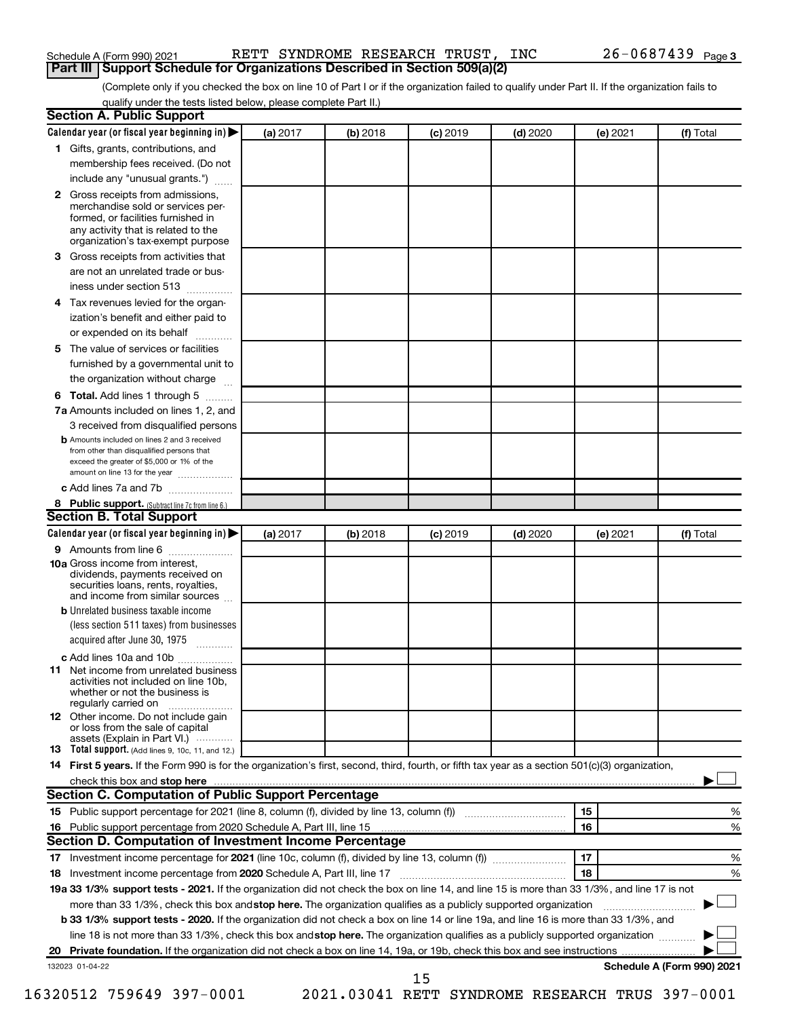### Schedule A (Form 990) 2021 RETT SYNDROME RESEARCH TRUST , INC 26-0687439 <sub>Page</sub> **Part III | Support Schedule for Organizations Described in Section 509(a)(2)**

(Complete only if you checked the box on line 10 of Part I or if the organization failed to qualify under Part II. If the organization fails to qualify under the tests listed below, please complete Part II.)

| <b>Section A. Public Support</b>                                                                                                                                                                |          |            |            |            |          |                            |
|-------------------------------------------------------------------------------------------------------------------------------------------------------------------------------------------------|----------|------------|------------|------------|----------|----------------------------|
| Calendar year (or fiscal year beginning in)                                                                                                                                                     | (a) 2017 | (b) 2018   | $(c)$ 2019 | $(d)$ 2020 | (e) 2021 | (f) Total                  |
| 1 Gifts, grants, contributions, and                                                                                                                                                             |          |            |            |            |          |                            |
| membership fees received. (Do not                                                                                                                                                               |          |            |            |            |          |                            |
| include any "unusual grants.")                                                                                                                                                                  |          |            |            |            |          |                            |
| <b>2</b> Gross receipts from admissions,<br>merchandise sold or services per-<br>formed, or facilities furnished in<br>any activity that is related to the<br>organization's tax-exempt purpose |          |            |            |            |          |                            |
| 3 Gross receipts from activities that                                                                                                                                                           |          |            |            |            |          |                            |
| are not an unrelated trade or bus-                                                                                                                                                              |          |            |            |            |          |                            |
| iness under section 513                                                                                                                                                                         |          |            |            |            |          |                            |
| 4 Tax revenues levied for the organ-                                                                                                                                                            |          |            |            |            |          |                            |
| ization's benefit and either paid to                                                                                                                                                            |          |            |            |            |          |                            |
| or expended on its behalf                                                                                                                                                                       |          |            |            |            |          |                            |
| 5 The value of services or facilities                                                                                                                                                           |          |            |            |            |          |                            |
| furnished by a governmental unit to                                                                                                                                                             |          |            |            |            |          |                            |
| the organization without charge                                                                                                                                                                 |          |            |            |            |          |                            |
| 6 Total. Add lines 1 through 5                                                                                                                                                                  |          |            |            |            |          |                            |
| 7a Amounts included on lines 1, 2, and                                                                                                                                                          |          |            |            |            |          |                            |
| 3 received from disqualified persons                                                                                                                                                            |          |            |            |            |          |                            |
| <b>b</b> Amounts included on lines 2 and 3 received<br>from other than disqualified persons that<br>exceed the greater of \$5,000 or 1% of the<br>amount on line 13 for the year                |          |            |            |            |          |                            |
| c Add lines 7a and 7b                                                                                                                                                                           |          |            |            |            |          |                            |
| 8 Public support. (Subtract line 7c from line 6.)                                                                                                                                               |          |            |            |            |          |                            |
| <b>Section B. Total Support</b>                                                                                                                                                                 |          |            |            |            |          |                            |
| Calendar year (or fiscal year beginning in)                                                                                                                                                     | (a) 2017 | $(b)$ 2018 | $(c)$ 2019 | $(d)$ 2020 | (e) 2021 | (f) Total                  |
| 9 Amounts from line 6                                                                                                                                                                           |          |            |            |            |          |                            |
| <b>10a</b> Gross income from interest,<br>dividends, payments received on<br>securities loans, rents, royalties,<br>and income from similar sources                                             |          |            |            |            |          |                            |
| <b>b</b> Unrelated business taxable income                                                                                                                                                      |          |            |            |            |          |                            |
| (less section 511 taxes) from businesses<br>acquired after June 30, 1975                                                                                                                        |          |            |            |            |          |                            |
| c Add lines 10a and 10b                                                                                                                                                                         |          |            |            |            |          |                            |
| <b>11</b> Net income from unrelated business<br>activities not included on line 10b.<br>whether or not the business is<br>regularly carried on                                                  |          |            |            |            |          |                            |
| <b>12</b> Other income. Do not include gain<br>or loss from the sale of capital<br>assets (Explain in Part VI.)                                                                                 |          |            |            |            |          |                            |
| <b>13</b> Total support. (Add lines 9, 10c, 11, and 12.)                                                                                                                                        |          |            |            |            |          |                            |
| 14 First 5 years. If the Form 990 is for the organization's first, second, third, fourth, or fifth tax year as a section 501(c)(3) organization,                                                |          |            |            |            |          |                            |
| check this box and stop here <b>contained and the contained and starting and stop here</b> check this box and stop here                                                                         |          |            |            |            |          |                            |
| Section C. Computation of Public Support Percentage                                                                                                                                             |          |            |            |            |          |                            |
| 15 Public support percentage for 2021 (line 8, column (f), divided by line 13, column (f) <i></i>                                                                                               |          |            |            |            | 15       | ℅                          |
|                                                                                                                                                                                                 |          |            |            |            | 16       | %                          |
| Section D. Computation of Investment Income Percentage                                                                                                                                          |          |            |            |            |          |                            |
|                                                                                                                                                                                                 |          |            |            |            | 17       | %                          |
| 18 Investment income percentage from 2020 Schedule A, Part III, line 17                                                                                                                         |          |            |            |            | 18       | %                          |
| 19a 33 1/3% support tests - 2021. If the organization did not check the box on line 14, and line 15 is more than 33 1/3%, and line 17 is not                                                    |          |            |            |            |          |                            |
| more than 33 1/3%, check this box and stop here. The organization qualifies as a publicly supported organization                                                                                |          |            |            |            |          |                            |
|                                                                                                                                                                                                 |          |            |            |            |          |                            |
| b 33 1/3% support tests - 2020. If the organization did not check a box on line 14 or line 19a, and line 16 is more than 33 1/3%, and                                                           |          |            |            |            |          |                            |
| line 18 is not more than 33 1/3%, check this box and stop here. The organization qualifies as a publicly supported organization                                                                 |          |            |            |            |          |                            |
|                                                                                                                                                                                                 |          |            |            |            |          |                            |
| 132023 01-04-22                                                                                                                                                                                 |          |            | 15         |            |          | Schedule A (Form 990) 2021 |

16320512 759649 397-0001 2021.03041 RETT SYNDROME RESEARCH TRUS 397-0001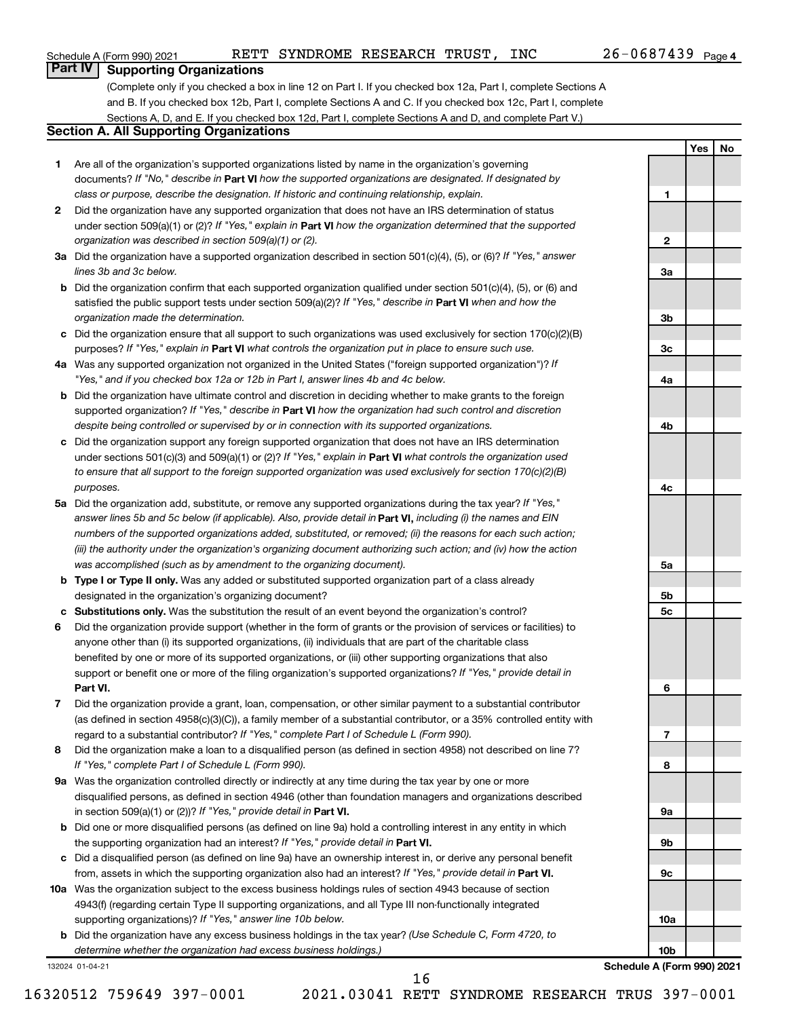26-0687439 Page 4

**1**

**2**

**3a**

**3b**

**3c**

**4a**

**4b**

**4c**

**5a**

**5b 5c**

**6**

**7**

**8**

**9a**

**9b**

**9c**

**10a**

**Yes No**

## **Part IV Supporting Organizations**

(Complete only if you checked a box in line 12 on Part I. If you checked box 12a, Part I, complete Sections A and B. If you checked box 12b, Part I, complete Sections A and C. If you checked box 12c, Part I, complete Sections A, D, and E. If you checked box 12d, Part I, complete Sections A and D, and complete Part V.)

### **Section A. All Supporting Organizations**

- **1** Are all of the organization's supported organizations listed by name in the organization's governing documents? If "No," describe in Part VI how the supported organizations are designated. If designated by *class or purpose, describe the designation. If historic and continuing relationship, explain.*
- **2** Did the organization have any supported organization that does not have an IRS determination of status under section 509(a)(1) or (2)? If "Yes," explain in Part **VI** how the organization determined that the supported *organization was described in section 509(a)(1) or (2).*
- **3a** Did the organization have a supported organization described in section 501(c)(4), (5), or (6)? If "Yes," answer *lines 3b and 3c below.*
- **b** Did the organization confirm that each supported organization qualified under section 501(c)(4), (5), or (6) and satisfied the public support tests under section 509(a)(2)? If "Yes," describe in Part VI when and how the *organization made the determination.*
- **c** Did the organization ensure that all support to such organizations was used exclusively for section 170(c)(2)(B) purposes? If "Yes," explain in Part VI what controls the organization put in place to ensure such use.
- **4 a** *If* Was any supported organization not organized in the United States ("foreign supported organization")? *"Yes," and if you checked box 12a or 12b in Part I, answer lines 4b and 4c below.*
- **b** Did the organization have ultimate control and discretion in deciding whether to make grants to the foreign supported organization? If "Yes," describe in Part VI how the organization had such control and discretion *despite being controlled or supervised by or in connection with its supported organizations.*
- **c** Did the organization support any foreign supported organization that does not have an IRS determination under sections 501(c)(3) and 509(a)(1) or (2)? If "Yes," explain in Part VI what controls the organization used *to ensure that all support to the foreign supported organization was used exclusively for section 170(c)(2)(B) purposes.*
- **5a** Did the organization add, substitute, or remove any supported organizations during the tax year? If "Yes," answer lines 5b and 5c below (if applicable). Also, provide detail in **Part VI,** including (i) the names and EIN *numbers of the supported organizations added, substituted, or removed; (ii) the reasons for each such action; (iii) the authority under the organization's organizing document authorizing such action; and (iv) how the action was accomplished (such as by amendment to the organizing document).*
- **b** Type I or Type II only. Was any added or substituted supported organization part of a class already designated in the organization's organizing document?
- **c Substitutions only.**  Was the substitution the result of an event beyond the organization's control?
- **6** Did the organization provide support (whether in the form of grants or the provision of services or facilities) to **Part VI.** support or benefit one or more of the filing organization's supported organizations? If "Yes," provide detail in anyone other than (i) its supported organizations, (ii) individuals that are part of the charitable class benefited by one or more of its supported organizations, or (iii) other supporting organizations that also
- **7** Did the organization provide a grant, loan, compensation, or other similar payment to a substantial contributor regard to a substantial contributor? If "Yes," complete Part I of Schedule L (Form 990). (as defined in section 4958(c)(3)(C)), a family member of a substantial contributor, or a 35% controlled entity with
- **8** Did the organization make a loan to a disqualified person (as defined in section 4958) not described on line 7? *If "Yes," complete Part I of Schedule L (Form 990).*
- **9 a** Was the organization controlled directly or indirectly at any time during the tax year by one or more in section 509(a)(1) or (2))? If "Yes," provide detail in **Part VI.** disqualified persons, as defined in section 4946 (other than foundation managers and organizations described
- **b** Did one or more disqualified persons (as defined on line 9a) hold a controlling interest in any entity in which the supporting organization had an interest? If "Yes," provide detail in Part VI.
- **c** Did a disqualified person (as defined on line 9a) have an ownership interest in, or derive any personal benefit from, assets in which the supporting organization also had an interest? If "Yes," provide detail in Part VI.
- **10 a** Was the organization subject to the excess business holdings rules of section 4943 because of section supporting organizations)? If "Yes," answer line 10b below. 4943(f) (regarding certain Type II supporting organizations, and all Type III non-functionally integrated
	- **b** Did the organization have any excess business holdings in the tax year? (Use Schedule C, Form 4720, to *determine whether the organization had excess business holdings.)*

132024 01-04-21

**10b Schedule A (Form 990) 2021**

16320512 759649 397-0001 2021.03041 RETT SYNDROME RESEARCH TRUS 397-0001

16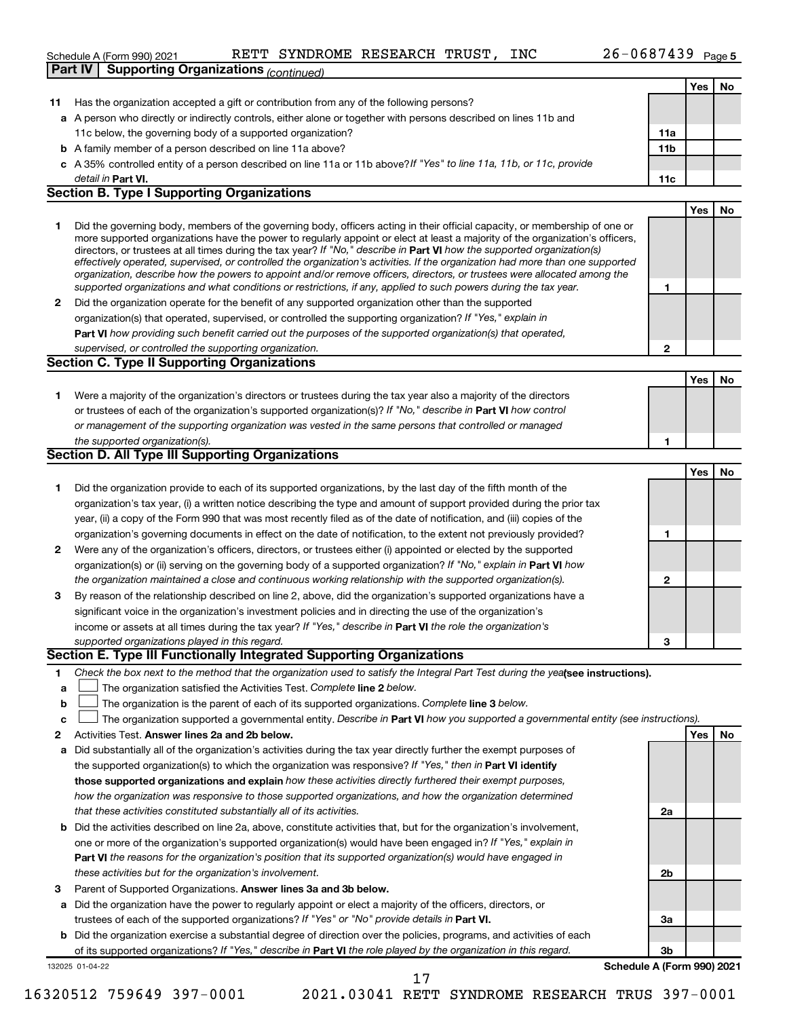|    | $26 - 0687439$ Page 5<br>RETT SYNDROME RESEARCH TRUST, INC<br>Schedule A (Form 990) 2021                                                                                                                                                                                                                                                                                                                                                                                                                                                                                                                                                                                                                                                                                 |                 |            |           |
|----|--------------------------------------------------------------------------------------------------------------------------------------------------------------------------------------------------------------------------------------------------------------------------------------------------------------------------------------------------------------------------------------------------------------------------------------------------------------------------------------------------------------------------------------------------------------------------------------------------------------------------------------------------------------------------------------------------------------------------------------------------------------------------|-----------------|------------|-----------|
|    | <b>Supporting Organizations (continued)</b><br>Part IV                                                                                                                                                                                                                                                                                                                                                                                                                                                                                                                                                                                                                                                                                                                   |                 |            |           |
|    |                                                                                                                                                                                                                                                                                                                                                                                                                                                                                                                                                                                                                                                                                                                                                                          |                 | Yes        | <b>No</b> |
| 11 | Has the organization accepted a gift or contribution from any of the following persons?                                                                                                                                                                                                                                                                                                                                                                                                                                                                                                                                                                                                                                                                                  |                 |            |           |
|    | a A person who directly or indirectly controls, either alone or together with persons described on lines 11b and                                                                                                                                                                                                                                                                                                                                                                                                                                                                                                                                                                                                                                                         |                 |            |           |
|    | 11c below, the governing body of a supported organization?                                                                                                                                                                                                                                                                                                                                                                                                                                                                                                                                                                                                                                                                                                               | 11a             |            |           |
|    | <b>b</b> A family member of a person described on line 11a above?                                                                                                                                                                                                                                                                                                                                                                                                                                                                                                                                                                                                                                                                                                        | 11 <sub>b</sub> |            |           |
|    | c A 35% controlled entity of a person described on line 11a or 11b above?If "Yes" to line 11a, 11b, or 11c, provide                                                                                                                                                                                                                                                                                                                                                                                                                                                                                                                                                                                                                                                      |                 |            |           |
|    | detail in Part VI.                                                                                                                                                                                                                                                                                                                                                                                                                                                                                                                                                                                                                                                                                                                                                       | 11c             |            |           |
|    | <b>Section B. Type I Supporting Organizations</b>                                                                                                                                                                                                                                                                                                                                                                                                                                                                                                                                                                                                                                                                                                                        |                 |            |           |
|    |                                                                                                                                                                                                                                                                                                                                                                                                                                                                                                                                                                                                                                                                                                                                                                          |                 | <b>Yes</b> | <b>No</b> |
| 1  | Did the governing body, members of the governing body, officers acting in their official capacity, or membership of one or<br>more supported organizations have the power to regularly appoint or elect at least a majority of the organization's officers,<br>directors, or trustees at all times during the tax year? If "No," describe in Part VI how the supported organization(s)<br>effectively operated, supervised, or controlled the organization's activities. If the organization had more than one supported<br>organization, describe how the powers to appoint and/or remove officers, directors, or trustees were allocated among the<br>supported organizations and what conditions or restrictions, if any, applied to such powers during the tax year. | 1               |            |           |
| 2  | Did the organization operate for the benefit of any supported organization other than the supported                                                                                                                                                                                                                                                                                                                                                                                                                                                                                                                                                                                                                                                                      |                 |            |           |
|    | organization(s) that operated, supervised, or controlled the supporting organization? If "Yes," explain in                                                                                                                                                                                                                                                                                                                                                                                                                                                                                                                                                                                                                                                               |                 |            |           |
|    | Part VI how providing such benefit carried out the purposes of the supported organization(s) that operated,                                                                                                                                                                                                                                                                                                                                                                                                                                                                                                                                                                                                                                                              |                 |            |           |
|    | supervised, or controlled the supporting organization.                                                                                                                                                                                                                                                                                                                                                                                                                                                                                                                                                                                                                                                                                                                   | $\mathbf{2}$    |            |           |
|    | <b>Section C. Type II Supporting Organizations</b>                                                                                                                                                                                                                                                                                                                                                                                                                                                                                                                                                                                                                                                                                                                       |                 |            |           |
|    |                                                                                                                                                                                                                                                                                                                                                                                                                                                                                                                                                                                                                                                                                                                                                                          |                 | <b>Yes</b> | <b>No</b> |
| 1  | Were a majority of the organization's directors or trustees during the tax year also a majority of the directors                                                                                                                                                                                                                                                                                                                                                                                                                                                                                                                                                                                                                                                         |                 |            |           |
|    | or trustees of each of the organization's supported organization(s)? If "No," describe in Part VI how control                                                                                                                                                                                                                                                                                                                                                                                                                                                                                                                                                                                                                                                            |                 |            |           |
|    | or management of the supporting organization was vested in the same persons that controlled or managed                                                                                                                                                                                                                                                                                                                                                                                                                                                                                                                                                                                                                                                                   |                 |            |           |
|    | the supported organization(s).                                                                                                                                                                                                                                                                                                                                                                                                                                                                                                                                                                                                                                                                                                                                           | 1               |            |           |
|    | <b>Section D. All Type III Supporting Organizations</b>                                                                                                                                                                                                                                                                                                                                                                                                                                                                                                                                                                                                                                                                                                                  |                 |            |           |
|    |                                                                                                                                                                                                                                                                                                                                                                                                                                                                                                                                                                                                                                                                                                                                                                          |                 | Yes        | No        |
| 1  | Did the organization provide to each of its supported organizations, by the last day of the fifth month of the                                                                                                                                                                                                                                                                                                                                                                                                                                                                                                                                                                                                                                                           |                 |            |           |

|              | Did the organization provide to each of its supported organizations, by the last day of the fifth month of the            |   |  |
|--------------|---------------------------------------------------------------------------------------------------------------------------|---|--|
|              | organization's tax year, (i) a written notice describing the type and amount of support provided during the prior tax     |   |  |
|              | year, (ii) a copy of the Form 990 that was most recently filed as of the date of notification, and (iii) copies of the    |   |  |
|              | organization's governing documents in effect on the date of notification, to the extent not previously provided?          |   |  |
| $\mathbf{2}$ | Were any of the organization's officers, directors, or trustees either (i) appointed or elected by the supported          |   |  |
|              | organization(s) or (ii) serving on the governing body of a supported organization? If "No," explain in <b>Part VI</b> how |   |  |
|              | the organization maintained a close and continuous working relationship with the supported organization(s).               | 2 |  |
| 3            | By reason of the relationship described on line 2, above, did the organization's supported organizations have a           |   |  |
|              | significant voice in the organization's investment policies and in directing the use of the organization's                |   |  |
|              | income or assets at all times during the tax year? If "Yes," describe in Part VI the role the organization's              |   |  |
|              | supported organizations played in this regard.                                                                            | 3 |  |

### **Section E. Type III Functionally Integrated Supporting Organizations**

- **a** The organization satisfied the Activities Test. Complete line 2 below.  $\Box$
- **b** The organization is the parent of each of its supported organizations. Complete line 3 below.  $\Box$
- **c** The organization supported a governmental entity. Describe in Part VI how you supported a governmental entity (see instructions).  $\Box$

17

- **2 Answer lines 2a and 2b below. Yes No** Activities Test.
- **a** Did substantially all of the organization's activities during the tax year directly further the exempt purposes of the supported organization(s) to which the organization was responsive? If "Yes," then in Part VI identify **those supported organizations and explain**  *how these activities directly furthered their exempt purposes, how the organization was responsive to those supported organizations, and how the organization determined that these activities constituted substantially all of its activities.*
- **b** Did the activities described on line 2a, above, constitute activities that, but for the organization's involvement, **Part VI**  *the reasons for the organization's position that its supported organization(s) would have engaged in* one or more of the organization's supported organization(s) would have been engaged in? If "Yes," explain in *these activities but for the organization's involvement.*
- 3 Parent of Supported Organizations. Answer lines 3a and 3b below.
- **a** Did the organization have the power to regularly appoint or elect a majority of the officers, directors, or trustees of each of the supported organizations? If "Yes" or "No" provide details in Part VI.
- **b** Did the organization exercise a substantial degree of direction over the policies, programs, and activities of each of its supported organizations? If "Yes," describe in Part VI the role played by the organization in this regard.

132025 01-04-22

**3b Schedule A (Form 990) 2021**

**2a**

**2b**

**3a**

16320512 759649 397-0001 2021.03041 RETT SYNDROME RESEARCH TRUS 397-0001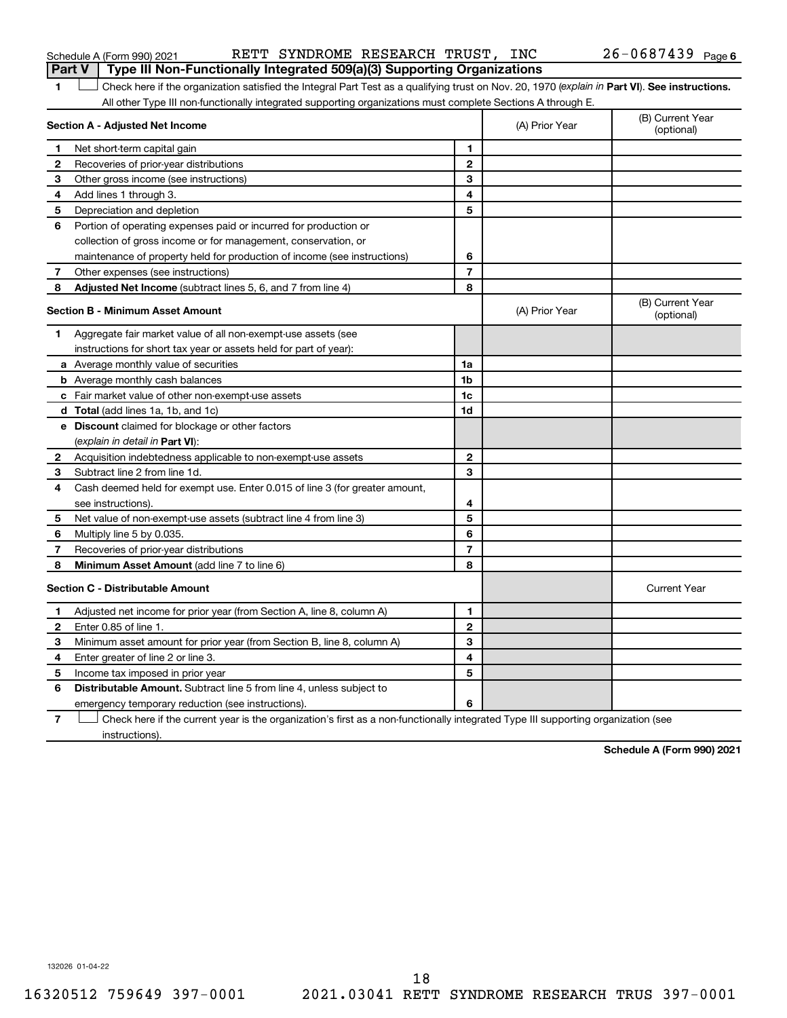| Schedule A (Form 990) 2021 |  |  |
|----------------------------|--|--|
|----------------------------|--|--|

| Schedule A (Form 990) 2021 |  |  |  |  | RETT SYNDROME RESEARCH TRUST, INC |  |  | $26 - 0687439$ Page 6 |  |
|----------------------------|--|--|--|--|-----------------------------------|--|--|-----------------------|--|
|----------------------------|--|--|--|--|-----------------------------------|--|--|-----------------------|--|

|              | <b>Part V</b><br>Type III Non-Functionally Integrated 509(a)(3) Supporting Organizations                                                       |                |                |                                |
|--------------|------------------------------------------------------------------------------------------------------------------------------------------------|----------------|----------------|--------------------------------|
| 1            | Check here if the organization satisfied the Integral Part Test as a qualifying trust on Nov. 20, 1970 (explain in Part VI). See instructions. |                |                |                                |
|              | All other Type III non-functionally integrated supporting organizations must complete Sections A through E.                                    |                |                |                                |
|              | Section A - Adjusted Net Income                                                                                                                |                | (A) Prior Year | (B) Current Year<br>(optional) |
| 1            | Net short-term capital gain                                                                                                                    | 1              |                |                                |
| 2            | Recoveries of prior-year distributions                                                                                                         | $\mathbf{2}$   |                |                                |
| з            | Other gross income (see instructions)                                                                                                          | 3              |                |                                |
| 4            | Add lines 1 through 3.                                                                                                                         | 4              |                |                                |
| 5            | Depreciation and depletion                                                                                                                     | 5              |                |                                |
| 6            | Portion of operating expenses paid or incurred for production or                                                                               |                |                |                                |
|              | collection of gross income or for management, conservation, or                                                                                 |                |                |                                |
|              | maintenance of property held for production of income (see instructions)                                                                       | 6              |                |                                |
| 7            | Other expenses (see instructions)                                                                                                              | $\overline{7}$ |                |                                |
| 8            | <b>Adjusted Net Income</b> (subtract lines 5, 6, and 7 from line 4)                                                                            | 8              |                |                                |
|              | <b>Section B - Minimum Asset Amount</b>                                                                                                        |                | (A) Prior Year | (B) Current Year<br>(optional) |
| 1            | Aggregate fair market value of all non-exempt-use assets (see                                                                                  |                |                |                                |
|              | instructions for short tax year or assets held for part of year):                                                                              |                |                |                                |
|              | <b>a</b> Average monthly value of securities                                                                                                   | 1a             |                |                                |
|              | <b>b</b> Average monthly cash balances                                                                                                         | 1 <sub>b</sub> |                |                                |
|              | <b>c</b> Fair market value of other non-exempt-use assets                                                                                      | 1c             |                |                                |
|              | <b>d</b> Total (add lines 1a, 1b, and 1c)                                                                                                      | 1d             |                |                                |
|              | <b>e</b> Discount claimed for blockage or other factors                                                                                        |                |                |                                |
|              | (explain in detail in <b>Part VI</b> ):                                                                                                        |                |                |                                |
| 2            | Acquisition indebtedness applicable to non-exempt-use assets                                                                                   | $\mathbf{2}$   |                |                                |
| 3            | Subtract line 2 from line 1d.                                                                                                                  | 3              |                |                                |
| 4            | Cash deemed held for exempt use. Enter 0.015 of line 3 (for greater amount,                                                                    |                |                |                                |
|              | see instructions).                                                                                                                             | 4              |                |                                |
| 5            | Net value of non-exempt-use assets (subtract line 4 from line 3)                                                                               | 5              |                |                                |
| 6            | Multiply line 5 by 0.035.                                                                                                                      | 6              |                |                                |
| 7            | Recoveries of prior-year distributions                                                                                                         | 7              |                |                                |
| 8            | <b>Minimum Asset Amount</b> (add line 7 to line 6)                                                                                             | 8              |                |                                |
|              | <b>Section C - Distributable Amount</b>                                                                                                        |                |                | <b>Current Year</b>            |
| 1            | Adjusted net income for prior year (from Section A, line 8, column A)                                                                          | 1              |                |                                |
| $\mathbf{2}$ | Enter 0.85 of line 1.                                                                                                                          | $\mathbf{2}$   |                |                                |
| 3            | Minimum asset amount for prior year (from Section B, line 8, column A)                                                                         | 3              |                |                                |
| 4            | Enter greater of line 2 or line 3.                                                                                                             | 4              |                |                                |
| 5            | Income tax imposed in prior year                                                                                                               | 5              |                |                                |
| 6            | <b>Distributable Amount.</b> Subtract line 5 from line 4, unless subject to                                                                    |                |                |                                |
|              | emergency temporary reduction (see instructions).                                                                                              | 6              |                |                                |

**7** Check here if the current year is the organization's first as a non-functionally integrated Type III supporting organization (see † instructions).

**Schedule A (Form 990) 2021**

132026 01-04-22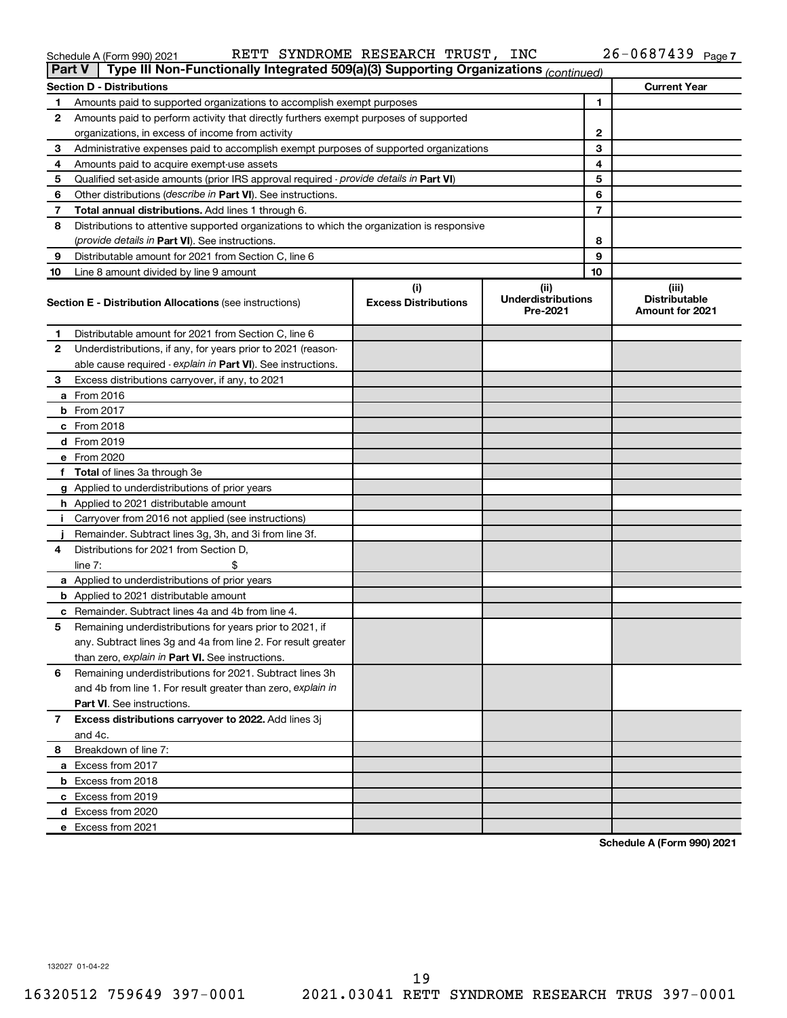| Part V | Type III Non-Functionally Integrated 509(a)(3) Supporting Organizations (continued)        |                                    |                                               |    |                                                         |
|--------|--------------------------------------------------------------------------------------------|------------------------------------|-----------------------------------------------|----|---------------------------------------------------------|
|        | <b>Section D - Distributions</b>                                                           |                                    |                                               |    | <b>Current Year</b>                                     |
| 1      | Amounts paid to supported organizations to accomplish exempt purposes                      |                                    |                                               | 1  |                                                         |
| 2      | Amounts paid to perform activity that directly furthers exempt purposes of supported       |                                    |                                               |    |                                                         |
|        | organizations, in excess of income from activity                                           |                                    |                                               | 2  |                                                         |
| 3      | Administrative expenses paid to accomplish exempt purposes of supported organizations      |                                    |                                               | 3  |                                                         |
| 4      | Amounts paid to acquire exempt-use assets                                                  |                                    |                                               | 4  |                                                         |
| 5      | Qualified set-aside amounts (prior IRS approval required - provide details in Part VI)     |                                    |                                               | 5  |                                                         |
| 6      | Other distributions (describe in Part VI). See instructions.                               |                                    |                                               | 6  |                                                         |
| 7      | Total annual distributions. Add lines 1 through 6.                                         |                                    |                                               | 7  |                                                         |
| 8      | Distributions to attentive supported organizations to which the organization is responsive |                                    |                                               |    |                                                         |
|        | ( <i>provide details in Part VI</i> ). See instructions.                                   |                                    |                                               | 8  |                                                         |
| 9      | Distributable amount for 2021 from Section C, line 6                                       |                                    |                                               | 9  |                                                         |
| 10     | Line 8 amount divided by line 9 amount                                                     |                                    |                                               | 10 |                                                         |
|        | <b>Section E - Distribution Allocations (see instructions)</b>                             | (i)<br><b>Excess Distributions</b> | (ii)<br><b>Underdistributions</b><br>Pre-2021 |    | (iii)<br><b>Distributable</b><br><b>Amount for 2021</b> |
| 1      | Distributable amount for 2021 from Section C, line 6                                       |                                    |                                               |    |                                                         |
| 2      | Underdistributions, if any, for years prior to 2021 (reason-                               |                                    |                                               |    |                                                         |
|        | able cause required - explain in Part VI). See instructions.                               |                                    |                                               |    |                                                         |
| З      | Excess distributions carryover, if any, to 2021                                            |                                    |                                               |    |                                                         |
|        | a From 2016                                                                                |                                    |                                               |    |                                                         |
|        | <b>b</b> From 2017                                                                         |                                    |                                               |    |                                                         |
|        | c From 2018                                                                                |                                    |                                               |    |                                                         |
|        | d From 2019                                                                                |                                    |                                               |    |                                                         |
|        | e From 2020                                                                                |                                    |                                               |    |                                                         |
|        | f Total of lines 3a through 3e                                                             |                                    |                                               |    |                                                         |
|        | g Applied to underdistributions of prior years                                             |                                    |                                               |    |                                                         |
|        | h Applied to 2021 distributable amount                                                     |                                    |                                               |    |                                                         |
| Ť.     | Carryover from 2016 not applied (see instructions)                                         |                                    |                                               |    |                                                         |
|        | Remainder. Subtract lines 3g, 3h, and 3i from line 3f.                                     |                                    |                                               |    |                                                         |
| 4      | Distributions for 2021 from Section D,                                                     |                                    |                                               |    |                                                         |
|        | line $7:$                                                                                  |                                    |                                               |    |                                                         |
|        | a Applied to underdistributions of prior years                                             |                                    |                                               |    |                                                         |
|        | <b>b</b> Applied to 2021 distributable amount                                              |                                    |                                               |    |                                                         |
|        | c Remainder. Subtract lines 4a and 4b from line 4.                                         |                                    |                                               |    |                                                         |
| 5      | Remaining underdistributions for years prior to 2021, if                                   |                                    |                                               |    |                                                         |
|        | any. Subtract lines 3g and 4a from line 2. For result greater                              |                                    |                                               |    |                                                         |
|        | than zero, explain in Part VI. See instructions.                                           |                                    |                                               |    |                                                         |
| 6      | Remaining underdistributions for 2021. Subtract lines 3h                                   |                                    |                                               |    |                                                         |
|        | and 4b from line 1. For result greater than zero, explain in                               |                                    |                                               |    |                                                         |
|        | <b>Part VI.</b> See instructions.                                                          |                                    |                                               |    |                                                         |
| 7      | Excess distributions carryover to 2022. Add lines 3j                                       |                                    |                                               |    |                                                         |
|        | and 4c.                                                                                    |                                    |                                               |    |                                                         |
| 8      | Breakdown of line 7:                                                                       |                                    |                                               |    |                                                         |
|        | a Excess from 2017                                                                         |                                    |                                               |    |                                                         |
|        | <b>b</b> Excess from 2018                                                                  |                                    |                                               |    |                                                         |
|        | c Excess from 2019                                                                         |                                    |                                               |    |                                                         |
|        | d Excess from 2020                                                                         |                                    |                                               |    |                                                         |
|        | e Excess from 2021                                                                         |                                    |                                               |    |                                                         |

**Schedule A (Form 990) 2021**

132027 01-04-22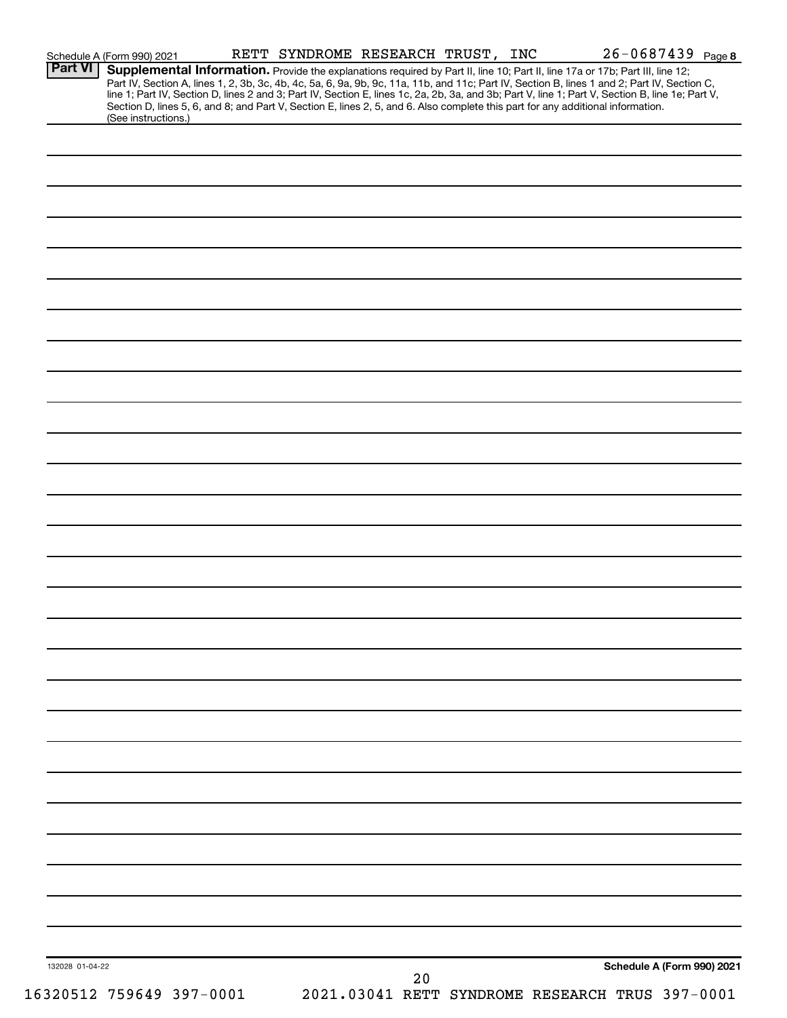| <b>Part VI</b>  | Schedule A (Form 990) 2021<br>Supplemental Information. Provide the explanations required by Part II, line 10; Part II, line 17a or 17b; Part III, line 12;<br>Part IV, Section A, lines 1, 2, 3b, 3c, 4b, 4c, 5a, 6, 9a, 9b, 9c, 11a, 11b, and 11c; Part IV, Section B, lines 1 and 2; Part IV, Section C, line 1; Part IV, Section D, lines 2 and 3; Part IV, Section E, lines 1c, 2a, 2b,<br>Section D, lines 5, 6, and 8; and Part V, Section E, lines 2, 5, and 6. Also complete this part for any additional information. |  |    | RETT SYNDROME RESEARCH TRUST, INC |  | $26 - 0687439$ Page 8      |
|-----------------|---------------------------------------------------------------------------------------------------------------------------------------------------------------------------------------------------------------------------------------------------------------------------------------------------------------------------------------------------------------------------------------------------------------------------------------------------------------------------------------------------------------------------------|--|----|-----------------------------------|--|----------------------------|
|                 | (See instructions.)                                                                                                                                                                                                                                                                                                                                                                                                                                                                                                             |  |    |                                   |  |                            |
|                 |                                                                                                                                                                                                                                                                                                                                                                                                                                                                                                                                 |  |    |                                   |  |                            |
|                 |                                                                                                                                                                                                                                                                                                                                                                                                                                                                                                                                 |  |    |                                   |  |                            |
|                 |                                                                                                                                                                                                                                                                                                                                                                                                                                                                                                                                 |  |    |                                   |  |                            |
|                 |                                                                                                                                                                                                                                                                                                                                                                                                                                                                                                                                 |  |    |                                   |  |                            |
|                 |                                                                                                                                                                                                                                                                                                                                                                                                                                                                                                                                 |  |    |                                   |  |                            |
|                 |                                                                                                                                                                                                                                                                                                                                                                                                                                                                                                                                 |  |    |                                   |  |                            |
|                 |                                                                                                                                                                                                                                                                                                                                                                                                                                                                                                                                 |  |    |                                   |  |                            |
|                 |                                                                                                                                                                                                                                                                                                                                                                                                                                                                                                                                 |  |    |                                   |  |                            |
|                 |                                                                                                                                                                                                                                                                                                                                                                                                                                                                                                                                 |  |    |                                   |  |                            |
|                 |                                                                                                                                                                                                                                                                                                                                                                                                                                                                                                                                 |  |    |                                   |  |                            |
|                 |                                                                                                                                                                                                                                                                                                                                                                                                                                                                                                                                 |  |    |                                   |  |                            |
|                 |                                                                                                                                                                                                                                                                                                                                                                                                                                                                                                                                 |  |    |                                   |  |                            |
|                 |                                                                                                                                                                                                                                                                                                                                                                                                                                                                                                                                 |  |    |                                   |  |                            |
|                 |                                                                                                                                                                                                                                                                                                                                                                                                                                                                                                                                 |  |    |                                   |  |                            |
|                 |                                                                                                                                                                                                                                                                                                                                                                                                                                                                                                                                 |  |    |                                   |  |                            |
|                 |                                                                                                                                                                                                                                                                                                                                                                                                                                                                                                                                 |  |    |                                   |  |                            |
|                 |                                                                                                                                                                                                                                                                                                                                                                                                                                                                                                                                 |  |    |                                   |  |                            |
|                 |                                                                                                                                                                                                                                                                                                                                                                                                                                                                                                                                 |  |    |                                   |  |                            |
|                 |                                                                                                                                                                                                                                                                                                                                                                                                                                                                                                                                 |  |    |                                   |  |                            |
|                 |                                                                                                                                                                                                                                                                                                                                                                                                                                                                                                                                 |  |    |                                   |  |                            |
|                 |                                                                                                                                                                                                                                                                                                                                                                                                                                                                                                                                 |  |    |                                   |  |                            |
|                 |                                                                                                                                                                                                                                                                                                                                                                                                                                                                                                                                 |  |    |                                   |  |                            |
|                 |                                                                                                                                                                                                                                                                                                                                                                                                                                                                                                                                 |  |    |                                   |  |                            |
|                 |                                                                                                                                                                                                                                                                                                                                                                                                                                                                                                                                 |  |    |                                   |  |                            |
|                 |                                                                                                                                                                                                                                                                                                                                                                                                                                                                                                                                 |  |    |                                   |  |                            |
|                 |                                                                                                                                                                                                                                                                                                                                                                                                                                                                                                                                 |  |    |                                   |  |                            |
|                 |                                                                                                                                                                                                                                                                                                                                                                                                                                                                                                                                 |  |    |                                   |  |                            |
|                 |                                                                                                                                                                                                                                                                                                                                                                                                                                                                                                                                 |  |    |                                   |  |                            |
|                 |                                                                                                                                                                                                                                                                                                                                                                                                                                                                                                                                 |  |    |                                   |  |                            |
|                 |                                                                                                                                                                                                                                                                                                                                                                                                                                                                                                                                 |  |    |                                   |  |                            |
|                 |                                                                                                                                                                                                                                                                                                                                                                                                                                                                                                                                 |  |    |                                   |  |                            |
|                 |                                                                                                                                                                                                                                                                                                                                                                                                                                                                                                                                 |  |    |                                   |  |                            |
|                 |                                                                                                                                                                                                                                                                                                                                                                                                                                                                                                                                 |  |    |                                   |  |                            |
|                 |                                                                                                                                                                                                                                                                                                                                                                                                                                                                                                                                 |  |    |                                   |  |                            |
|                 |                                                                                                                                                                                                                                                                                                                                                                                                                                                                                                                                 |  |    |                                   |  |                            |
| 132028 01-04-22 |                                                                                                                                                                                                                                                                                                                                                                                                                                                                                                                                 |  | 20 |                                   |  | Schedule A (Form 990) 2021 |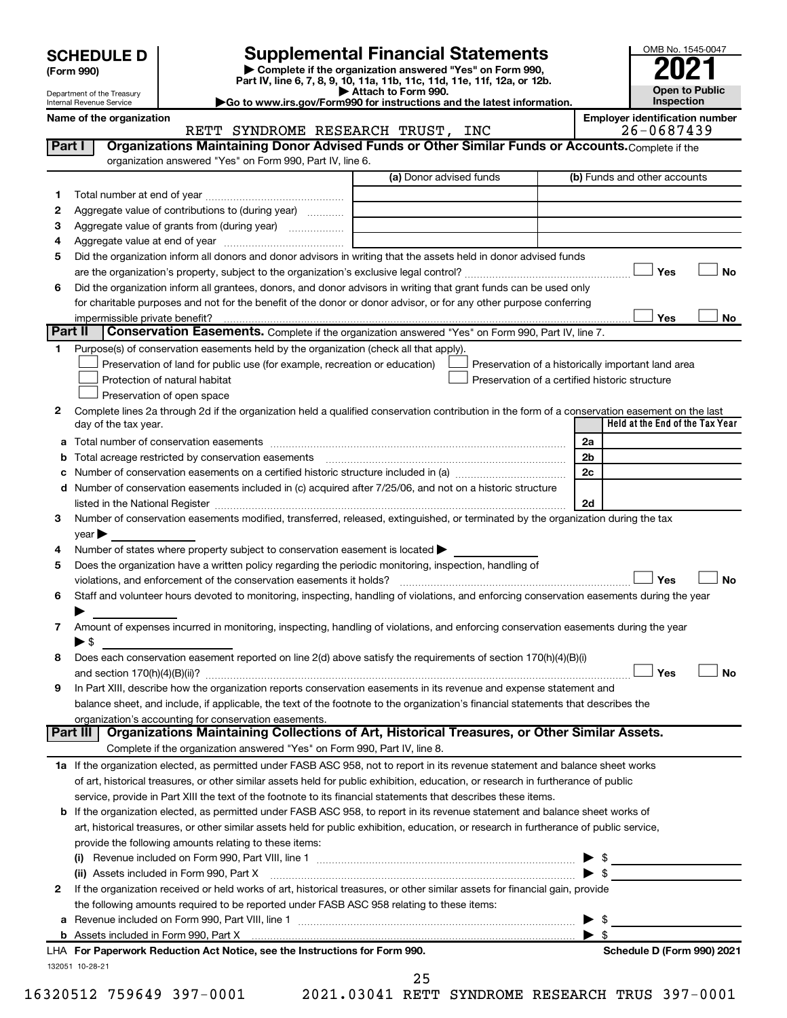| <b>SCHEDULE D</b> |  |
|-------------------|--|
|-------------------|--|

| (Form 990) |  |
|------------|--|
|------------|--|

**| Complete if the organization answered "Yes" on Form 990, Part IV, line 6, 7, 8, 9, 10, 11a, 11b, 11c, 11d, 11e, 11f, 12a, or 12b. SCHEDULE D Supplemental Financial Statements**<br> **Form 990 Example 5 2021**<br>
Part IV. line 6, 7, 8, 9, 10, 11a, 11b, 11c, 11d, 11e, 11f, 12a, or 12b.

**| Attach to Form 990. |Go to www.irs.gov/Form990 for instructions and the latest information.**



Department of the Treasury Internal Revenue Service

**Name of the organization**<br>RETT SYNDROME RESEARCH TRUST TNC 26-0687439

|         | RETT SYNDROME RESEARCH TRUST, INC                                                                                                                                                                                             |                         | $26 - 0687439$                                     |
|---------|-------------------------------------------------------------------------------------------------------------------------------------------------------------------------------------------------------------------------------|-------------------------|----------------------------------------------------|
| Part I  | Organizations Maintaining Donor Advised Funds or Other Similar Funds or Accounts. Complete if the                                                                                                                             |                         |                                                    |
|         | organization answered "Yes" on Form 990, Part IV, line 6.                                                                                                                                                                     |                         |                                                    |
|         |                                                                                                                                                                                                                               | (a) Donor advised funds | (b) Funds and other accounts                       |
| 1       |                                                                                                                                                                                                                               |                         |                                                    |
| 2       | Aggregate value of contributions to (during year)                                                                                                                                                                             |                         |                                                    |
| з       | Aggregate value of grants from (during year)                                                                                                                                                                                  |                         |                                                    |
| 4       |                                                                                                                                                                                                                               |                         |                                                    |
| 5       | Did the organization inform all donors and donor advisors in writing that the assets held in donor advised funds                                                                                                              |                         |                                                    |
|         |                                                                                                                                                                                                                               |                         | Yes<br>No                                          |
| 6       | Did the organization inform all grantees, donors, and donor advisors in writing that grant funds can be used only                                                                                                             |                         |                                                    |
|         | for charitable purposes and not for the benefit of the donor or donor advisor, or for any other purpose conferring                                                                                                            |                         |                                                    |
|         | impermissible private benefit?                                                                                                                                                                                                |                         | Yes<br>No                                          |
| Part II | Conservation Easements. Complete if the organization answered "Yes" on Form 990, Part IV, line 7.                                                                                                                             |                         |                                                    |
| 1.      | Purpose(s) of conservation easements held by the organization (check all that apply).                                                                                                                                         |                         |                                                    |
|         | Preservation of land for public use (for example, recreation or education)                                                                                                                                                    |                         | Preservation of a historically important land area |
|         | Protection of natural habitat                                                                                                                                                                                                 |                         | Preservation of a certified historic structure     |
|         | Preservation of open space                                                                                                                                                                                                    |                         |                                                    |
| 2       | Complete lines 2a through 2d if the organization held a qualified conservation contribution in the form of a conservation easement on the last                                                                                |                         |                                                    |
|         | day of the tax year.                                                                                                                                                                                                          |                         | Held at the End of the Tax Year                    |
|         |                                                                                                                                                                                                                               |                         | 2a                                                 |
|         | Total acreage restricted by conservation easements                                                                                                                                                                            |                         | 2 <sub>b</sub>                                     |
|         |                                                                                                                                                                                                                               |                         | 2c                                                 |
| d       | Number of conservation easements included in (c) acquired after 7/25/06, and not on a historic structure                                                                                                                      |                         |                                                    |
|         | listed in the National Register [111] Marshall Register [11] Marshall Register [11] Marshall Register [11] Marshall Register [11] Marshall Register [11] Marshall Register [11] Marshall Register [11] Marshall Register [11] |                         | 2d                                                 |
| з       | Number of conservation easements modified, transferred, released, extinguished, or terminated by the organization during the tax                                                                                              |                         |                                                    |
|         | $\vee$ ear                                                                                                                                                                                                                    |                         |                                                    |
| 4       | Number of states where property subject to conservation easement is located >                                                                                                                                                 |                         |                                                    |
| 5       | Does the organization have a written policy regarding the periodic monitoring, inspection, handling of                                                                                                                        |                         |                                                    |
|         | violations, and enforcement of the conservation easements it holds?                                                                                                                                                           |                         | Yes<br>No                                          |
|         | Staff and volunteer hours devoted to monitoring, inspecting, handling of violations, and enforcing conservation easements during the year                                                                                     |                         |                                                    |
| 6       |                                                                                                                                                                                                                               |                         |                                                    |
|         | Amount of expenses incurred in monitoring, inspecting, handling of violations, and enforcing conservation easements during the year                                                                                           |                         |                                                    |
| 7       |                                                                                                                                                                                                                               |                         |                                                    |
|         | ► \$                                                                                                                                                                                                                          |                         |                                                    |
| 8       | Does each conservation easement reported on line 2(d) above satisfy the requirements of section 170(h)(4)(B)(i)                                                                                                               |                         |                                                    |
|         |                                                                                                                                                                                                                               |                         | Yes<br>No                                          |
| 9       | In Part XIII, describe how the organization reports conservation easements in its revenue and expense statement and                                                                                                           |                         |                                                    |
|         | balance sheet, and include, if applicable, the text of the footnote to the organization's financial statements that describes the                                                                                             |                         |                                                    |
|         | organization's accounting for conservation easements.<br>Organizations Maintaining Collections of Art, Historical Treasures, or Other Similar Assets.<br>Part III                                                             |                         |                                                    |
|         | Complete if the organization answered "Yes" on Form 990, Part IV, line 8.                                                                                                                                                     |                         |                                                    |
|         |                                                                                                                                                                                                                               |                         |                                                    |
|         | 1a If the organization elected, as permitted under FASB ASC 958, not to report in its revenue statement and balance sheet works                                                                                               |                         |                                                    |
|         | of art, historical treasures, or other similar assets held for public exhibition, education, or research in furtherance of public                                                                                             |                         |                                                    |
|         | service, provide in Part XIII the text of the footnote to its financial statements that describes these items.                                                                                                                |                         |                                                    |
|         | <b>b</b> If the organization elected, as permitted under FASB ASC 958, to report in its revenue statement and balance sheet works of                                                                                          |                         |                                                    |
|         | art, historical treasures, or other similar assets held for public exhibition, education, or research in furtherance of public service,                                                                                       |                         |                                                    |
|         | provide the following amounts relating to these items:                                                                                                                                                                        |                         |                                                    |
|         |                                                                                                                                                                                                                               |                         |                                                    |
|         | (ii) Assets included in Form 990, Part X                                                                                                                                                                                      |                         | $\blacktriangleright$ s                            |
| 2       | If the organization received or held works of art, historical treasures, or other similar assets for financial gain, provide                                                                                                  |                         |                                                    |
|         | the following amounts required to be reported under FASB ASC 958 relating to these items:                                                                                                                                     |                         |                                                    |
|         |                                                                                                                                                                                                                               |                         | \$<br>▶                                            |
|         | b Assets included in Form 990, Part X [[CONDITED INTERNATION IN ASSETS INCLUDED IN A SERVICE OF A SERVICE OF A                                                                                                                |                         | $\blacktriangleright$ s                            |
|         | LHA For Paperwork Reduction Act Notice, see the Instructions for Form 990.                                                                                                                                                    |                         | Schedule D (Form 990) 2021                         |
|         | 132051 10-28-21                                                                                                                                                                                                               |                         |                                                    |
|         |                                                                                                                                                                                                                               | 25                      |                                                    |

16320512 759649 397-0001 2021.03041 RETT SYNDROME RESEARCH TRUS 397-0001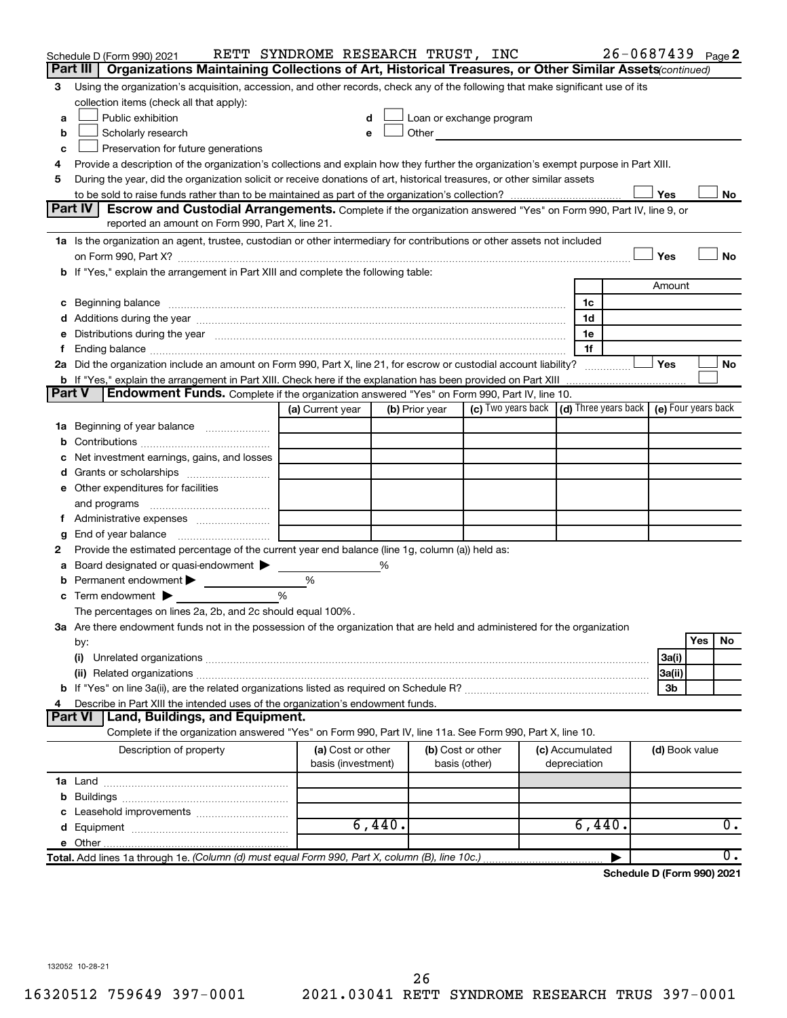|        | Schedule D (Form 990) 2021                                                                                                                                                                                                     | RETT SYNDROME RESEARCH TRUST, INC |        |                                                                                                                                                                                                                               |                   |                                                                             |              |                 | $26 - 0687439$ Page 2      |     |                  |
|--------|--------------------------------------------------------------------------------------------------------------------------------------------------------------------------------------------------------------------------------|-----------------------------------|--------|-------------------------------------------------------------------------------------------------------------------------------------------------------------------------------------------------------------------------------|-------------------|-----------------------------------------------------------------------------|--------------|-----------------|----------------------------|-----|------------------|
|        | Organizations Maintaining Collections of Art, Historical Treasures, or Other Similar Assets (continued)<br>Part III                                                                                                            |                                   |        |                                                                                                                                                                                                                               |                   |                                                                             |              |                 |                            |     |                  |
| 3      | Using the organization's acquisition, accession, and other records, check any of the following that make significant use of its                                                                                                |                                   |        |                                                                                                                                                                                                                               |                   |                                                                             |              |                 |                            |     |                  |
|        | collection items (check all that apply):                                                                                                                                                                                       |                                   |        |                                                                                                                                                                                                                               |                   |                                                                             |              |                 |                            |     |                  |
| a      | Public exhibition                                                                                                                                                                                                              |                                   |        | Loan or exchange program                                                                                                                                                                                                      |                   |                                                                             |              |                 |                            |     |                  |
| b      | Scholarly research                                                                                                                                                                                                             |                                   |        | Other and the contract of the contract of the contract of the contract of the contract of the contract of the contract of the contract of the contract of the contract of the contract of the contract of the contract of the |                   |                                                                             |              |                 |                            |     |                  |
| c      | Preservation for future generations                                                                                                                                                                                            |                                   |        |                                                                                                                                                                                                                               |                   |                                                                             |              |                 |                            |     |                  |
| 4      | Provide a description of the organization's collections and explain how they further the organization's exempt purpose in Part XIII.                                                                                           |                                   |        |                                                                                                                                                                                                                               |                   |                                                                             |              |                 |                            |     |                  |
| 5      | During the year, did the organization solicit or receive donations of art, historical treasures, or other similar assets                                                                                                       |                                   |        |                                                                                                                                                                                                                               |                   |                                                                             |              |                 |                            |     |                  |
|        |                                                                                                                                                                                                                                |                                   |        |                                                                                                                                                                                                                               |                   |                                                                             |              |                 | Yes                        |     | No               |
|        | Part IV<br><b>Escrow and Custodial Arrangements.</b> Complete if the organization answered "Yes" on Form 990, Part IV, line 9, or                                                                                              |                                   |        |                                                                                                                                                                                                                               |                   |                                                                             |              |                 |                            |     |                  |
|        | reported an amount on Form 990, Part X, line 21.                                                                                                                                                                               |                                   |        |                                                                                                                                                                                                                               |                   |                                                                             |              |                 |                            |     |                  |
|        | 1a Is the organization an agent, trustee, custodian or other intermediary for contributions or other assets not included                                                                                                       |                                   |        |                                                                                                                                                                                                                               |                   |                                                                             |              |                 |                            |     |                  |
|        | on Form 990, Part X? [11] matter and the contract of the contract of the contract of the contract of the contract of the contract of the contract of the contract of the contract of the contract of the contract of the contr |                                   |        |                                                                                                                                                                                                                               |                   |                                                                             |              |                 | Yes                        |     | <b>No</b>        |
|        | b If "Yes," explain the arrangement in Part XIII and complete the following table:                                                                                                                                             |                                   |        |                                                                                                                                                                                                                               |                   |                                                                             |              |                 |                            |     |                  |
|        |                                                                                                                                                                                                                                |                                   |        |                                                                                                                                                                                                                               |                   |                                                                             |              |                 | Amount                     |     |                  |
|        | c Beginning balance measurements and the contract of the contract of the contract of the contract of the contract of the contract of the contract of the contract of the contract of the contract of the contract of the contr |                                   |        |                                                                                                                                                                                                                               |                   |                                                                             |              | 1c              |                            |     |                  |
|        |                                                                                                                                                                                                                                |                                   |        |                                                                                                                                                                                                                               |                   |                                                                             |              | 1d              |                            |     |                  |
|        | e Distributions during the year manufactured and continuum control of the control of the control of the control of the control of the control of the control of the control of the control of the control of the control of th |                                   |        |                                                                                                                                                                                                                               |                   |                                                                             |              | 1e              |                            |     |                  |
| Ť.     |                                                                                                                                                                                                                                |                                   |        |                                                                                                                                                                                                                               |                   |                                                                             |              | 1f              |                            |     |                  |
|        | 2a Did the organization include an amount on Form 990, Part X, line 21, for escrow or custodial account liability?                                                                                                             |                                   |        |                                                                                                                                                                                                                               |                   |                                                                             |              |                 | Yes                        |     | <b>No</b>        |
|        |                                                                                                                                                                                                                                |                                   |        |                                                                                                                                                                                                                               |                   |                                                                             |              |                 |                            |     |                  |
| Part V | Endowment Funds. Complete if the organization answered "Yes" on Form 990, Part IV, line 10.                                                                                                                                    |                                   |        |                                                                                                                                                                                                                               |                   |                                                                             |              |                 |                            |     |                  |
|        |                                                                                                                                                                                                                                | (a) Current year                  |        | (b) Prior year                                                                                                                                                                                                                |                   | (c) Two years back $\vert$ (d) Three years back $\vert$ (e) Four years back |              |                 |                            |     |                  |
|        | 1a Beginning of year balance                                                                                                                                                                                                   |                                   |        |                                                                                                                                                                                                                               |                   |                                                                             |              |                 |                            |     |                  |
| b      |                                                                                                                                                                                                                                |                                   |        |                                                                                                                                                                                                                               |                   |                                                                             |              |                 |                            |     |                  |
|        | Net investment earnings, gains, and losses                                                                                                                                                                                     |                                   |        |                                                                                                                                                                                                                               |                   |                                                                             |              |                 |                            |     |                  |
|        |                                                                                                                                                                                                                                |                                   |        |                                                                                                                                                                                                                               |                   |                                                                             |              |                 |                            |     |                  |
|        | e Other expenditures for facilities                                                                                                                                                                                            |                                   |        |                                                                                                                                                                                                                               |                   |                                                                             |              |                 |                            |     |                  |
|        | and programs                                                                                                                                                                                                                   |                                   |        |                                                                                                                                                                                                                               |                   |                                                                             |              |                 |                            |     |                  |
|        | f Administrative expenses                                                                                                                                                                                                      |                                   |        |                                                                                                                                                                                                                               |                   |                                                                             |              |                 |                            |     |                  |
| g      |                                                                                                                                                                                                                                |                                   |        |                                                                                                                                                                                                                               |                   |                                                                             |              |                 |                            |     |                  |
| 2      | Provide the estimated percentage of the current year end balance (line 1g, column (a)) held as:                                                                                                                                |                                   |        |                                                                                                                                                                                                                               |                   |                                                                             |              |                 |                            |     |                  |
| а      | Board designated or quasi-endowment >                                                                                                                                                                                          |                                   | %      |                                                                                                                                                                                                                               |                   |                                                                             |              |                 |                            |     |                  |
| b      | Permanent endowment                                                                                                                                                                                                            | %                                 |        |                                                                                                                                                                                                                               |                   |                                                                             |              |                 |                            |     |                  |
|        | %<br>$\mathbf c$ Term endowment $\blacktriangleright$                                                                                                                                                                          |                                   |        |                                                                                                                                                                                                                               |                   |                                                                             |              |                 |                            |     |                  |
|        | The percentages on lines 2a, 2b, and 2c should equal 100%.                                                                                                                                                                     |                                   |        |                                                                                                                                                                                                                               |                   |                                                                             |              |                 |                            |     |                  |
|        | 3a Are there endowment funds not in the possession of the organization that are held and administered for the organization                                                                                                     |                                   |        |                                                                                                                                                                                                                               |                   |                                                                             |              |                 |                            |     |                  |
|        | by:                                                                                                                                                                                                                            |                                   |        |                                                                                                                                                                                                                               |                   |                                                                             |              |                 |                            | Yes | No               |
|        | (i)                                                                                                                                                                                                                            |                                   |        |                                                                                                                                                                                                                               |                   |                                                                             |              |                 | 3a(i)                      |     |                  |
|        |                                                                                                                                                                                                                                |                                   |        |                                                                                                                                                                                                                               |                   |                                                                             |              |                 | 3a(ii)                     |     |                  |
|        |                                                                                                                                                                                                                                |                                   |        |                                                                                                                                                                                                                               |                   |                                                                             |              |                 | 3b                         |     |                  |
| 4      | Describe in Part XIII the intended uses of the organization's endowment funds.                                                                                                                                                 |                                   |        |                                                                                                                                                                                                                               |                   |                                                                             |              |                 |                            |     |                  |
|        | Land, Buildings, and Equipment.<br><b>Part VI</b>                                                                                                                                                                              |                                   |        |                                                                                                                                                                                                                               |                   |                                                                             |              |                 |                            |     |                  |
|        | Complete if the organization answered "Yes" on Form 990, Part IV, line 11a. See Form 990, Part X, line 10.                                                                                                                     |                                   |        |                                                                                                                                                                                                                               |                   |                                                                             |              |                 |                            |     |                  |
|        | Description of property                                                                                                                                                                                                        | (a) Cost or other                 |        |                                                                                                                                                                                                                               | (b) Cost or other |                                                                             |              | (c) Accumulated | (d) Book value             |     |                  |
|        |                                                                                                                                                                                                                                | basis (investment)                |        |                                                                                                                                                                                                                               | basis (other)     |                                                                             | depreciation |                 |                            |     |                  |
|        |                                                                                                                                                                                                                                |                                   |        |                                                                                                                                                                                                                               |                   |                                                                             |              |                 |                            |     |                  |
|        |                                                                                                                                                                                                                                |                                   |        |                                                                                                                                                                                                                               |                   |                                                                             |              |                 |                            |     |                  |
|        |                                                                                                                                                                                                                                |                                   |        |                                                                                                                                                                                                                               |                   |                                                                             |              |                 |                            |     |                  |
|        |                                                                                                                                                                                                                                |                                   | 6,440. |                                                                                                                                                                                                                               |                   |                                                                             |              | 6,440.          |                            |     | $\overline{0}$ . |
|        |                                                                                                                                                                                                                                |                                   |        |                                                                                                                                                                                                                               |                   |                                                                             |              |                 |                            |     |                  |
|        | Total. Add lines 1a through 1e. (Column (d) must equal Form 990, Part X, column (B), line 10c.)                                                                                                                                |                                   |        |                                                                                                                                                                                                                               |                   |                                                                             |              |                 |                            |     | $\overline{0}$ . |
|        |                                                                                                                                                                                                                                |                                   |        |                                                                                                                                                                                                                               |                   |                                                                             |              |                 | Schedule D (Form 990) 2021 |     |                  |

132052 10-28-21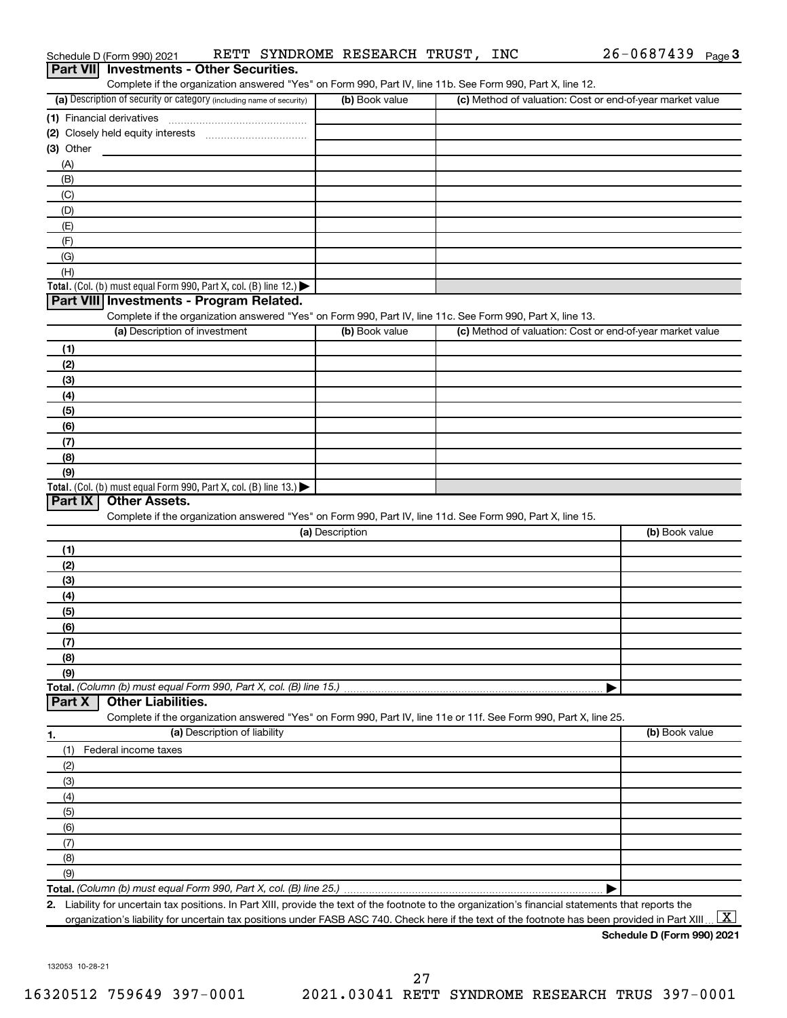| Schedule D (Form 990) 2021<br><b>Investments - Other Securities.</b><br><b>Part VIII</b><br>Complete if the organization answered "Yes" on Form 990, Part IV, line 11b. See Form 990, Part X, line 12.                                           | RETT SYNDROME RESEARCH TRUST, INC | 26-0687439 Page 3                                         |
|--------------------------------------------------------------------------------------------------------------------------------------------------------------------------------------------------------------------------------------------------|-----------------------------------|-----------------------------------------------------------|
| (a) Description of security or category (including name of security)                                                                                                                                                                             | (b) Book value                    | (c) Method of valuation: Cost or end-of-year market value |
| (1) Financial derivatives                                                                                                                                                                                                                        |                                   |                                                           |
| (2) Closely held equity interests                                                                                                                                                                                                                |                                   |                                                           |
| (3) Other                                                                                                                                                                                                                                        |                                   |                                                           |
| (A)                                                                                                                                                                                                                                              |                                   |                                                           |
| (B)                                                                                                                                                                                                                                              |                                   |                                                           |
| (C)                                                                                                                                                                                                                                              |                                   |                                                           |
| (D)                                                                                                                                                                                                                                              |                                   |                                                           |
| (E)                                                                                                                                                                                                                                              |                                   |                                                           |
| (F)                                                                                                                                                                                                                                              |                                   |                                                           |
| (G)                                                                                                                                                                                                                                              |                                   |                                                           |
| (H)                                                                                                                                                                                                                                              |                                   |                                                           |
| Total. (Col. (b) must equal Form 990, Part X, col. (B) line 12.) $\blacktriangleright$<br>Part VIII Investments - Program Related.<br>Complete if the organization answered "Yes" on Form 990, Part IV, line 11c. See Form 990, Part X, line 13. |                                   |                                                           |
| (a) Description of investment                                                                                                                                                                                                                    | (b) Book value                    | (c) Method of valuation: Cost or end-of-year market value |
| (1)                                                                                                                                                                                                                                              |                                   |                                                           |
| (2)                                                                                                                                                                                                                                              |                                   |                                                           |
| (3)                                                                                                                                                                                                                                              |                                   |                                                           |
| (4)                                                                                                                                                                                                                                              |                                   |                                                           |
| (5)                                                                                                                                                                                                                                              |                                   |                                                           |
| (6)                                                                                                                                                                                                                                              |                                   |                                                           |
| (7)                                                                                                                                                                                                                                              |                                   |                                                           |
| (8)                                                                                                                                                                                                                                              |                                   |                                                           |
| (9)                                                                                                                                                                                                                                              |                                   |                                                           |
| Total. (Col. (b) must equal Form 990, Part X, col. (B) line 13.) $\blacktriangleright$<br><b>Other Assets.</b><br>Part IX<br>Complete if the organization answered "Yes" on Form 990, Part IV, line 11d. See Form 990, Part X, line 15.          | (a) Description                   | (b) Book value                                            |
| (1)                                                                                                                                                                                                                                              |                                   |                                                           |
| (2)                                                                                                                                                                                                                                              |                                   |                                                           |
| (3)                                                                                                                                                                                                                                              |                                   |                                                           |
| (4)                                                                                                                                                                                                                                              |                                   |                                                           |
| (5)                                                                                                                                                                                                                                              |                                   |                                                           |
| (6)                                                                                                                                                                                                                                              |                                   |                                                           |
| (7)                                                                                                                                                                                                                                              |                                   |                                                           |
| (8)                                                                                                                                                                                                                                              |                                   |                                                           |
| (9)                                                                                                                                                                                                                                              |                                   |                                                           |
| Total. (Column (b) must equal Form 990, Part X, col. (B) line 15.)<br><b>Other Liabilities.</b><br>Part X                                                                                                                                        |                                   |                                                           |
| Complete if the organization answered "Yes" on Form 990, Part IV, line 11e or 11f. See Form 990, Part X, line 25.                                                                                                                                |                                   |                                                           |
| (a) Description of liability                                                                                                                                                                                                                     |                                   | (b) Book value                                            |
| 1.<br>(1)<br>Federal income taxes                                                                                                                                                                                                                |                                   |                                                           |
| (2)                                                                                                                                                                                                                                              |                                   |                                                           |
| (3)                                                                                                                                                                                                                                              |                                   |                                                           |
| (4)                                                                                                                                                                                                                                              |                                   |                                                           |
| (5)                                                                                                                                                                                                                                              |                                   |                                                           |
| (6)                                                                                                                                                                                                                                              |                                   |                                                           |
| (7)                                                                                                                                                                                                                                              |                                   |                                                           |
| (8)                                                                                                                                                                                                                                              |                                   |                                                           |
| (9)                                                                                                                                                                                                                                              |                                   |                                                           |
|                                                                                                                                                                                                                                                  |                                   |                                                           |
| 2. Liability for uncertain tax positions. In Part XIII, provide the text of the footnote to the organization's financial statements that reports the                                                                                             |                                   |                                                           |
| organization's liability for uncertain tax positions under FASB ASC 740. Check here if the text of the footnote has been provided in Part XIII                                                                                                   |                                   | $\boxed{\text{X}}$                                        |

132053 10-28-21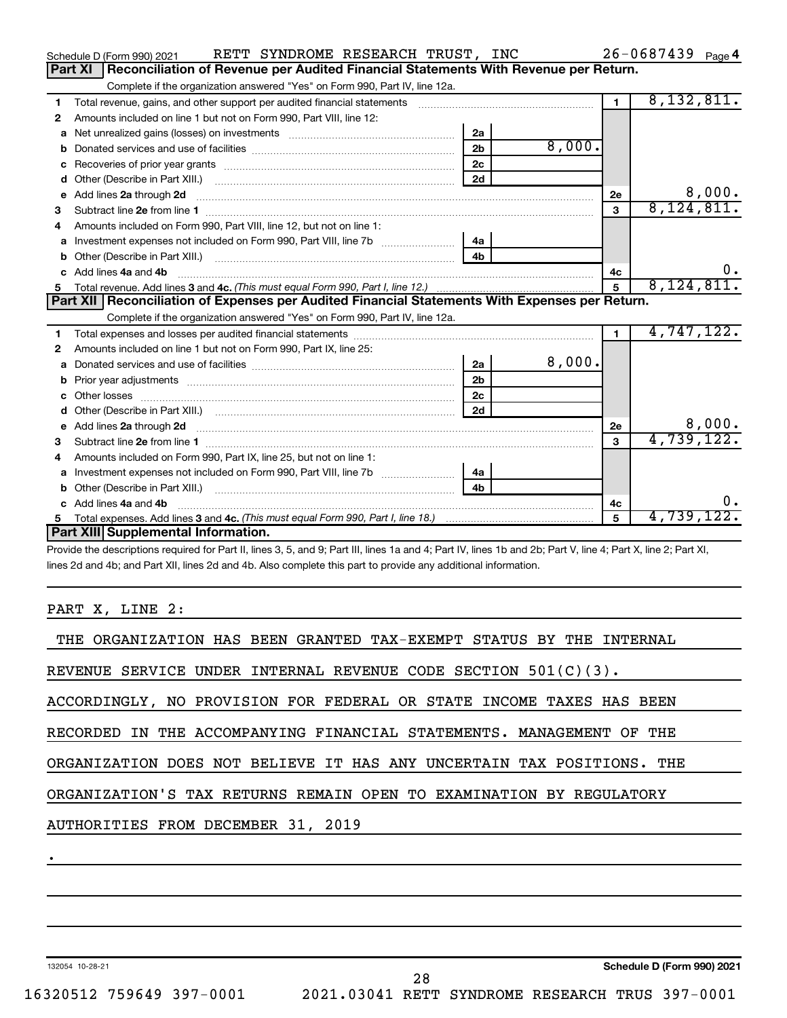|    | RETT SYNDROME RESEARCH TRUST, INC<br>Schedule D (Form 990) 2021                                                                                                                                                                     |                |        |                | $26 - 0687439$ Page 4 |
|----|-------------------------------------------------------------------------------------------------------------------------------------------------------------------------------------------------------------------------------------|----------------|--------|----------------|-----------------------|
|    | Reconciliation of Revenue per Audited Financial Statements With Revenue per Return.<br>Part XI                                                                                                                                      |                |        |                |                       |
|    | Complete if the organization answered "Yes" on Form 990, Part IV, line 12a.                                                                                                                                                         |                |        |                |                       |
| 1  | Total revenue, gains, and other support per audited financial statements                                                                                                                                                            |                |        | $\blacksquare$ | 8,132,811.            |
| 2  | Amounts included on line 1 but not on Form 990, Part VIII, line 12:                                                                                                                                                                 |                |        |                |                       |
| a  |                                                                                                                                                                                                                                     | 2a             |        |                |                       |
| b  |                                                                                                                                                                                                                                     | 2 <sub>b</sub> | 8,000. |                |                       |
|    |                                                                                                                                                                                                                                     | 2c             |        |                |                       |
| d  |                                                                                                                                                                                                                                     | 2d             |        |                |                       |
| е  | Add lines 2a through 2d                                                                                                                                                                                                             |                |        | <b>2e</b>      | 8,000.                |
| 3  |                                                                                                                                                                                                                                     |                |        | 3              | 8,124,811.            |
| 4  | Amounts included on Form 990, Part VIII, line 12, but not on line 1:                                                                                                                                                                |                |        |                |                       |
| a  |                                                                                                                                                                                                                                     | 4a             |        |                |                       |
|    |                                                                                                                                                                                                                                     | 4 <sub>h</sub> |        |                |                       |
|    | c Add lines 4a and 4b                                                                                                                                                                                                               |                |        | 4с             | 0.                    |
| 5. |                                                                                                                                                                                                                                     |                |        | 5              | 8,124,811.            |
|    | Part XII   Reconciliation of Expenses per Audited Financial Statements With Expenses per Return.                                                                                                                                    |                |        |                |                       |
|    | Complete if the organization answered "Yes" on Form 990, Part IV, line 12a.                                                                                                                                                         |                |        |                |                       |
| 1  |                                                                                                                                                                                                                                     |                |        | $\blacksquare$ | 4,747,122.            |
| 2  | Amounts included on line 1 but not on Form 990, Part IX, line 25:                                                                                                                                                                   |                |        |                |                       |
|    |                                                                                                                                                                                                                                     | 2a             | 8,000. |                |                       |
| b  | Prior year adjustments information and continuum and contact the contract of the contract of the contract of the contract of the contract of the contract of the contract of the contract of the contract of the contract of t      | 2 <sub>b</sub> |        |                |                       |
| c. |                                                                                                                                                                                                                                     | 2 <sub>c</sub> |        |                |                       |
| d  |                                                                                                                                                                                                                                     | 2d             |        |                |                       |
| e  | Add lines 2a through 2d <b>contained a contained a contained a contained a</b> contained a contact the set of the set of the set of the set of the set of the set of the set of the set of the set of the set of the set of the set |                |        | <b>2e</b>      | 8,000.                |
| 3  |                                                                                                                                                                                                                                     |                |        | $\mathbf{a}$   | 4,739,122.            |
| 4  | Amounts included on Form 990, Part IX, line 25, but not on line 1:                                                                                                                                                                  |                |        |                |                       |
| а  | Investment expenses not included on Form 990, Part VIII, line 7b [100] [100] [100] [100] [100] [100] [100] [10                                                                                                                      | 4a             |        |                |                       |
| b  |                                                                                                                                                                                                                                     | 4 <sub>h</sub> |        |                |                       |
| C. | Add lines 4a and 4b                                                                                                                                                                                                                 |                |        | 4c             | υ.                    |
| 5. |                                                                                                                                                                                                                                     |                |        | 5              | 4,739,122.            |
|    | Part XIII Supplemental Information.                                                                                                                                                                                                 |                |        |                |                       |
|    | Drouble the descriptions required for Dart II, lines $9.5$ and $0.0$ Dart III, lines to and $4.0$ Dart IV, lines the and $9b$ ; Dart V, line $4.0$ Dart V, line $9.0$                                                               |                |        |                |                       |

Provide the descriptions required for Part II, lines 3, 5, and 9; Part III, lines 1a and 4; Part IV, lines 1b and 2b; Part V, line 4; Part X, line 2; Part XI, lines 2d and 4b; and Part XII, lines 2d and 4b. Also complete this part to provide any additional information.

PART X, LINE 2:

| THE ORGANIZATION HAS BEEN GRANTED TAX-EXEMPT STATUS BY THE INTERNAL   |
|-----------------------------------------------------------------------|
| REVENUE SERVICE UNDER INTERNAL REVENUE CODE SECTION $501(C)(3)$ .     |
| ACCORDINGLY, NO PROVISION FOR FEDERAL OR STATE INCOME TAXES HAS BEEN  |
| RECORDED IN THE ACCOMPANYING FINANCIAL STATEMENTS. MANAGEMENT OF THE  |
| ORGANIZATION DOES NOT BELIEVE IT HAS ANY UNCERTAIN TAX POSITIONS. THE |
| ORGANIZATION'S TAX RETURNS REMAIN OPEN TO EXAMINATION BY REGULATORY   |
| AUTHORITIES FROM DECEMBER 31, 2019                                    |
|                                                                       |
|                                                                       |
|                                                                       |
|                                                                       |

132054 10-28-21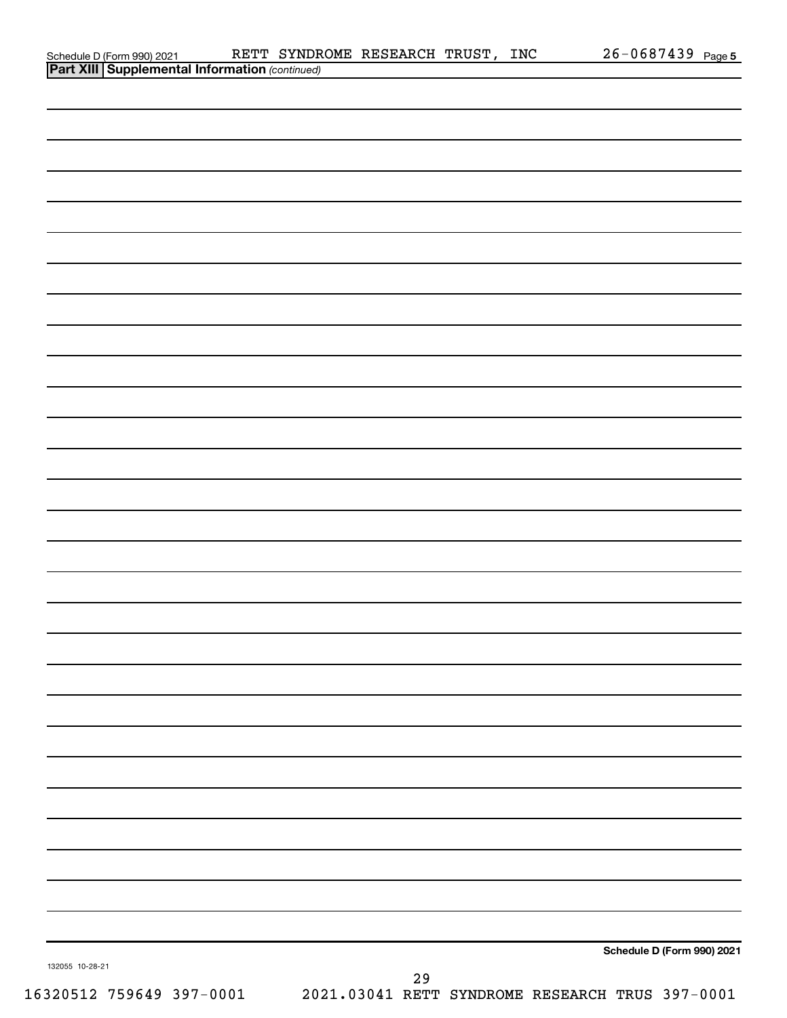| Schedule D (Form 990) 2021 RETT SYNDR<br>Part XIII Supplemental Information (continued) | RETT SYNDROME RESEARCH TRUST, | INC | $26 - 0687439$ Page 5      |
|-----------------------------------------------------------------------------------------|-------------------------------|-----|----------------------------|
|                                                                                         |                               |     |                            |
|                                                                                         |                               |     |                            |
|                                                                                         |                               |     |                            |
|                                                                                         |                               |     |                            |
|                                                                                         |                               |     |                            |
|                                                                                         |                               |     |                            |
|                                                                                         |                               |     |                            |
|                                                                                         |                               |     |                            |
|                                                                                         |                               |     |                            |
|                                                                                         |                               |     |                            |
|                                                                                         |                               |     |                            |
|                                                                                         |                               |     |                            |
|                                                                                         |                               |     |                            |
|                                                                                         |                               |     |                            |
|                                                                                         |                               |     |                            |
|                                                                                         |                               |     |                            |
|                                                                                         |                               |     |                            |
|                                                                                         |                               |     |                            |
|                                                                                         |                               |     |                            |
|                                                                                         |                               |     |                            |
|                                                                                         |                               |     |                            |
|                                                                                         |                               |     |                            |
|                                                                                         |                               |     |                            |
|                                                                                         |                               |     |                            |
|                                                                                         |                               |     |                            |
|                                                                                         |                               |     |                            |
|                                                                                         |                               |     |                            |
|                                                                                         |                               |     |                            |
|                                                                                         |                               |     |                            |
|                                                                                         |                               |     |                            |
|                                                                                         |                               |     |                            |
|                                                                                         |                               |     |                            |
|                                                                                         |                               |     |                            |
|                                                                                         |                               |     |                            |
|                                                                                         |                               |     |                            |
|                                                                                         |                               |     |                            |
|                                                                                         |                               |     |                            |
|                                                                                         |                               |     |                            |
|                                                                                         |                               |     |                            |
|                                                                                         |                               |     |                            |
|                                                                                         |                               |     |                            |
|                                                                                         |                               |     |                            |
|                                                                                         |                               |     |                            |
|                                                                                         |                               |     |                            |
|                                                                                         |                               |     |                            |
|                                                                                         |                               |     |                            |
|                                                                                         |                               |     |                            |
|                                                                                         |                               |     | Schedule D (Form 990) 2021 |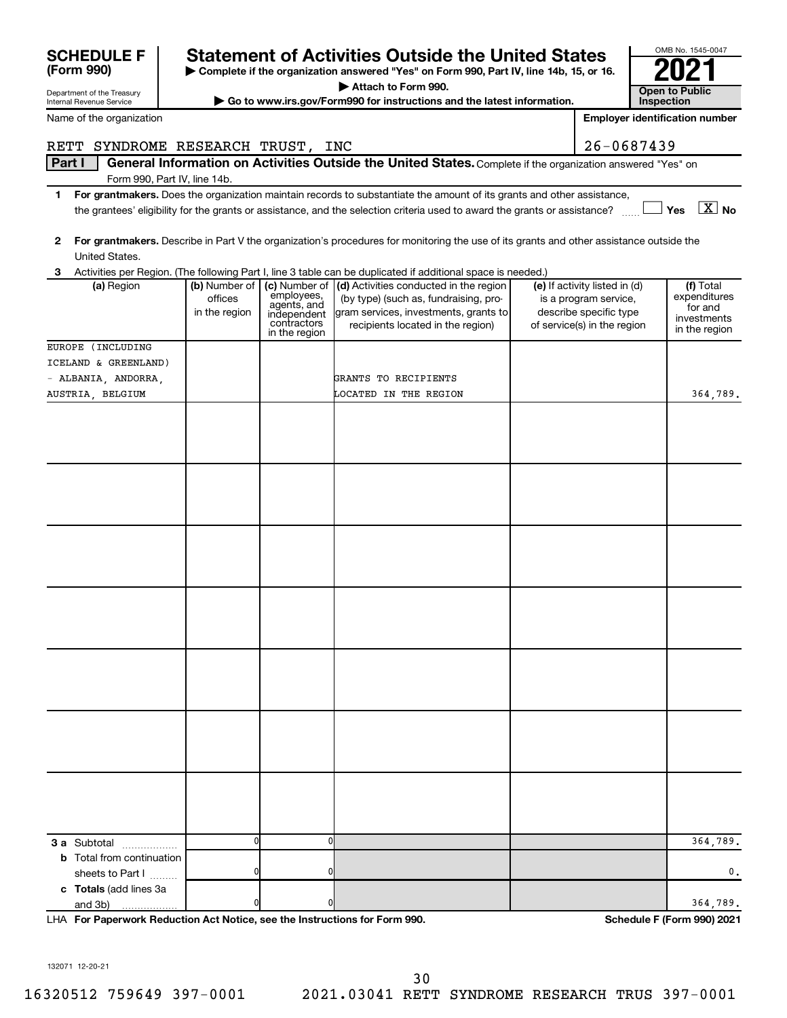|        | Department of the Treasury<br>Internal Revenue Service |                                   |                                           | ALLECTI TO LOLI 11 AAO'<br>Go to www.irs.gov/Form990 for instructions and the latest information.                                       |                               | <b>Open to Public</b><br>Inspection   |
|--------|--------------------------------------------------------|-----------------------------------|-------------------------------------------|-----------------------------------------------------------------------------------------------------------------------------------------|-------------------------------|---------------------------------------|
|        | Name of the organization                               |                                   |                                           |                                                                                                                                         |                               | <b>Employer identification number</b> |
|        |                                                        |                                   |                                           |                                                                                                                                         |                               |                                       |
|        |                                                        | RETT SYNDROME RESEARCH TRUST, INC |                                           |                                                                                                                                         | 26-0687439                    |                                       |
| Part I |                                                        |                                   |                                           | General Information on Activities Outside the United States. Complete if the organization answered "Yes" on                             |                               |                                       |
|        |                                                        | Form 990, Part IV, line 14b.      |                                           |                                                                                                                                         |                               |                                       |
|        |                                                        |                                   |                                           | 1 For grantmakers. Does the organization maintain records to substantiate the amount of its grants and other assistance,                |                               | $\boxed{\text{X}}$ No                 |
|        |                                                        |                                   |                                           | the grantees' eligibility for the grants or assistance, and the selection criteria used to award the grants or assistance?              |                               |                                       |
| 2      |                                                        |                                   |                                           | For grantmakers. Describe in Part V the organization's procedures for monitoring the use of its grants and other assistance outside the |                               |                                       |
|        | United States.                                         |                                   |                                           |                                                                                                                                         |                               |                                       |
| 3      |                                                        |                                   |                                           | Activities per Region. (The following Part I, line 3 table can be duplicated if additional space is needed.)                            |                               |                                       |
|        | (a) Region                                             | (b) Number of                     | (c) Number of                             | (d) Activities conducted in the region                                                                                                  | (e) If activity listed in (d) | (f) Total                             |
|        |                                                        | offices                           | employees,                                | (by type) (such as, fundraising, pro-                                                                                                   | is a program service,         | expenditures                          |
|        |                                                        | in the region                     | agents, and<br>independent<br>contractors | gram services, investments, grants to                                                                                                   | describe specific type        | for and<br>investments                |
|        |                                                        |                                   | in the region                             | recipients located in the region)                                                                                                       | of service(s) in the region   | in the region                         |
|        | EUROPE (INCLUDING                                      |                                   |                                           |                                                                                                                                         |                               |                                       |
|        | ICELAND & GREENLAND)                                   |                                   |                                           |                                                                                                                                         |                               |                                       |
|        | - ALBANIA, ANDORRA,                                    |                                   |                                           | GRANTS TO RECIPIENTS                                                                                                                    |                               |                                       |
|        | AUSTRIA, BELGIUM                                       |                                   |                                           | LOCATED IN THE REGION                                                                                                                   |                               | 364,789.                              |
|        |                                                        |                                   |                                           |                                                                                                                                         |                               |                                       |
|        |                                                        |                                   |                                           |                                                                                                                                         |                               |                                       |
|        |                                                        |                                   |                                           |                                                                                                                                         |                               |                                       |
|        |                                                        |                                   |                                           |                                                                                                                                         |                               |                                       |
|        |                                                        |                                   |                                           |                                                                                                                                         |                               |                                       |
|        |                                                        |                                   |                                           |                                                                                                                                         |                               |                                       |
|        |                                                        |                                   |                                           |                                                                                                                                         |                               |                                       |
|        |                                                        |                                   |                                           |                                                                                                                                         |                               |                                       |
|        |                                                        |                                   |                                           |                                                                                                                                         |                               |                                       |
|        |                                                        |                                   |                                           |                                                                                                                                         |                               |                                       |
|        |                                                        |                                   |                                           |                                                                                                                                         |                               |                                       |
|        |                                                        |                                   |                                           |                                                                                                                                         |                               |                                       |
|        |                                                        |                                   |                                           |                                                                                                                                         |                               |                                       |
|        |                                                        |                                   |                                           |                                                                                                                                         |                               |                                       |
|        |                                                        |                                   |                                           |                                                                                                                                         |                               |                                       |
|        |                                                        |                                   |                                           |                                                                                                                                         |                               |                                       |
|        |                                                        |                                   |                                           |                                                                                                                                         |                               |                                       |
|        |                                                        |                                   |                                           |                                                                                                                                         |                               |                                       |
|        |                                                        |                                   |                                           |                                                                                                                                         |                               |                                       |
|        |                                                        |                                   |                                           |                                                                                                                                         |                               |                                       |
|        |                                                        |                                   |                                           |                                                                                                                                         |                               |                                       |
|        |                                                        |                                   |                                           |                                                                                                                                         |                               |                                       |
|        |                                                        |                                   |                                           |                                                                                                                                         |                               |                                       |
|        |                                                        |                                   |                                           |                                                                                                                                         |                               |                                       |
|        |                                                        |                                   |                                           |                                                                                                                                         |                               |                                       |
|        |                                                        |                                   |                                           |                                                                                                                                         |                               |                                       |
|        | <b>3 a</b> Subtotal                                    | $\mathbf 0$                       | $\mathbf 0$                               |                                                                                                                                         |                               | 364,789.                              |
|        | <b>b</b> Total from continuation                       |                                   |                                           |                                                                                                                                         |                               |                                       |
|        | sheets to Part I                                       |                                   | ŋ                                         |                                                                                                                                         |                               | $\mathbf 0$ .                         |
|        | c Totals (add lines 3a                                 |                                   |                                           |                                                                                                                                         |                               |                                       |
|        | and 3b)                                                |                                   |                                           |                                                                                                                                         |                               | 364,789.                              |

**| Complete if the organization answered "Yes" on Form 990, Part IV, line 14b, 15, or 16. | Attach to Form 990.**

**SCHEDULE F Statement of Activities Outside the United States 2021**

**For Paperwork Reduction Act Notice, see the Instructions for Form 990. Schedule F (Form 990) 2021** LHA

OMB No. 1545-0047

**Open to Public** 

132071 12-20-21

**(Form 990)**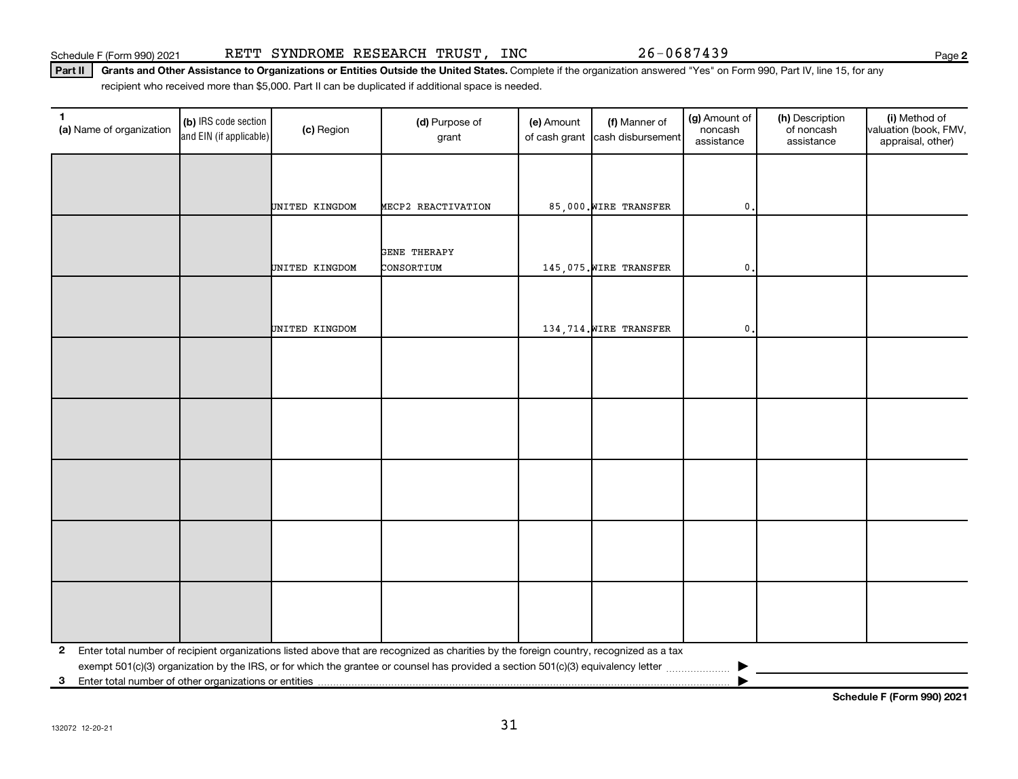**2**

Part II | Grants and Other Assistance to Organizations or Entities Outside the United States. Complete if the organization answered "Yes" on Form 990, Part IV, line 15, for any recipient who received more than \$5,000. Part II can be duplicated if additional space is needed.

| $\mathbf{1}$<br>(a) Name of organization | (b) IRS code section<br>and EIN (if applicable) | (c) Region     | (d) Purpose of<br>grant                                                                                                                 | (e) Amount | (f) Manner of<br>of cash grant cash disbursement | (g) Amount of<br>noncash<br>assistance | (h) Description<br>of noncash<br>assistance | (i) Method of<br>valuation (book, FMV,<br>appraisal, other) |
|------------------------------------------|-------------------------------------------------|----------------|-----------------------------------------------------------------------------------------------------------------------------------------|------------|--------------------------------------------------|----------------------------------------|---------------------------------------------|-------------------------------------------------------------|
|                                          |                                                 |                |                                                                                                                                         |            |                                                  |                                        |                                             |                                                             |
|                                          |                                                 | UNITED KINGDOM | MECP2 REACTIVATION                                                                                                                      |            | 85,000. WIRE TRANSFER                            | $\mathbf 0$ .                          |                                             |                                                             |
|                                          |                                                 |                |                                                                                                                                         |            |                                                  |                                        |                                             |                                                             |
|                                          |                                                 | UNITED KINGDOM | GENE THERAPY<br>CONSORTIUM                                                                                                              |            | 145,075. WIRE TRANSFER                           | $\mathbf 0$ .                          |                                             |                                                             |
|                                          |                                                 |                |                                                                                                                                         |            |                                                  |                                        |                                             |                                                             |
|                                          |                                                 | UNITED KINGDOM |                                                                                                                                         |            | 134,714. WIRE TRANSFER                           | $\mathfrak o$ .                        |                                             |                                                             |
|                                          |                                                 |                |                                                                                                                                         |            |                                                  |                                        |                                             |                                                             |
|                                          |                                                 |                |                                                                                                                                         |            |                                                  |                                        |                                             |                                                             |
|                                          |                                                 |                |                                                                                                                                         |            |                                                  |                                        |                                             |                                                             |
|                                          |                                                 |                |                                                                                                                                         |            |                                                  |                                        |                                             |                                                             |
|                                          |                                                 |                |                                                                                                                                         |            |                                                  |                                        |                                             |                                                             |
|                                          |                                                 |                |                                                                                                                                         |            |                                                  |                                        |                                             |                                                             |
|                                          |                                                 |                |                                                                                                                                         |            |                                                  |                                        |                                             |                                                             |
|                                          |                                                 |                |                                                                                                                                         |            |                                                  |                                        |                                             |                                                             |
|                                          |                                                 |                |                                                                                                                                         |            |                                                  |                                        |                                             |                                                             |
|                                          |                                                 |                |                                                                                                                                         |            |                                                  |                                        |                                             |                                                             |
| $\mathbf{2}$                             |                                                 |                | Enter total number of recipient organizations listed above that are recognized as charities by the foreign country, recognized as a tax |            |                                                  |                                        |                                             |                                                             |
| 3                                        |                                                 |                |                                                                                                                                         |            |                                                  |                                        |                                             |                                                             |

**Schedule F (Form 990) 2021**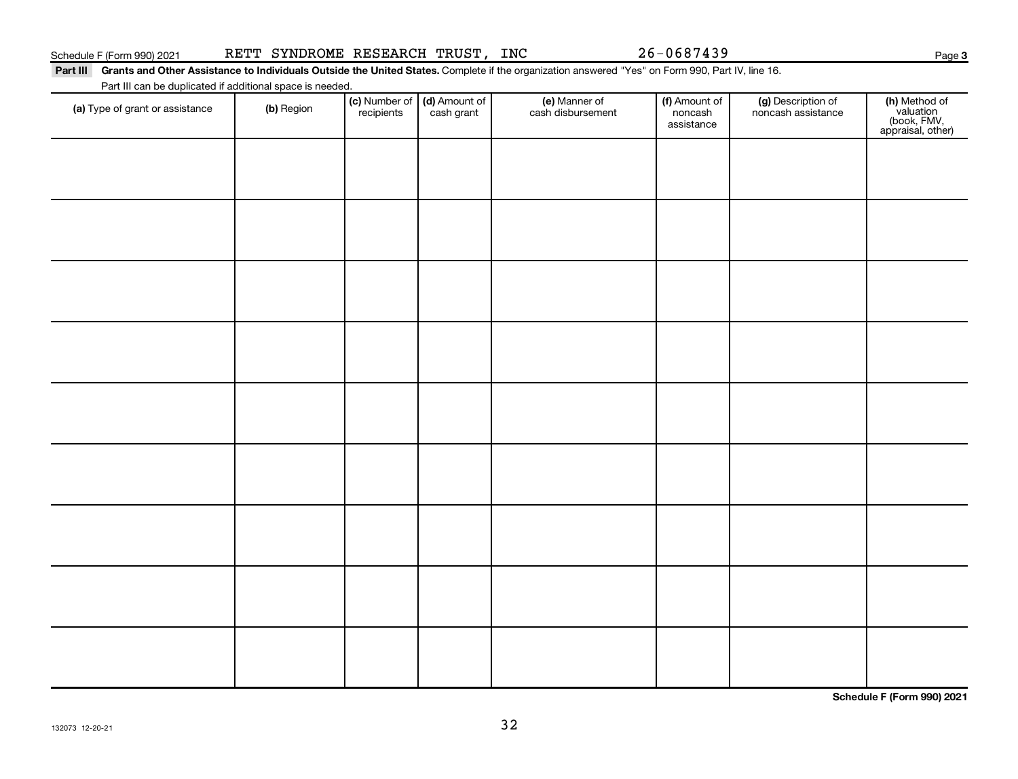Part III Grants and Other Assistance to Individuals Outside the United States. Complete if the organization answered "Yes" on Form 990, Part IV, line 16. Part III can be duplicated if additional space is needed.

| (a) Type of grant or assistance | (b) Region | (c) Number of (d) Amount of<br>recipients cash grant | (e) Manner of<br>cash disbursement | (f) Amount of<br>noncash<br>assistance | (g) Description of<br>noncash assistance | (h) Method of<br>valuation<br>(book, FMV,<br>appraisal, other) |
|---------------------------------|------------|------------------------------------------------------|------------------------------------|----------------------------------------|------------------------------------------|----------------------------------------------------------------|
|                                 |            |                                                      |                                    |                                        |                                          |                                                                |
|                                 |            |                                                      |                                    |                                        |                                          |                                                                |
|                                 |            |                                                      |                                    |                                        |                                          |                                                                |
|                                 |            |                                                      |                                    |                                        |                                          |                                                                |
|                                 |            |                                                      |                                    |                                        |                                          |                                                                |
|                                 |            |                                                      |                                    |                                        |                                          |                                                                |
|                                 |            |                                                      |                                    |                                        |                                          |                                                                |
|                                 |            |                                                      |                                    |                                        |                                          |                                                                |
|                                 |            |                                                      |                                    |                                        |                                          |                                                                |
|                                 |            |                                                      |                                    |                                        |                                          |                                                                |

**Schedule F (Form 990) 2021**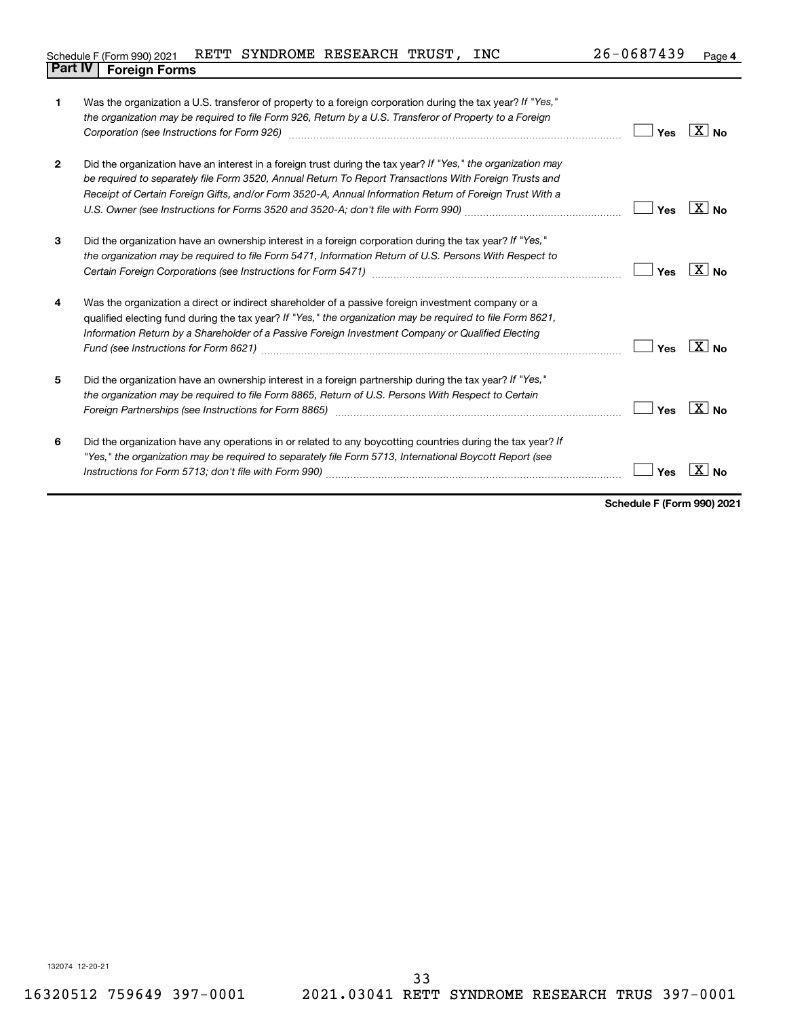| Schedule F (Form 990) 2021     |  | RETT SYNDROME RESEARCH TRUST, | INC | $26 - 0687439$ | Page 4 |
|--------------------------------|--|-------------------------------|-----|----------------|--------|
| <b>Part IV   Foreign Forms</b> |  |                               |     |                |        |

| 1              | Was the organization a U.S. transferor of property to a foreign corporation during the tax year? If "Yes,"<br>the organization may be required to file Form 926, Return by a U.S. Transferor of Property to a Foreign<br>Corporation (see Instructions for Form 926) manufactured controller controller to the control of the control of | Yes | $\overline{X}$ No  |
|----------------|------------------------------------------------------------------------------------------------------------------------------------------------------------------------------------------------------------------------------------------------------------------------------------------------------------------------------------------|-----|--------------------|
| $\overline{2}$ | Did the organization have an interest in a foreign trust during the tax year? If "Yes," the organization may<br>be required to separately file Form 3520, Annual Return To Report Transactions With Foreign Trusts and<br>Receipt of Certain Foreign Gifts, and/or Form 3520-A, Annual Information Return of Foreign Trust With a        | Yes | $\overline{X}$ No  |
| 3              | Did the organization have an ownership interest in a foreign corporation during the tax year? If "Yes,"<br>the organization may be required to file Form 5471, Information Return of U.S. Persons With Respect to                                                                                                                        | Yes | $X _{\mathsf{No}}$ |
| 4              | Was the organization a direct or indirect shareholder of a passive foreign investment company or a<br>qualified electing fund during the tax year? If "Yes," the organization may be required to file Form 8621,<br>Information Return by a Shareholder of a Passive Foreign Investment Company or Qualified Electing                    | Yes | $X_{\text{No}}$    |
| 5              | Did the organization have an ownership interest in a foreign partnership during the tax year? If "Yes,"<br>the organization may be required to file Form 8865, Return of U.S. Persons With Respect to Certain                                                                                                                            | Yes | $X _{\text{No}}$   |
| 6              | Did the organization have any operations in or related to any boycotting countries during the tax year? If<br>"Yes," the organization may be required to separately file Form 5713, International Boycott Report (see                                                                                                                    | Yes |                    |

**Schedule F (Form 990) 2021**

132074 12-20-21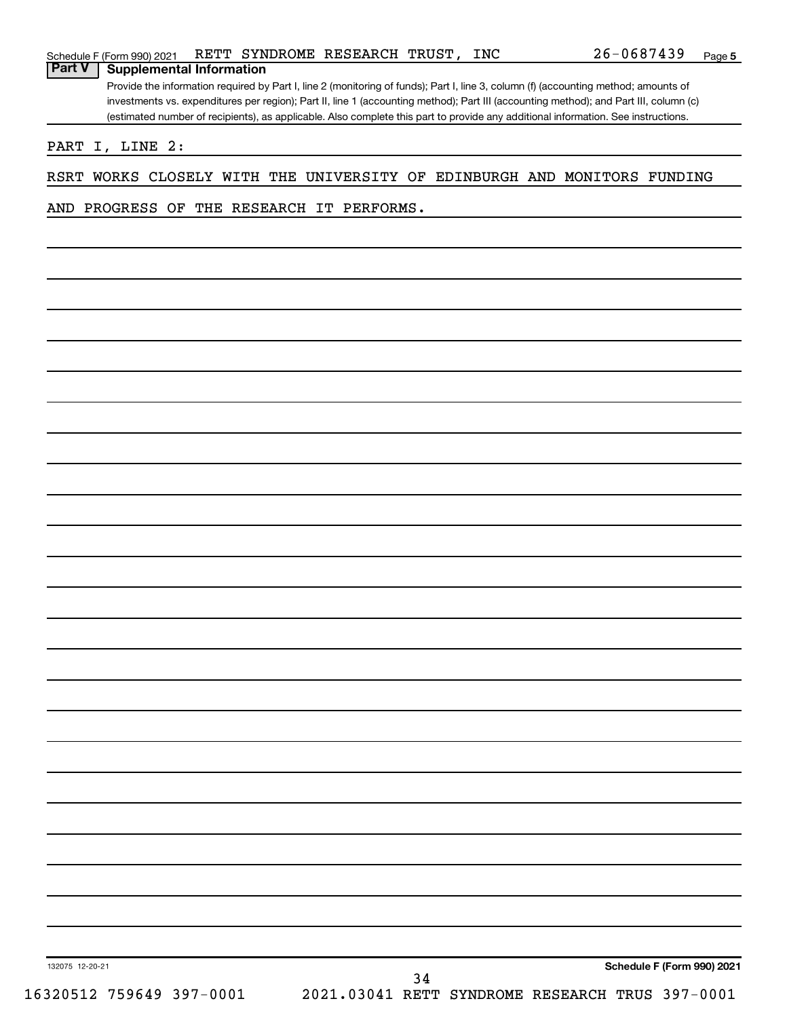| (estimated number of recipients), as applicable. Also complete this part to provide any additional information. See instructions. |  |  |  |  |  |  |  |  |  |
|-----------------------------------------------------------------------------------------------------------------------------------|--|--|--|--|--|--|--|--|--|
| PART I, LINE 2:                                                                                                                   |  |  |  |  |  |  |  |  |  |
| RSRT WORKS CLOSELY WITH THE UNIVERSITY OF EDINBURGH AND MONITORS FUNDING                                                          |  |  |  |  |  |  |  |  |  |
| AND PROGRESS OF THE RESEARCH IT PERFORMS.                                                                                         |  |  |  |  |  |  |  |  |  |
|                                                                                                                                   |  |  |  |  |  |  |  |  |  |
|                                                                                                                                   |  |  |  |  |  |  |  |  |  |
|                                                                                                                                   |  |  |  |  |  |  |  |  |  |
|                                                                                                                                   |  |  |  |  |  |  |  |  |  |
|                                                                                                                                   |  |  |  |  |  |  |  |  |  |

Provide the information required by Part I, line 2 (monitoring of funds); Part I, line 3, column (f) (accounting method; amounts of investments vs. expenditures per region); Part II, line 1 (accounting method); Part III (accounting method); and Part III, column (c)

**Part V F** (Form 990) 2021 **RETT** SYN<br>**Part V Supplemental Information**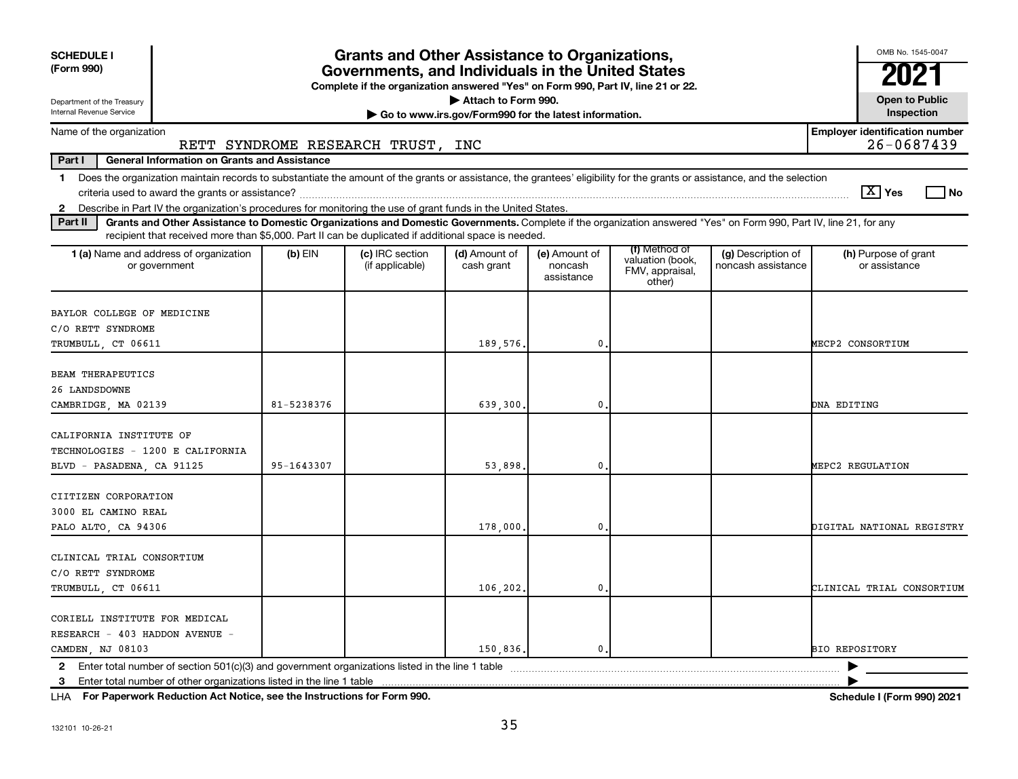| <b>SCHEDULE I</b><br>(Form 990)                                                                                                                                                                                                                                                                                                                                                                         |            | <b>Grants and Other Assistance to Organizations,</b><br>Governments, and Individuals in the United States<br>Complete if the organization answered "Yes" on Form 990, Part IV, line 21 or 22. |                                                                              |                                        |                                                                |                                          | OMB No. 1545-0047                                   |
|---------------------------------------------------------------------------------------------------------------------------------------------------------------------------------------------------------------------------------------------------------------------------------------------------------------------------------------------------------------------------------------------------------|------------|-----------------------------------------------------------------------------------------------------------------------------------------------------------------------------------------------|------------------------------------------------------------------------------|----------------------------------------|----------------------------------------------------------------|------------------------------------------|-----------------------------------------------------|
| Department of the Treasury<br>Internal Revenue Service                                                                                                                                                                                                                                                                                                                                                  |            |                                                                                                                                                                                               | Attach to Form 990.<br>Go to www.irs.gov/Form990 for the latest information. |                                        |                                                                |                                          | <b>Open to Public</b><br>Inspection                 |
| Name of the organization                                                                                                                                                                                                                                                                                                                                                                                |            | RETT SYNDROME RESEARCH TRUST, INC                                                                                                                                                             |                                                                              |                                        |                                                                |                                          | <b>Employer identification number</b><br>26-0687439 |
| Part I<br><b>General Information on Grants and Assistance</b>                                                                                                                                                                                                                                                                                                                                           |            |                                                                                                                                                                                               |                                                                              |                                        |                                                                |                                          |                                                     |
| Does the organization maintain records to substantiate the amount of the grants or assistance, the grantees' eligibility for the grants or assistance, and the selection<br>$\mathbf 1$                                                                                                                                                                                                                 |            |                                                                                                                                                                                               |                                                                              |                                        |                                                                |                                          | $\boxed{\text{X}}$ Yes<br>l No                      |
| 2 Describe in Part IV the organization's procedures for monitoring the use of grant funds in the United States.<br>Grants and Other Assistance to Domestic Organizations and Domestic Governments. Complete if the organization answered "Yes" on Form 990, Part IV, line 21, for any<br>Part II<br>recipient that received more than \$5,000. Part II can be duplicated if additional space is needed. |            |                                                                                                                                                                                               |                                                                              |                                        |                                                                |                                          |                                                     |
| <b>1 (a)</b> Name and address of organization<br>or government                                                                                                                                                                                                                                                                                                                                          | $(b)$ EIN  | (c) IRC section<br>(if applicable)                                                                                                                                                            | (d) Amount of<br>cash grant                                                  | (e) Amount of<br>noncash<br>assistance | (f) Method of<br>valuation (book,<br>FMV, appraisal,<br>other) | (g) Description of<br>noncash assistance | (h) Purpose of grant<br>or assistance               |
| BAYLOR COLLEGE OF MEDICINE<br>C/O RETT SYNDROME<br>TRUMBULL, CT 06611                                                                                                                                                                                                                                                                                                                                   |            |                                                                                                                                                                                               | 189,576.                                                                     | 0                                      |                                                                |                                          | MECP2 CONSORTIUM                                    |
| <b>BEAM THERAPEUTICS</b><br>26 LANDSDOWNE<br>CAMBRIDGE, MA 02139                                                                                                                                                                                                                                                                                                                                        | 81-5238376 |                                                                                                                                                                                               | 639,300.                                                                     | 0                                      |                                                                |                                          | DNA EDITING                                         |
| CALIFORNIA INSTITUTE OF<br>TECHNOLOGIES - 1200 E CALIFORNIA<br>BLVD - PASADENA, CA 91125                                                                                                                                                                                                                                                                                                                | 95-1643307 |                                                                                                                                                                                               | 53,898.                                                                      | 0                                      |                                                                |                                          | MEPC2 REGULATION                                    |
| CIITIZEN CORPORATION<br>3000 EL CAMINO REAL<br>PALO ALTO, CA 94306                                                                                                                                                                                                                                                                                                                                      |            |                                                                                                                                                                                               | 178,000.                                                                     | 0                                      |                                                                |                                          | DIGITAL NATIONAL REGISTRY                           |
| CLINICAL TRIAL CONSORTIUM<br>C/O RETT SYNDROME<br>TRUMBULL, CT 06611                                                                                                                                                                                                                                                                                                                                    |            |                                                                                                                                                                                               | 106,202.                                                                     | 0                                      |                                                                |                                          | CLINICAL TRIAL CONSORTIUM                           |
| CORIELL INSTITUTE FOR MEDICAL<br>RESEARCH - 403 HADDON AVENUE -<br>CAMDEN, NJ 08103                                                                                                                                                                                                                                                                                                                     |            |                                                                                                                                                                                               | 150,836.                                                                     | 0.                                     |                                                                |                                          | <b>BIO REPOSITORY</b>                               |
| 2 Enter total number of section 501(c)(3) and government organizations listed in the line 1 table                                                                                                                                                                                                                                                                                                       |            |                                                                                                                                                                                               |                                                                              |                                        |                                                                |                                          |                                                     |

**For Paperwork Reduction Act Notice, see the Instructions for Form 990. Schedule I (Form 990) 2021** LHA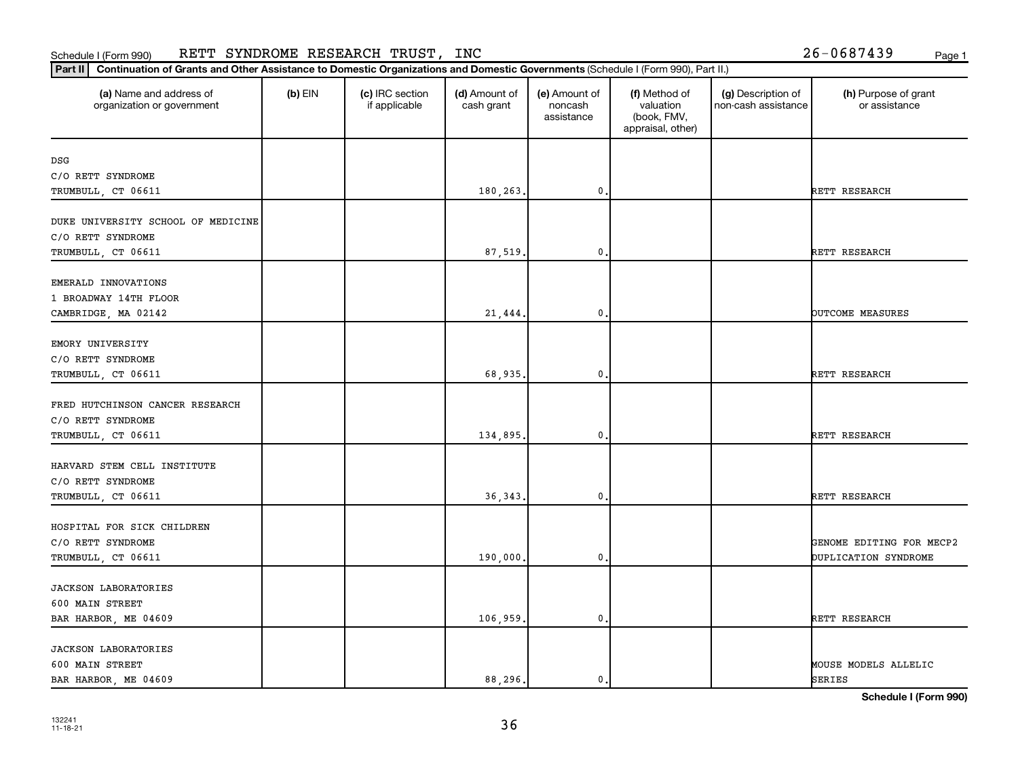### Schedule I (Form 990) RETT SYNDROME RESEARCH TRUST, INC 26-0687439 <sub>Page 1</sub>

| 26-0687439<br>Page: |
|---------------------|
|---------------------|

| (a) Name and address of<br>organization or government | $(b)$ EIN | (c) IRC section<br>if applicable | (d) Amount of<br>cash grant | (e) Amount of<br>noncash<br>assistance | (f) Method of<br>valuation<br>(book, FMV,<br>appraisal, other) | (g) Description of<br>non-cash assistance | (h) Purpose of grant<br>or assistance |
|-------------------------------------------------------|-----------|----------------------------------|-----------------------------|----------------------------------------|----------------------------------------------------------------|-------------------------------------------|---------------------------------------|
| DSG                                                   |           |                                  |                             |                                        |                                                                |                                           |                                       |
| C/O RETT SYNDROME                                     |           |                                  |                             |                                        |                                                                |                                           |                                       |
| TRUMBULL, CT 06611                                    |           |                                  | 180,263.                    | $\mathbf{0}$                           |                                                                |                                           | RETT RESEARCH                         |
| DUKE UNIVERSITY SCHOOL OF MEDICINE                    |           |                                  |                             |                                        |                                                                |                                           |                                       |
| C/O RETT SYNDROME                                     |           |                                  |                             |                                        |                                                                |                                           |                                       |
| TRUMBULL, CT 06611                                    |           |                                  | 87,519.                     | $\mathbf 0$                            |                                                                |                                           | RETT RESEARCH                         |
| EMERALD INNOVATIONS                                   |           |                                  |                             |                                        |                                                                |                                           |                                       |
| 1 BROADWAY 14TH FLOOR                                 |           |                                  |                             |                                        |                                                                |                                           |                                       |
| CAMBRIDGE, MA 02142                                   |           |                                  | 21,444.                     | $\mathbf{0}$                           |                                                                |                                           | <b>OUTCOME MEASURES</b>               |
|                                                       |           |                                  |                             |                                        |                                                                |                                           |                                       |
| EMORY UNIVERSITY                                      |           |                                  |                             |                                        |                                                                |                                           |                                       |
| C/O RETT SYNDROME                                     |           |                                  |                             |                                        |                                                                |                                           |                                       |
| TRUMBULL, CT 06611                                    |           |                                  | 68,935.                     | $\mathbf 0$                            |                                                                |                                           | RETT RESEARCH                         |
| FRED HUTCHINSON CANCER RESEARCH                       |           |                                  |                             |                                        |                                                                |                                           |                                       |
| C/O RETT SYNDROME                                     |           |                                  |                             |                                        |                                                                |                                           |                                       |
| TRUMBULL, CT 06611                                    |           |                                  | 134,895.                    | $\mathbf{0}$                           |                                                                |                                           | RETT RESEARCH                         |
|                                                       |           |                                  |                             |                                        |                                                                |                                           |                                       |
| HARVARD STEM CELL INSTITUTE                           |           |                                  |                             |                                        |                                                                |                                           |                                       |
| C/O RETT SYNDROME                                     |           |                                  |                             |                                        |                                                                |                                           |                                       |
| TRUMBULL, CT 06611                                    |           |                                  | 36, 343.                    | 0                                      |                                                                |                                           | RETT RESEARCH                         |
| HOSPITAL FOR SICK CHILDREN                            |           |                                  |                             |                                        |                                                                |                                           |                                       |
| C/O RETT SYNDROME                                     |           |                                  |                             |                                        |                                                                |                                           | GENOME EDITING FOR MECP2              |
| TRUMBULL, CT 06611                                    |           |                                  | 190,000.                    | $\mathbf 0$ .                          |                                                                |                                           | DUPLICATION SYNDROME                  |
|                                                       |           |                                  |                             |                                        |                                                                |                                           |                                       |
| <b>JACKSON LABORATORIES</b>                           |           |                                  |                             |                                        |                                                                |                                           |                                       |
| 600 MAIN STREET                                       |           |                                  |                             |                                        |                                                                |                                           |                                       |
| BAR HARBOR, ME 04609                                  |           |                                  | 106,959.                    | $\mathbf{0}$                           |                                                                |                                           | RETT RESEARCH                         |
| JACKSON LABORATORIES                                  |           |                                  |                             |                                        |                                                                |                                           |                                       |
| 600 MAIN STREET                                       |           |                                  |                             |                                        |                                                                |                                           | MOUSE MODELS ALLELIC                  |
| BAR HARBOR, ME 04609                                  |           |                                  | 88.296.                     | 0.                                     |                                                                |                                           | <b>SERIES</b>                         |

**Schedule I (Form 990)**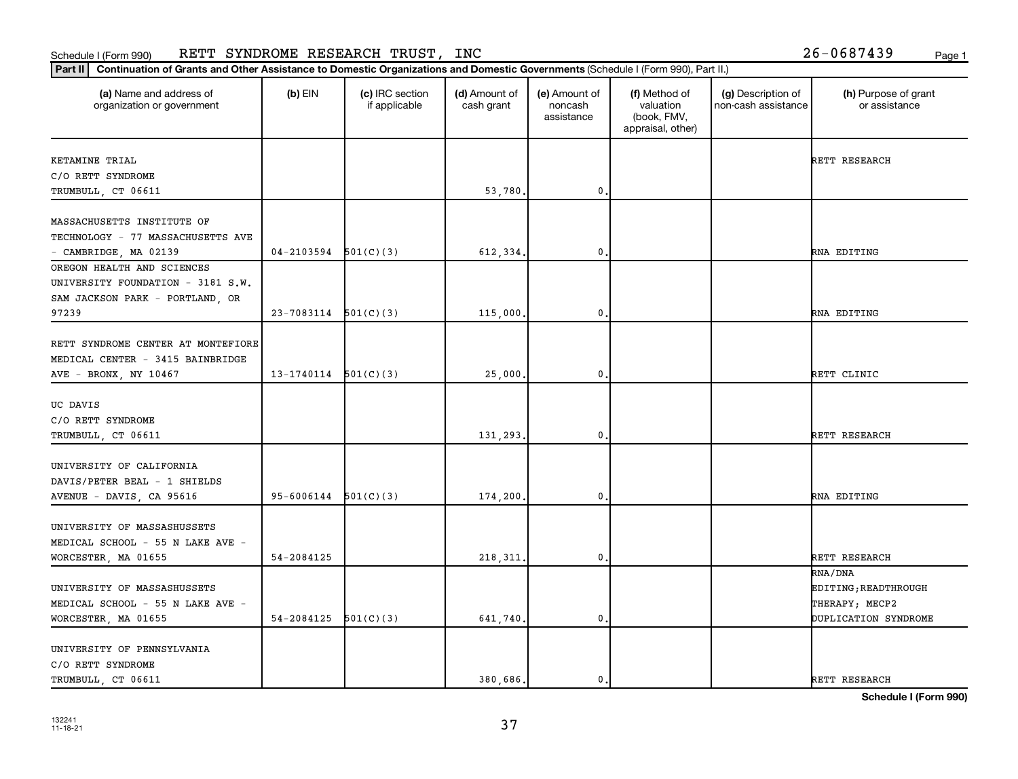### Schedule I (Form 990) RETT SYNDROME RESEARCH TRUST, INC 26-0687439 <sub>Page 1</sub>

| 26-0687439 | Page: |  |  |  |  |  |
|------------|-------|--|--|--|--|--|
|------------|-------|--|--|--|--|--|

| (a) Name and address of<br>organization or government | $(b)$ EIN                  | (c) IRC section<br>if applicable | (d) Amount of<br>cash grant | (e) Amount of<br>noncash<br>assistance | (f) Method of<br>valuation<br>(book, FMV,<br>appraisal, other) | (g) Description of<br>non-cash assistance | (h) Purpose of grant<br>or assistance |
|-------------------------------------------------------|----------------------------|----------------------------------|-----------------------------|----------------------------------------|----------------------------------------------------------------|-------------------------------------------|---------------------------------------|
| KETAMINE TRIAL                                        |                            |                                  |                             |                                        |                                                                |                                           | RETT RESEARCH                         |
| C/O RETT SYNDROME                                     |                            |                                  |                             |                                        |                                                                |                                           |                                       |
| TRUMBULL, CT 06611                                    |                            |                                  | 53,780.                     | 0                                      |                                                                |                                           |                                       |
| MASSACHUSETTS INSTITUTE OF                            |                            |                                  |                             |                                        |                                                                |                                           |                                       |
| TECHNOLOGY - 77 MASSACHUSETTS AVE                     |                            |                                  |                             |                                        |                                                                |                                           |                                       |
| - CAMBRIDGE, MA 02139                                 | $04-2103594$ $501(C)(3)$   |                                  | 612,334.                    | 0                                      |                                                                |                                           | RNA EDITING                           |
| OREGON HEALTH AND SCIENCES                            |                            |                                  |                             |                                        |                                                                |                                           |                                       |
| UNIVERSITY FOUNDATION - 3181 S.W.                     |                            |                                  |                             |                                        |                                                                |                                           |                                       |
| SAM JACKSON PARK - PORTLAND, OR                       |                            |                                  |                             |                                        |                                                                |                                           |                                       |
| 97239                                                 | $23-7083114$ $501(C)(3)$   |                                  | 115,000.                    | $\mathbf{0}$                           |                                                                |                                           | RNA EDITING                           |
|                                                       |                            |                                  |                             |                                        |                                                                |                                           |                                       |
| RETT SYNDROME CENTER AT MONTEFIORE                    |                            |                                  |                             |                                        |                                                                |                                           |                                       |
| MEDICAL CENTER - 3415 BAINBRIDGE                      |                            |                                  |                             |                                        |                                                                |                                           |                                       |
| AVE - BRONX, NY 10467                                 | $13-1740114$ $501(C)(3)$   |                                  | 25,000.                     | 0                                      |                                                                |                                           | RETT CLINIC                           |
|                                                       |                            |                                  |                             |                                        |                                                                |                                           |                                       |
| UC DAVIS                                              |                            |                                  |                             |                                        |                                                                |                                           |                                       |
| C/O RETT SYNDROME                                     |                            |                                  |                             |                                        |                                                                |                                           |                                       |
| TRUMBULL, CT 06611                                    |                            |                                  | 131,293.                    | 0                                      |                                                                |                                           | RETT RESEARCH                         |
| UNIVERSITY OF CALIFORNIA                              |                            |                                  |                             |                                        |                                                                |                                           |                                       |
| DAVIS/PETER BEAL - 1 SHIELDS                          |                            |                                  |                             |                                        |                                                                |                                           |                                       |
| AVENUE - DAVIS, CA 95616                              | $95 - 6006144$ $501(C)(3)$ |                                  | 174,200.                    | 0                                      |                                                                |                                           | RNA EDITING                           |
|                                                       |                            |                                  |                             |                                        |                                                                |                                           |                                       |
| UNIVERSITY OF MASSASHUSSETS                           |                            |                                  |                             |                                        |                                                                |                                           |                                       |
| MEDICAL SCHOOL - 55 N LAKE AVE -                      |                            |                                  |                             |                                        |                                                                |                                           |                                       |
| WORCESTER, MA 01655                                   | 54-2084125                 |                                  | 218, 311.                   | $\mathbf{0}$                           |                                                                |                                           | RETT RESEARCH                         |
|                                                       |                            |                                  |                             |                                        |                                                                |                                           | RNA/DNA                               |
| UNIVERSITY OF MASSASHUSSETS                           |                            |                                  |                             |                                        |                                                                |                                           | EDITING; READTHROUGH                  |
| MEDICAL SCHOOL - 55 N LAKE AVE -                      |                            |                                  |                             |                                        |                                                                |                                           | THERAPY; MECP2                        |
| WORCESTER, MA 01655                                   | 54-2084125                 | 501(C)(3)                        | 641,740.                    | 0                                      |                                                                |                                           | DUPLICATION SYNDROME                  |
|                                                       |                            |                                  |                             |                                        |                                                                |                                           |                                       |
| UNIVERSITY OF PENNSYLVANIA                            |                            |                                  |                             |                                        |                                                                |                                           |                                       |
| C/O RETT SYNDROME                                     |                            |                                  |                             |                                        |                                                                |                                           |                                       |
| TRUMBULL, CT 06611                                    |                            |                                  | 380.686.                    | $\mathbf{0}$ .                         |                                                                |                                           | RETT RESEARCH                         |

**Schedule I (Form 990)**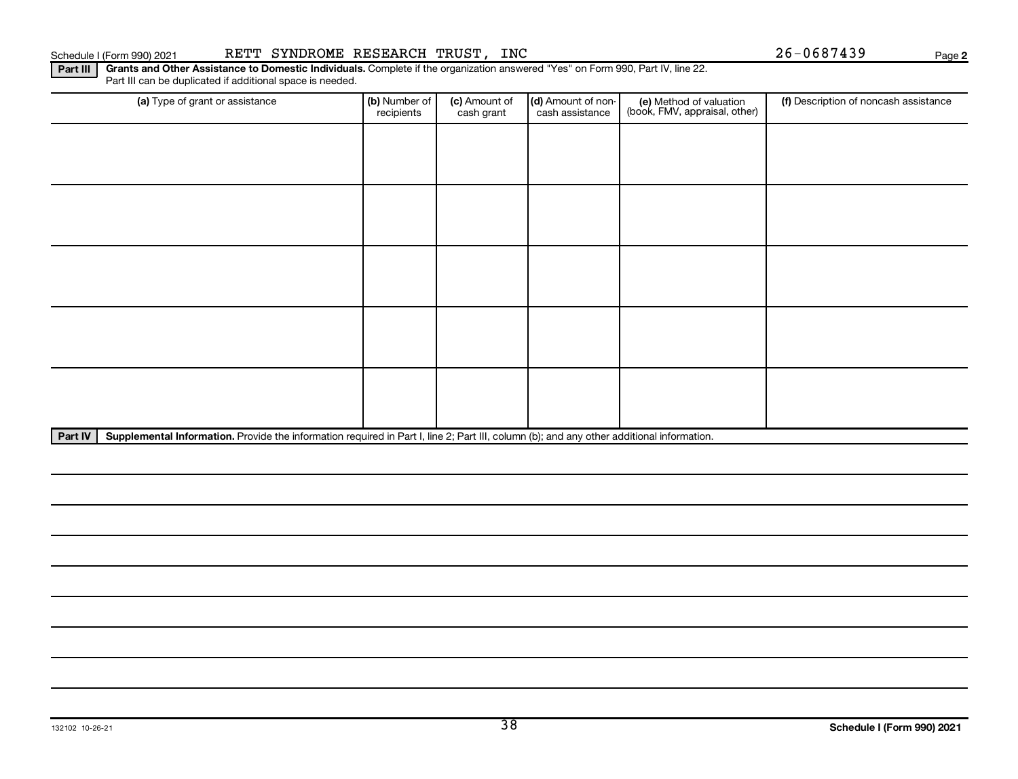(a) Type of grant or assistance **(b)** Number of **(c)** Amount of **(d)** Amount of non-**(e)** Method of valuation (f) **(b)**  $\begin{bmatrix} 0 & \text{Number of} \\ \text{recipoints} \end{bmatrix}$  (c) Amount of (d) Amount of non-(book, FMV, appraisal, other) Part III can be duplicated if additional space is needed. (a) Type of grant or assistance  $\vert$  (b) Number of recipients (c) Amount of cash grant (d) Amount of noncash assistance (f) Description of noncash assistance

Schedule I (Form 990) 2021 RETT SYNDROME RESEARCH TRUST, INC  $26-0687439$  Page

| Part IV | Supplemental Information. Provide the information required in Part I, line 2; Part III, column (b); and any other additional information. |  |  |  |  |  |  |  |  |
|---------|-------------------------------------------------------------------------------------------------------------------------------------------|--|--|--|--|--|--|--|--|
|         |                                                                                                                                           |  |  |  |  |  |  |  |  |

**Part III | Grants and Other Assistance to Domestic Individuals.** Complete if the organization answered "Yes" on Form 990, Part IV, line 22.

**2**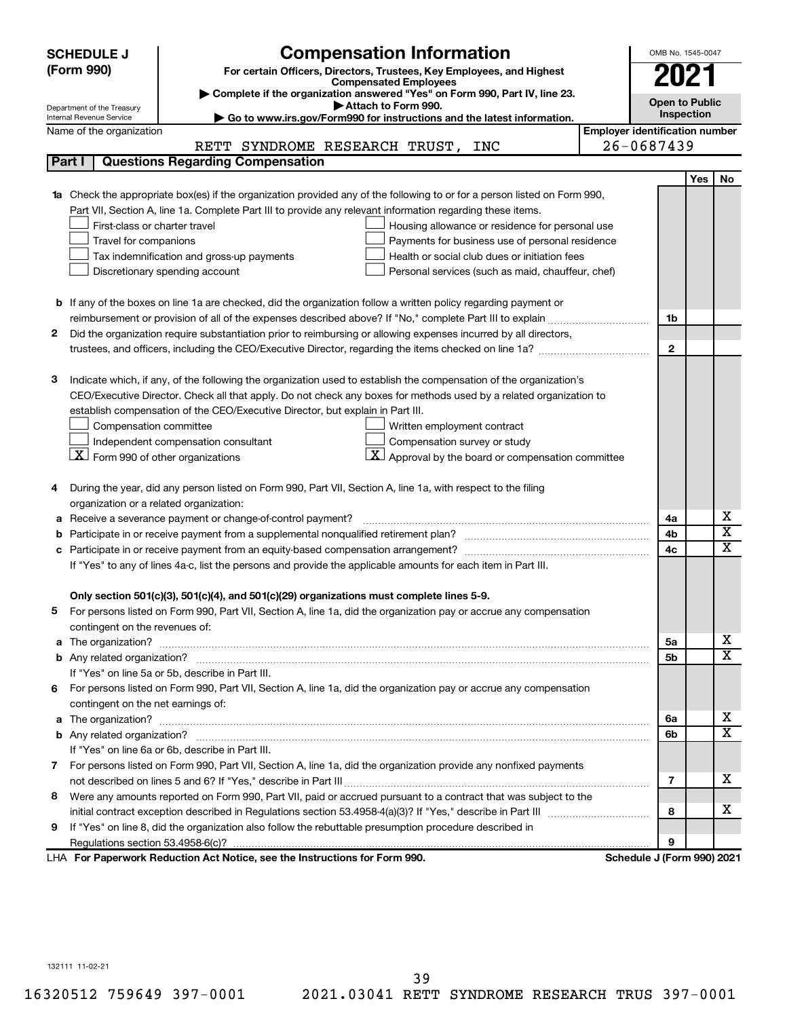| <b>SCHEDULE J</b>                                      | <b>Compensation Information</b>                                                                                                                                                                      |                                       | OMB No. 1545-0047     |            |                         |
|--------------------------------------------------------|------------------------------------------------------------------------------------------------------------------------------------------------------------------------------------------------------|---------------------------------------|-----------------------|------------|-------------------------|
| (Form 990)                                             | For certain Officers, Directors, Trustees, Key Employees, and Highest                                                                                                                                |                                       |                       |            |                         |
|                                                        | <b>Compensated Employees</b>                                                                                                                                                                         |                                       | 2021                  |            |                         |
|                                                        | Complete if the organization answered "Yes" on Form 990, Part IV, line 23.<br>Attach to Form 990.                                                                                                    |                                       | <b>Open to Public</b> |            |                         |
| Department of the Treasury<br>Internal Revenue Service | Go to www.irs.gov/Form990 for instructions and the latest information.                                                                                                                               |                                       | Inspection            |            |                         |
| Name of the organization                               |                                                                                                                                                                                                      | <b>Employer identification number</b> |                       |            |                         |
|                                                        | RETT SYNDROME RESEARCH TRUST, INC                                                                                                                                                                    | $26 - 0687439$                        |                       |            |                         |
| Part I                                                 | <b>Questions Regarding Compensation</b>                                                                                                                                                              |                                       |                       |            |                         |
|                                                        |                                                                                                                                                                                                      |                                       |                       | <b>Yes</b> | No                      |
|                                                        | Check the appropriate box(es) if the organization provided any of the following to or for a person listed on Form 990,                                                                               |                                       |                       |            |                         |
|                                                        | Part VII, Section A, line 1a. Complete Part III to provide any relevant information regarding these items.                                                                                           |                                       |                       |            |                         |
| First-class or charter travel                          | Housing allowance or residence for personal use                                                                                                                                                      |                                       |                       |            |                         |
| Travel for companions                                  | Payments for business use of personal residence                                                                                                                                                      |                                       |                       |            |                         |
|                                                        | Health or social club dues or initiation fees<br>Tax indemnification and gross-up payments                                                                                                           |                                       |                       |            |                         |
|                                                        | Discretionary spending account<br>Personal services (such as maid, chauffeur, chef)                                                                                                                  |                                       |                       |            |                         |
|                                                        |                                                                                                                                                                                                      |                                       |                       |            |                         |
|                                                        | <b>b</b> If any of the boxes on line 1a are checked, did the organization follow a written policy regarding payment or                                                                               |                                       |                       |            |                         |
|                                                        |                                                                                                                                                                                                      |                                       | 1b                    |            |                         |
| 2                                                      | Did the organization require substantiation prior to reimbursing or allowing expenses incurred by all directors,                                                                                     |                                       |                       |            |                         |
|                                                        |                                                                                                                                                                                                      |                                       | $\mathbf{2}$          |            |                         |
|                                                        |                                                                                                                                                                                                      |                                       |                       |            |                         |
| з                                                      | Indicate which, if any, of the following the organization used to establish the compensation of the organization's                                                                                   |                                       |                       |            |                         |
|                                                        | CEO/Executive Director. Check all that apply. Do not check any boxes for methods used by a related organization to<br>establish compensation of the CEO/Executive Director, but explain in Part III. |                                       |                       |            |                         |
| Compensation committee                                 |                                                                                                                                                                                                      |                                       |                       |            |                         |
|                                                        | Written employment contract<br>Compensation survey or study<br>Independent compensation consultant                                                                                                   |                                       |                       |            |                         |
| $\lfloor x \rfloor$ Form 990 of other organizations    | X  <br>Approval by the board or compensation committee                                                                                                                                               |                                       |                       |            |                         |
|                                                        |                                                                                                                                                                                                      |                                       |                       |            |                         |
|                                                        | During the year, did any person listed on Form 990, Part VII, Section A, line 1a, with respect to the filing                                                                                         |                                       |                       |            |                         |
| organization or a related organization:                |                                                                                                                                                                                                      |                                       |                       |            |                         |
| а                                                      | Receive a severance payment or change-of-control payment?                                                                                                                                            |                                       | 4a                    |            | х                       |
| b                                                      |                                                                                                                                                                                                      |                                       | 4b                    |            | $\overline{\textbf{x}}$ |
| c                                                      |                                                                                                                                                                                                      |                                       | 4c                    |            | $\mathbf x$             |
|                                                        | If "Yes" to any of lines 4a-c, list the persons and provide the applicable amounts for each item in Part III.                                                                                        |                                       |                       |            |                         |
|                                                        |                                                                                                                                                                                                      |                                       |                       |            |                         |
|                                                        | Only section 501(c)(3), 501(c)(4), and 501(c)(29) organizations must complete lines 5-9.                                                                                                             |                                       |                       |            |                         |
| 5                                                      | For persons listed on Form 990, Part VII, Section A, line 1a, did the organization pay or accrue any compensation                                                                                    |                                       |                       |            |                         |
| contingent on the revenues of:                         |                                                                                                                                                                                                      |                                       |                       |            |                         |
| a                                                      |                                                                                                                                                                                                      |                                       | 5a                    |            | х                       |
|                                                        |                                                                                                                                                                                                      |                                       | 5b                    |            | X                       |
|                                                        | If "Yes" on line 5a or 5b, describe in Part III.                                                                                                                                                     |                                       |                       |            |                         |
|                                                        | 6 For persons listed on Form 990, Part VII, Section A, line 1a, did the organization pay or accrue any compensation                                                                                  |                                       |                       |            |                         |
| contingent on the net earnings of:                     |                                                                                                                                                                                                      |                                       |                       |            |                         |
| а                                                      |                                                                                                                                                                                                      |                                       | 6а                    |            | х                       |
|                                                        |                                                                                                                                                                                                      |                                       | 6b                    |            | X                       |
|                                                        | If "Yes" on line 6a or 6b, describe in Part III.                                                                                                                                                     |                                       |                       |            |                         |
|                                                        | 7 For persons listed on Form 990, Part VII, Section A, line 1a, did the organization provide any nonfixed payments                                                                                   |                                       |                       |            |                         |
|                                                        |                                                                                                                                                                                                      |                                       | 7                     |            | x                       |
| 8                                                      | Were any amounts reported on Form 990, Part VII, paid or accrued pursuant to a contract that was subject to the                                                                                      |                                       |                       |            |                         |
|                                                        |                                                                                                                                                                                                      |                                       | 8                     |            | x                       |
| 9                                                      | If "Yes" on line 8, did the organization also follow the rebuttable presumption procedure described in                                                                                               |                                       |                       |            |                         |
|                                                        |                                                                                                                                                                                                      |                                       | 9                     |            |                         |
|                                                        | LHA For Paperwork Reduction Act Notice, see the Instructions for Form 990.                                                                                                                           | Schedule J (Form 990) 2021            |                       |            |                         |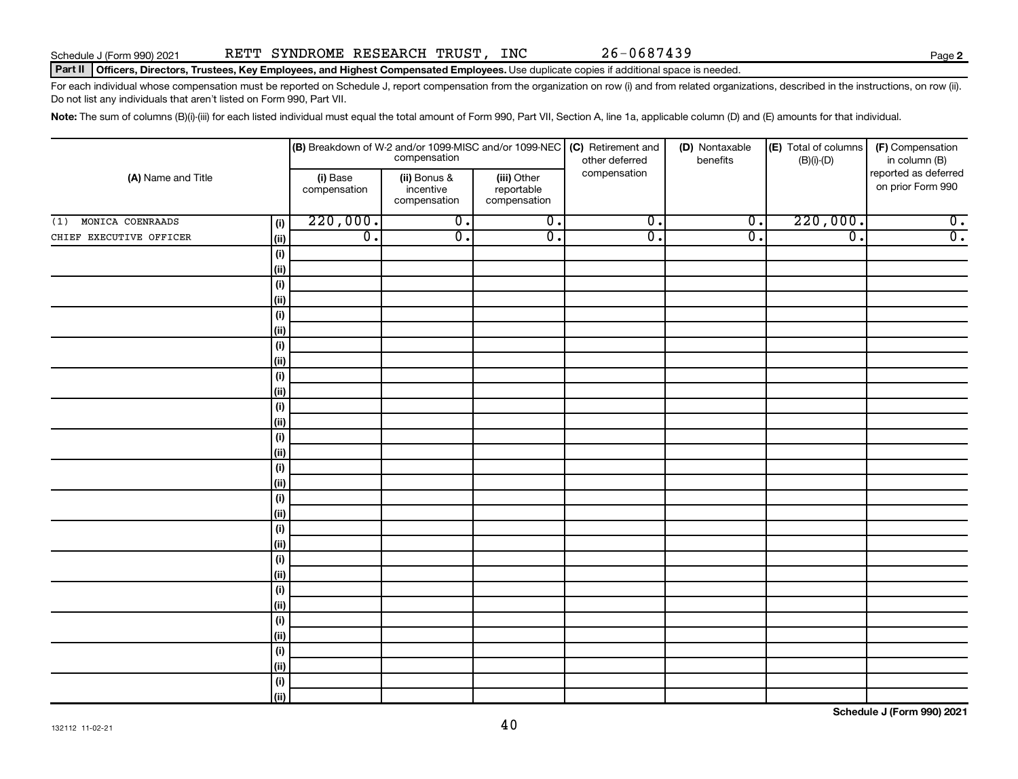### Part II | Officers, Directors, Trustees, Key Employees, and Highest Compensated Employees. Use duplicate copies if additional space is needed.

For each individual whose compensation must be reported on Schedule J, report compensation from the organization on row (i) and from related organizations, described in the instructions, on row (ii). Do not list any individuals that aren't listed on Form 990, Part VII.

Note: The sum of columns (B)(i)-(iii) for each listed individual must equal the total amount of Form 990, Part VII, Section A, line 1a, applicable column (D) and (E) amounts for that individual.

|                         |             |                          | compensation                              |                                           | (B) Breakdown of W-2 and/or 1099-MISC and/or 1099-NEC $ $ (C) Retirement and<br>other deferred | (D) Nontaxable<br>benefits | (E) Total of columns<br>(F) Compensation<br>$(B)(i)$ - $(D)$<br>in column (B) |                                           |  |
|-------------------------|-------------|--------------------------|-------------------------------------------|-------------------------------------------|------------------------------------------------------------------------------------------------|----------------------------|-------------------------------------------------------------------------------|-------------------------------------------|--|
| (A) Name and Title      |             | (i) Base<br>compensation | (ii) Bonus &<br>incentive<br>compensation | (iii) Other<br>reportable<br>compensation | compensation                                                                                   |                            |                                                                               | reported as deferred<br>on prior Form 990 |  |
| MONICA COENRAADS<br>(1) | (i)         | 220,000.                 | $\overline{0}$ .                          | $\overline{0}$ .                          | $\overline{0}$ .                                                                               | $\overline{0}$ .           | 220,000.                                                                      | $\overline{0}$ .                          |  |
| CHIEF EXECUTIVE OFFICER | (ii)        | $\overline{0}$ .         | $\overline{0}$ .                          | $\overline{0}$ .                          | $\overline{0}$ .                                                                               | $\overline{0}$ .           | $\overline{0}$ .                                                              | $\overline{0}$ .                          |  |
|                         | (i)         |                          |                                           |                                           |                                                                                                |                            |                                                                               |                                           |  |
|                         | (ii)        |                          |                                           |                                           |                                                                                                |                            |                                                                               |                                           |  |
|                         | $(\sf{i})$  |                          |                                           |                                           |                                                                                                |                            |                                                                               |                                           |  |
|                         | (ii)        |                          |                                           |                                           |                                                                                                |                            |                                                                               |                                           |  |
|                         | $(\sf{i})$  |                          |                                           |                                           |                                                                                                |                            |                                                                               |                                           |  |
|                         | (ii)        |                          |                                           |                                           |                                                                                                |                            |                                                                               |                                           |  |
|                         | $(\sf{i})$  |                          |                                           |                                           |                                                                                                |                            |                                                                               |                                           |  |
|                         | (ii)        |                          |                                           |                                           |                                                                                                |                            |                                                                               |                                           |  |
|                         | $(\sf{i})$  |                          |                                           |                                           |                                                                                                |                            |                                                                               |                                           |  |
|                         | (ii)        |                          |                                           |                                           |                                                                                                |                            |                                                                               |                                           |  |
|                         | $(\sf{i})$  |                          |                                           |                                           |                                                                                                |                            |                                                                               |                                           |  |
|                         | (ii)        |                          |                                           |                                           |                                                                                                |                            |                                                                               |                                           |  |
|                         | (i)         |                          |                                           |                                           |                                                                                                |                            |                                                                               |                                           |  |
|                         | (ii)        |                          |                                           |                                           |                                                                                                |                            |                                                                               |                                           |  |
|                         | (i)<br>(ii) |                          |                                           |                                           |                                                                                                |                            |                                                                               |                                           |  |
|                         | (i)         |                          |                                           |                                           |                                                                                                |                            |                                                                               |                                           |  |
|                         | (ii)        |                          |                                           |                                           |                                                                                                |                            |                                                                               |                                           |  |
|                         | (i)         |                          |                                           |                                           |                                                                                                |                            |                                                                               |                                           |  |
|                         | (ii)        |                          |                                           |                                           |                                                                                                |                            |                                                                               |                                           |  |
|                         | (i)         |                          |                                           |                                           |                                                                                                |                            |                                                                               |                                           |  |
|                         | (ii)        |                          |                                           |                                           |                                                                                                |                            |                                                                               |                                           |  |
|                         | $(\sf{i})$  |                          |                                           |                                           |                                                                                                |                            |                                                                               |                                           |  |
|                         | (i)         |                          |                                           |                                           |                                                                                                |                            |                                                                               |                                           |  |
|                         | (i)         |                          |                                           |                                           |                                                                                                |                            |                                                                               |                                           |  |
|                         | (i)         |                          |                                           |                                           |                                                                                                |                            |                                                                               |                                           |  |
|                         | $(\sf{i})$  |                          |                                           |                                           |                                                                                                |                            |                                                                               |                                           |  |
|                         | (ii)        |                          |                                           |                                           |                                                                                                |                            |                                                                               |                                           |  |
|                         | $(\sf{i})$  |                          |                                           |                                           |                                                                                                |                            |                                                                               |                                           |  |
|                         | (ii)        |                          |                                           |                                           |                                                                                                |                            |                                                                               |                                           |  |

**Schedule J (Form 990) 2021**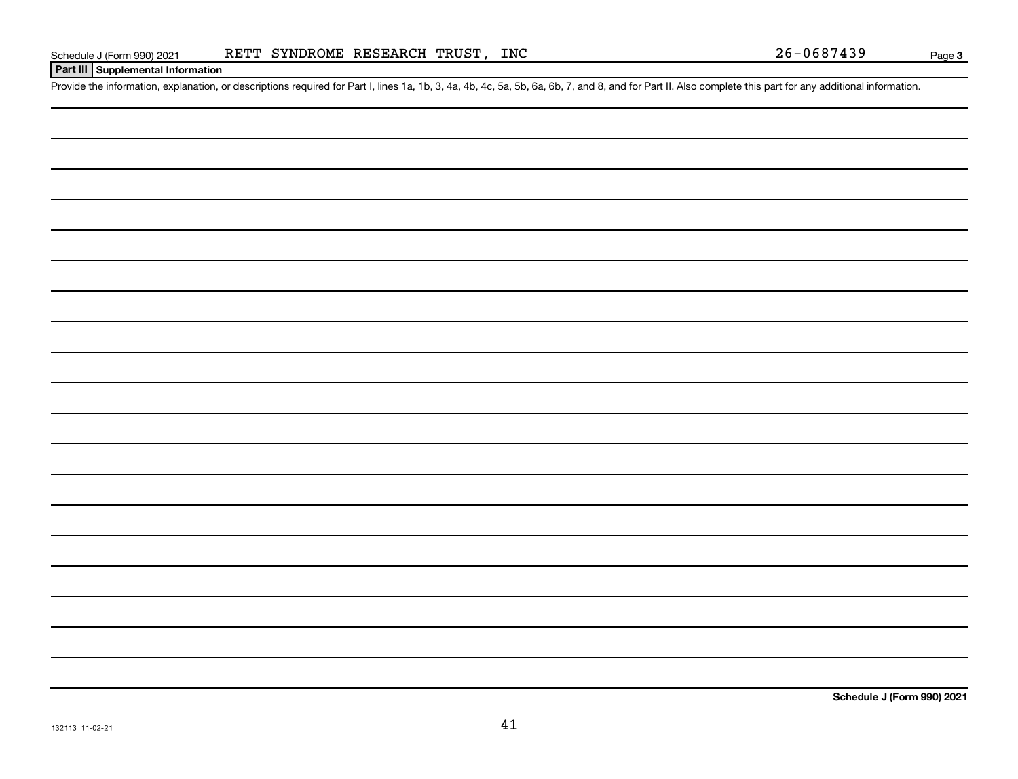### **Part III Supplemental Information**

Provide the information, explanation, or descriptions required for Part I, lines 1a, 1b, 3, 4a, 4b, 4c, 5a, 5b, 6a, 6b, 7, and 8, and for Part II. Also complete this part for any additional information.

**Schedule J (Form 990) 2021**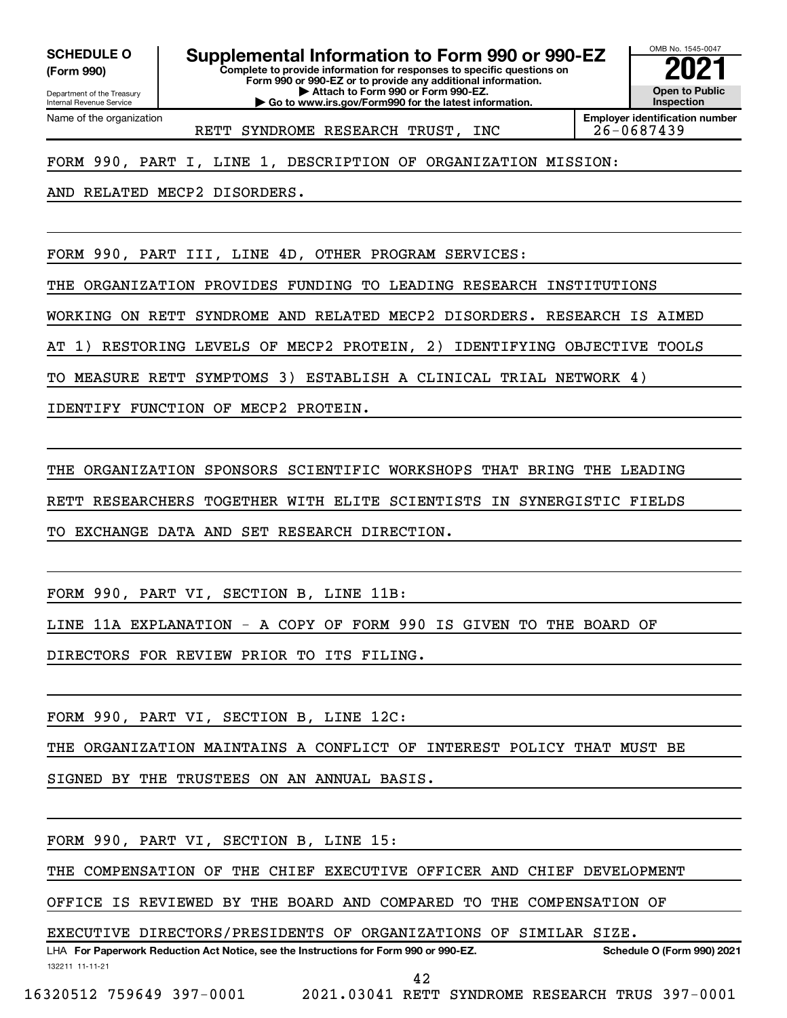**(Form 990)**

**SCHEDULE O Supplemental Information to Form 990 or 990-EZ**  $\frac{10008060000}{202}$ 

Department of the Treasury Internal Revenue Service Name of the organization **Complete to provide information for responses to specific questions on Form 990 or 990-EZ or to provide any additional information. | Attach to Form 990 or Form 990-EZ. | Go to www.irs.gov/Form990 for the latest information.**

OMB No. 1545-0047 **Open to Public Inspection**

RETT SYNDROME RESEARCH TRUST, INC | 26-0687439

**Employer identification number**

### FORM 990, PART I, LINE 1, DESCRIPTION OF ORGANIZATION MISSION:

AND RELATED MECP2 DISORDERS.

FORM 990, PART III, LINE 4D, OTHER PROGRAM SERVICES:

THE ORGANIZATION PROVIDES FUNDING TO LEADING RESEARCH INSTITUTIONS

WORKING ON RETT SYNDROME AND RELATED MECP2 DISORDERS. RESEARCH IS AIMED

AT 1) RESTORING LEVELS OF MECP2 PROTEIN, 2) IDENTIFYING OBJECTIVE TOOLS

TO MEASURE RETT SYMPTOMS 3) ESTABLISH A CLINICAL TRIAL NETWORK 4)

IDENTIFY FUNCTION OF MECP2 PROTEIN.

THE ORGANIZATION SPONSORS SCIENTIFIC WORKSHOPS THAT BRING THE LEADING RETT RESEARCHERS TOGETHER WITH ELITE SCIENTISTS IN SYNERGISTIC FIELDS TO EXCHANGE DATA AND SET RESEARCH DIRECTION.

FORM 990, PART VI, SECTION B, LINE 11B:

LINE 11A EXPLANATION - A COPY OF FORM 990 IS GIVEN TO THE BOARD OF

DIRECTORS FOR REVIEW PRIOR TO ITS FILING.

FORM 990, PART VI, SECTION B, LINE 12C:

THE ORGANIZATION MAINTAINS A CONFLICT OF INTEREST POLICY THAT MUST BE

SIGNED BY THE TRUSTEES ON AN ANNUAL BASIS.

FORM 990, PART VI, SECTION B, LINE 15:

THE COMPENSATION OF THE CHIEF EXECUTIVE OFFICER AND CHIEF DEVELOPMENT

OFFICE IS REVIEWED BY THE BOARD AND COMPARED TO THE COMPENSATION OF

EXECUTIVE DIRECTORS/PRESIDENTS OF ORGANIZATIONS OF SIMILAR SIZE.

132211 11-11-21 LHA For Paperwork Reduction Act Notice, see the Instructions for Form 990 or 990-EZ. Schedule O (Form 990) 2021

16320512 759649 397-0001 2021.03041 RETT SYNDROME RESEARCH TRUS 397-0001